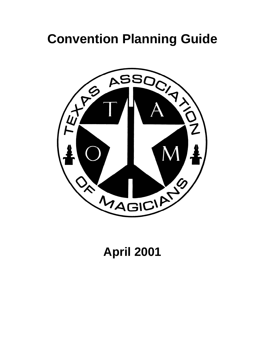# **Convention Planning Guide**



# **April 2001**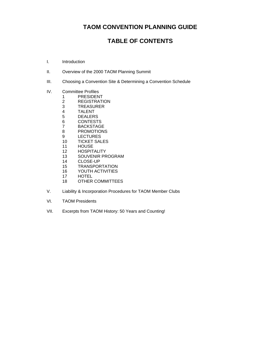# **TAOM CONVENTION PLANNING GUIDE**

# **TABLE OF CONTENTS**

- I. [Introduction](#page-2-0)
- II. [Overview of the 2000 TAOM Planning Summit](#page-5-0)
- III. [Choosing a Convention Site & Determining a Convention Schedule](#page-16-0)
- IV. [Committee Profiles](#page-27-0) 
	- 1 [PRESIDENT](#page-30-0)<br>2 REGISTRATI
		- **[REGISTRATION](#page-37-0)**
		- 3 TREASURER<br>4 TALENT
		-
		- 4 TALENT<br>5 DEALER: **[DEALERS](#page-58-0)**
		-
		- 6 CONTESTS<br>7 BACKSTAGI
		- 7 BACKSTAGE<br>8 PROMOTIONS **[PROMOTIONS](#page-74-0)**
		- 9 [LECTURES](#page-77-0)
		- 10 [TICKET SALES](#page-79-0)
		- 11 [HOUSE](#page-83-0)
		- 12 [HOSPITALITY](#page-86-0)
		- 13 [SOUVENIR PROGRAM](#page-90-0)
		- 14 [CLOSE-UP](#page-95-0)
		- 15 [TRANSPORTATION](#page-97-0)
		- 16 [YOUTH ACTIVITIES](#page-99-0)
		- 17 [HOTEL](#page-100-0)
		- 18 OTHER COMMITTEES
- V. Liability & Incorporation Procedures for TAOM Member Clubs
- VI. TAOM Presidents
- VII. Excerpts from TAOM History: 50 Years and Counting!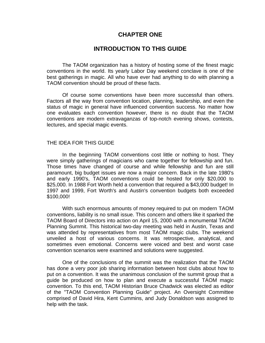# **CHAPTER ONE**

# **INTRODUCTION TO THIS GUIDE**

<span id="page-2-0"></span>The TAOM organization has a history of hosting some of the finest magic conventions in the world. Its yearly Labor Day weekend conclave is one of the best gatherings in magic. All who have ever had anything to do with planning a TAOM convention should be proud of these facts.

Of course some conventions have been more successful than others. Factors all the way from convention location, planning, leadership, and even the status of magic in general have influenced convention success. No matter how one evaluates each convention however, there is no doubt that the TAOM conventions are modern extravaganzas of top-notch evening shows, contests, lectures, and special magic events.

### THE IDEA FOR THIS GUIDE

In the beginning TAOM conventions cost little or nothing to host. They were simply gatherings of magicians who came together for fellowship and fun. Those times have changed of course and while fellowship and fun are still paramount, big budget issues are now a major concern. Back in the late 1980's and early 1990's, TAOM conventions could be hosted for only \$20,000 to \$25,000. In 1988 Fort Worth held a convention that required a \$43,000 budget! In 1997 and 1999, Fort Worth's and Austin's convention budgets both exceeded \$100,000!

With such enormous amounts of money required to put on modern TAOM conventions, liability is no small issue. This concern and others like it sparked the TAOM Board of Directors into action on April 15, 2000 with a monumental TAOM Planning Summit. This historical two-day meeting was held in Austin, Texas and was attended by representatives from most TAOM magic clubs. The weekend unveiled a host of various concerns. It was retrospective, analytical, and sometimes even emotional. Concerns were voiced and best and worst case convention scenarios were examined and solutions were suggested.

One of the conclusions of the summit was the realization that the TAOM has done a very poor job sharing information between host clubs about how to put on a convention. It was the unanimous conclusion of the summit group that a guide be produced on how to plan and execute a successful TAOM magic convention. To this end, TAOM Historian Bruce Chadwick was elected as editor of the "TAOM Convention Planning Guide" project. An Oversight Committee comprised of David Hira, Kent Cummins, and Judy Donaldson was assigned to help with the task.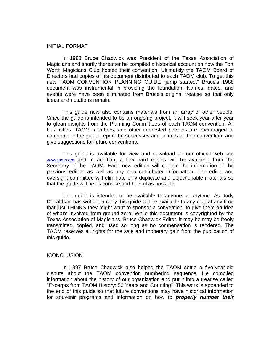### INITIAL FORMAT

In 1988 Bruce Chadwick was President of the Texas Association of Magicians and shortly thereafter he compiled a historical account on how the Fort Worth Magicians Club hosted their convention. Ultimately the TAOM Board of Directors had copies of his document distributed to each TAOM club. To get this new TAOM CONVENTION PLANNING GUIDE "jump started," Bruce's 1988 document was instrumental in providing the foundation. Names, dates, and events were have been eliminated from Bruce's original treatise so that only ideas and notations remain.

This guide now also contains materials from an array of other people. Since the guide is intended to be an ongoing project, it will seek year-after-year to glean insights from the Planning Committees of each TAOM convention. All host cities, TAOM members, and other interested persons are encouraged to contribute to the guide, report the successes and failures of their convention, and give suggestions for future conventions.

This guide is available for view and download on our official web site [www.taom.org](http://www.taom.org) and in addition, a few hard copies will be available from the Secretary of the TAOM. Each new edition will contain the information of the previous edition as well as any new contributed information. The editor and oversight committee will eliminate only duplicate and objectionable materials so that the guide will be as concise and helpful as possible.

This guide is intended to be available to anyone at anytime. As Judy Donaldson has written, a copy this guide will be available to any club at any time that just THINKS they might want to sponsor a convention, to give them an idea of what's involved from ground zero. While this document is copyrighted by the Texas Association of Magicians, Bruce Chadwick Editor, it may be may be freely transmitted, copied, and used so long as no compensation is rendered. The TAOM reserves all rights for the sale and monetary gain from the publication of this guide.

#### **ICONCLUSION**

In 1997 Bruce Chadwick also helped the TAOM settle a five-year-old dispute about the TAOM convention numbering sequence. He compiled information about the history of our organization and put it into a treatise called "Excerpts from TAOM History: 50 Years and Counting!" This work is appended to the end of this guide so that future conventions may have historical information for souvenir programs and information on how to *properly number their*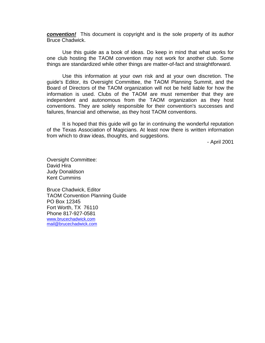*convention!* This document is copyright and is the sole property of its author Bruce Chadwick.

Use this guide as a book of ideas. Do keep in mind that what works for one club hosting the TAOM convention may not work for another club. Some things are standardized while other things are matter-of-fact and straightforward.

Use this information at your own risk and at your own discretion. The guide's Editor, its Oversight Committee, the TAOM Planning Summit, and the Board of Directors of the TAOM organization will not be held liable for how the information is used. Clubs of the TAOM are must remember that they are independent and autonomous from the TAOM organization as they host conventions. They are solely responsible for their convention's successes and failures, financial and otherwise, as they host TAOM conventions.

It is hoped that this guide will go far in continuing the wonderful reputation of the Texas Association of Magicians. At least now there is written information from which to draw ideas, thoughts, and suggestions.

- April 2001

Oversight Committee: David Hira Judy Donaldson Kent Cummins

Bruce Chadwick, Editor TAOM Convention Planning Guide PO Box 12345 Fort Worth, TX 76110 Phone 817-927-0581 [www.brucechadwick.com](http://www.brucechadwick.com) [mail@brucechadwick.com](mailto:mail@brucechadwick.com)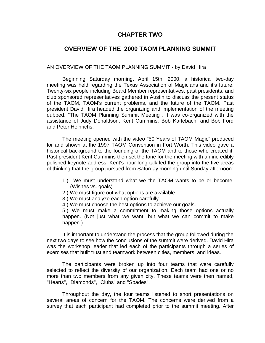# **CHAPTER TWO**

# <span id="page-5-0"></span>**OVERVIEW OF THE 2000 TAOM PLANNING SUMMIT**

### AN OVERVIEW OF THE TAOM PLANNING SUMMIT - by David Hira

Beginning Saturday morning, April 15th, 2000, a historical two-day meeting was held regarding the Texas Association of Magicians and it's future. Twenty-six people including Board Member representatives, past presidents, and club sponsored representatives gathered in Austin to discuss the present status of the TAOM, TAOM's current problems, and the future of the TAOM. Past president David Hira headed the organizing and implementation of the meeting dubbed, "The TAOM Planning Summit Meeting". It was co-organized with the assistance of Judy Donaldson, Kent Cummins, Bob Karlebach, and Bob Ford and Peter Heinrichs.

The meeting opened with the video "50 Years of TAOM Magic" produced for and shown at the 1997 TAOM Convention in Fort Worth. This video gave a historical background to the founding of the TAOM and to those who created it. Past president Kent Cummins then set the tone for the meeting with an incredibly polished keynote address. Kent's hour-long talk led the group into the five areas of thinking that the group pursued from Saturday morning until Sunday afternoon:

- 1.) We must understand what we the TAOM wants to be or become. (Wishes vs. goals)
- 2.) We must figure out what options are available.
- 3.) We must analyze each option carefully.
- 4.) We must choose the best options to achieve our goals.

5.) We must make a commitment to making those options actually happen. (Not just what we want, but what we can commit to make happen.)

It is important to understand the process that the group followed during the next two days to see how the conclusions of the summit were derived. David Hira was the workshop leader that led each of the participants through a series of exercises that built trust and teamwork between cities, members, and ideas.

The participants were broken up into four teams that were carefully selected to reflect the diversity of our organization. Each team had one or no more than two members from any given city. These teams were then named, "Hearts", "Diamonds", "Clubs" and "Spades".

Throughout the day, the four teams listened to short presentations on several areas of concern for the TAOM. The concerns were derived from a survey that each participant had completed prior to the summit meeting. After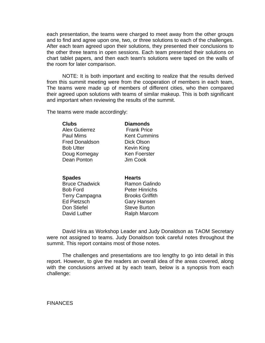each presentation, the teams were charged to meet away from the other groups and to find and agree upon one, two, or three solutions to each of the challenges. After each team agreed upon their solutions, they presented their conclusions to the other three teams in open sessions. Each team presented their solutions on chart tablet papers, and then each team's solutions were taped on the walls of the room for later comparison.

NOTE: It is both important and exciting to realize that the results derived from this summit meeting were from the cooperation of members in each team, The teams were made up of members of different cities, who then compared their agreed upon solutions with teams of similar makeup. This is both significant and important when reviewing the results of the summit.

The teams were made accordingly:

| <b>Clubs</b>          | <b>Diamonds</b>     |  |
|-----------------------|---------------------|--|
| <b>Alex Gutierrez</b> | <b>Frank Price</b>  |  |
| Paul Mims             | <b>Kent Cummins</b> |  |
| <b>Fred Donaldson</b> | Dick Olson          |  |
| <b>Bob Utter</b>      | Kevin King          |  |
| Doug Kornegay         | Ken Foerster        |  |
| Dean Ponton           | Jim Cook            |  |
|                       |                     |  |

#### **Spades** Hearts

Bruce Chadwick **Ramon Galindo** Bob Ford Peter Hinrichs Terry Campagna Brooks Griffith Ed Pietzsch Gary Hansen Don Stiefel Steve Burton David Luther Ralph Marcom

David Hira as Workshop Leader and Judy Donaldson as TAOM Secretary were not assigned to teams. Judy Donaldson took careful notes throughout the summit. This report contains most of those notes.

The challenges and presentations are too lengthy to go into detail in this report. However, to give the readers an overall idea of the areas covered, along with the conclusions arrived at by each team, below is a synopsis from each challenge:

**FINANCES**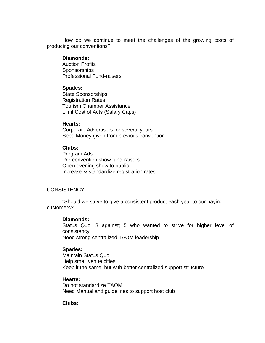How do we continue to meet the challenges of the growing costs of producing our conventions?

### **Diamonds:**

Auction Profits **Sponsorships** Professional Fund-raisers

### **Spades:**

State Sponsorships Registration Rates Tourism Chamber Assistance Limit Cost of Acts (Salary Caps)

### **Hearts:**

Corporate Advertisers for several years Seed Money given from previous convention

### **Clubs:**

Program Ads Pre-convention show fund-raisers Open evening show to public Increase & standardize registration rates

# **CONSISTENCY**

"Should we strive to give a consistent product each year to our paying customers?"

### **Diamonds:**

Status Quo: 3 against; 5 who wanted to strive for higher level of consistency Need strong centralized TAOM leadership

### **Spades:**

Maintain Status Quo Help small venue cities Keep it the same, but with better centralized support structure

### **Hearts:**

Do not standardize TAOM Need Manual and guidelines to support host club

### **Clubs:**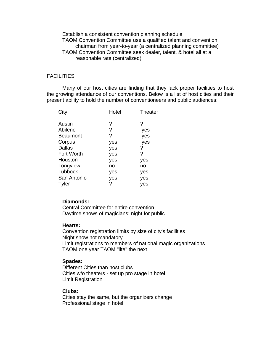Establish a consistent convention planning schedule TAOM Convention Committee use a qualified talent and convention chairman from year-to-year (a centralized planning committee) TAOM Convention Committee seek dealer, talent, & hotel all at a reasonable rate (centralized)

### **FACILITIES**

Many of our host cities are finding that they lack proper facilities to host the growing attendance of our conventions. Below is a list of host cities and their present ability to hold the number of conventioneers and public audiences:

| Hotel | Theater |
|-------|---------|
| ?     | ?       |
| ?     | yes     |
| ?     | yes     |
| yes   | yes     |
| yes   | ?       |
| yes   | ?       |
| yes   | yes     |
| no    | no      |
| yes   | yes     |
| yes   | yes     |
| ?     | yes     |
|       |         |

### **Diamonds:**

Central Committee for entire convention Daytime shows of magicians; night for public

### **Hearts:**

Convention registration limits by size of city's facilities Night show not mandatory Limit registrations to members of national magic organizations TAOM one year TAOM "lite" the next

### **Spades:**

Different Cities than host clubs Cities w/o theaters - set up pro stage in hotel Limit Registration

### **Clubs:**

Cities stay the same, but the organizers change Professional stage in hotel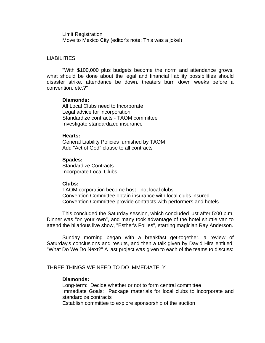Limit Registration Move to Mexico City (editor's note: This was a joke!)

### LIABILITIES

"With \$100,000 plus budgets become the norm and attendance grows, what should be done about the legal and financial liability possibilities should disaster strike, attendance be down, theaters burn down weeks before a convention, etc.?"

### **Diamonds:**

All Local Clubs need to Incorporate Legal advice for incorporation Standardize contracts - TAOM committee Investigate standardized insurance

#### **Hearts:**

General Liability Policies furnished by TAOM Add "Act of God" clause to all contracts

### **Spades:**

Standardize Contracts Incorporate Local Clubs

### **Clubs:**

TAOM corporation become host - not local clubs Convention Committee obtain insurance with local clubs insured Convention Committee provide contracts with performers and hotels

This concluded the Saturday session, which concluded just after 5:00 p.m. Dinner was "on your own", and many took advantage of the hotel shuttle van to attend the hilarious live show, "Esther's Follies", starring magician Ray Anderson.

Sunday morning began with a breakfast get-together, a review of Saturday's conclusions and results, and then a talk given by David Hira entitled, "What Do We Do Next?" A last project was given to each of the teams to discuss:

### THREE THINGS WE NEED TO DO IMMEDIATELY

### **Diamonds:**

Long-term: Decide whether or not to form central committee Immediate Goals: Package materials for local clubs to incorporate and standardize contracts Establish committee to explore sponsorship of the auction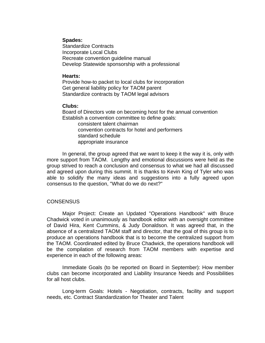### **Spades:**

Standardize Contracts Incorporate Local Clubs Recreate convention guideline manual Develop Statewide sponsorship with a professional

### **Hearts:**

Provide how-to packet to local clubs for incorporation Get general liability policy for TAOM parent Standardize contracts by TAOM legal advisors

### **Clubs:**

Board of Directors vote on becoming host for the annual convention Establish a convention committee to define goals: consistent talent chairman

 convention contracts for hotel and performers standard schedule appropriate insurance

In general, the group agreed that we want to keep it the way it is, only with more support from TAOM. Lengthy and emotional discussions were held as the group strived to reach a conclusion and consensus to what we had all discussed and agreed upon during this summit. It is thanks to Kevin King of Tyler who was able to solidify the many ideas and suggestions into a fully agreed upon consensus to the question, "What do we do next?"

# CONSENSUS

Major Project: Create an Updated "Operations Handbook" with Bruce Chadwick voted in unanimously as handbook editor with an oversight committee of David Hira, Kent Cummins, & Judy Donaldson. It was agreed that, in the absence of a centralized TAOM staff and director, that the goal of this group is to produce an operations handbook that is to become the centralized support from the TAOM. Coordinated edited by Bruce Chadwick, the operations handbook will be the compilation of research from TAOM members with expertise and experience in each of the following areas:

Immediate Goals (to be reported on Board in September): How member clubs can become incorporated and Liability Insurance Needs and Possibilities for all host clubs.

Long-term Goals: Hotels - Negotiation, contracts, facility and support needs, etc. Contract Standardization for Theater and Talent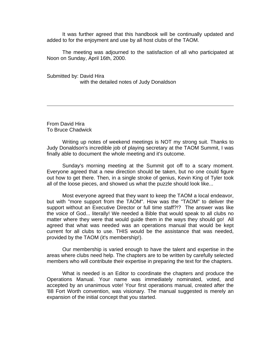It was further agreed that this handbook will be continually updated and added to for the enjoyment and use by all host clubs of the TAOM.

The meeting was adjourned to the satisfaction of all who participated at Noon on Sunday, April 16th, 2000.

Submitted by: David Hira with the detailed notes of Judy Donaldson

From David Hira To Bruce Chadwick

Writing up notes of weekend meetings is NOT my strong suit. Thanks to Judy Donaldson's incredible job of playing secretary at the TAOM Summit, I was finally able to document the whole meeting and it's outcome.

Sunday's morning meeting at the Summit got off to a scary moment. Everyone agreed that a new direction should be taken, but no one could figure out how to get there. Then, in a single stroke of genius, Kevin King of Tyler took all of the loose pieces, and showed us what the puzzle should look like...

Most everyone agreed that they want to keep the TAOM a local endeavor, but with "more support from the TAOM". How was the "TAOM" to deliver the support without an Executive Director or full time staff?!? The answer was like the voice of God... literally! We needed a Bible that would speak to all clubs no matter where they were that would guide them in the ways they should go! All agreed that what was needed was an operations manual that would be kept current for all clubs to use. THIS would be the assistance that was needed, provided by the TAOM (it's membership!).

Our membership is varied enough to have the talent and expertise in the areas where clubs need help. The chapters are to be written by carefully selected members who will contribute their expertise in preparing the text for the chapters.

What is needed is an Editor to coordinate the chapters and produce the Operations Manual. Your name was immediately nominated, voted, and accepted by an unanimous vote! Your first operations manual, created after the '88 Fort Worth convention, was visionary. The manual suggested is merely an expansion of the initial concept that you started.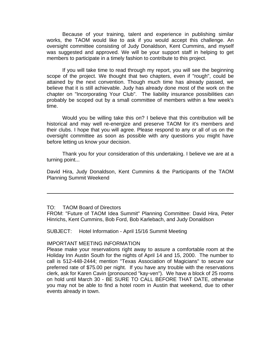Because of your training, talent and experience in publishing similar works, the TAOM would like to ask if you would accept this challenge. An oversight committee consisting of Judy Donaldson, Kent Cummins, and myself was suggested and approved. We will be your support staff in helping to get members to participate in a timely fashion to contribute to this project.

If you will take time to read through my report, you will see the beginning scope of the project. We thought that two chapters, even if "rough", could be attained by the next convention. Though much time has already passed, we believe that it is still achievable. Judy has already done most of the work on the chapter on "Incorporating Your Club". The liability insurance possibilities can probably be scoped out by a small committee of members within a few week's time.

Would you be willing take this on? I believe that this contribution will be historical and may well re-energize and preserve TAOM for it's members and their clubs. I hope that you will agree. Please respond to any or all of us on the oversight committee as soon as possible with any questions you might have before letting us know your decision.

Thank you for your consideration of this undertaking. I believe we are at a turning point...

David Hira, Judy Donaldson, Kent Cummins & the Participants of the TAOM Planning Summit Weekend

FROM: "Future of TAOM Idea Summit" Planning Committee: David Hira, Peter Hinrichs, Kent Cummins, Bob Ford, Bob Karlebach, and Judy Donaldson

SUBJECT: Hotel Information - April 15/16 Summit Meeting

### IMPORTANT MEETING INFORMATION

Please make your reservations right away to assure a comfortable room at the Holiday Inn Austin South for the nights of April 14 and 15, 2000. The number to call is 512-448-2444; mention "Texas Association of Magicians" to secure our preferred rate of \$75.00 per night. If you have any trouble with the reservations clerk, ask for Karen Cavin (pronounced "kay-ven"). We have a block of 25 rooms on hold until March 30 - BE SURE TO CALL BEFORE THAT DATE, otherwise you may not be able to find a hotel room in Austin that weekend, due to other events already in town.

TO: TAOM Board of Directors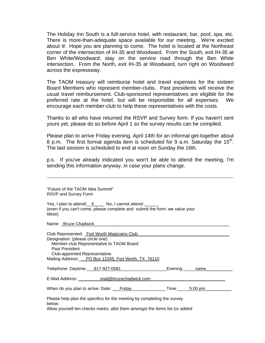The Holiday Inn South is a full-service hotel, with restaurant, bar, pool, spa, etc. There is more-than-adequate space available for our meeting. We're excited about it! Hope you are planning to come. The hotel is located at the Northeast corner of the intersection of IH-35 and Woodward. From the South, exit IH-35 at Ben White/Woodward; stay on the service road through the Ben White intersection. From the North, exit IH-35 at Woodward, turn right on Woodward across the expressway.

The TAOM treasury will reimburse hotel and travel expenses for the sixteen Board Members who represent member-clubs. Past presidents will receive the usual travel reimbursement. Club-sponsored representatives are eligible for the preferred rate at the hotel, but will be responsible for all expenses. We encourage each member-club to help these representatives with the costs.

Thanks to all who have returned the RSVP and Survey form. If you haven't sent yours yet, please do so before April 1 so the survey results can be compiled.

Please plan to arrive Friday evening, April 14th for an informal get-together about 8 p.m. The first formal agenda item is scheduled for 9 a.m. Saturday the  $15<sup>th</sup>$ . The last session is scheduled to end at noon on Sunday the 16th.

p.s. If you've already indicated you won't be able to attend the meeting, I'm sending this information anyway, in case your plans change.

| "Future of the TAOM Idea Summit"<br><b>RSVP and Survey Form</b>                                                                                                                                                                              |  |
|----------------------------------------------------------------------------------------------------------------------------------------------------------------------------------------------------------------------------------------------|--|
| Yes, I plan to attend! X No, I cannot attend:<br>(even if you can't come, please complete and submit the form; we value your<br>ideas)                                                                                                       |  |
| Name: _Bruce Chadwick_________________                                                                                                                                                                                                       |  |
| Club Represented: Fort Worth Magicians Club<br>Designation: (please circle one)<br>Member-club Representative to TAOM Board<br>Past President<br><b>Club-appointed Representative</b><br>Mailing Address: PO Box 12345, Fort Worth, TX 76110 |  |
|                                                                                                                                                                                                                                              |  |
| E-Mail Address: ____________mail@brucechadwick.com___________                                                                                                                                                                                |  |
|                                                                                                                                                                                                                                              |  |
| Please help plan the specifics for the meeting by completing the survey<br>below.                                                                                                                                                            |  |

Allow yourself ten checks marks; allot them amongst the items list (or added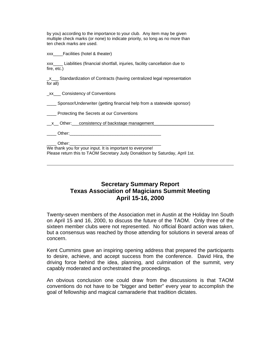by you) according to the importance to your club. Any item may be given multiple check marks (or none) to indicate priority, so long as no more than ten check marks are used.

xxx Facilities (hotel & theater)

xxx\_\_\_\_ Liabilities (financial shortfall, injuries, facility cancellation due to fire, etc.)

\_x\_\_\_ Standardization of Contracts (having centralized legal representation for all)

\_xx\_\_\_ Consistency of Conventions

Sponsor/Underwriter (getting financial help from a statewide sponsor)

**EXECUTE:** Protecting the Secrets at our Conventions

x Other: consistency of backstage management

 $Other:$ 

Other:

We thank you for your input. It is important to everyone! Please return this to TAOM Secretary Judy Donaldson by Saturday, April 1st.

# **Secretary Summary Report Texas Association of Magicians Summit Meeting April 15-16, 2000**

Twenty-seven members of the Association met in Austin at the Holiday Inn South on April 15 and 16, 2000, to discuss the future of the TAOM. Only three of the sixteen member clubs were not represented. No official Board action was taken, but a consensus was reached by those attending for solutions in several areas of concern.

Kent Cummins gave an inspiring opening address that prepared the participants to desire, achieve, and accept success from the conference. David Hira, the driving force behind the idea, planning, and culmination of the summit, very capably moderated and orchestrated the proceedings.

An obvious conclusion one could draw from the discussions is that TAOM conventions do not have to be "bigger and better" every year to accomplish the goal of fellowship and magical camaraderie that tradition dictates.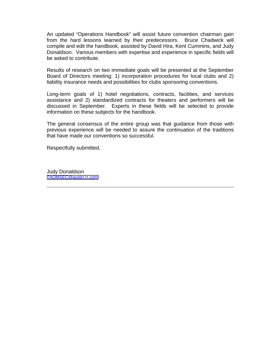An updated "Operations Handbook" will assist future convention chairman gain from the hard lessons learned by their predecessors. Bruce Chadwick will compile and edit the handbook, assisted by David Hira, Kent Cummins, and Judy Donaldson. Various members with expertise and experience in specific fields will be asked to contribute.

Results of research on two immediate goals will be presented at the September Board of Directors meeting: 1) incorporation procedures for local clubs and 2) liability insurance needs and possibilities for clubs sponsoring conventions.

Long-term goals of 1) hotel negotiations, contracts, facilities, and services assistance and 2) standardized contracts for theaters and performers will be discussed in September. Experts in these fields will be selected to provide information on these subjects for the handbook.

The general consensus of the entire group was that guidance from those with previous experience will be needed to assure the continuation of the traditions that have made our conventions so successful.

Respectfully submitted,

Judy Donaldson [TAOMSEC@austin.rr.com](mailto:taomsec@austin.rr.com)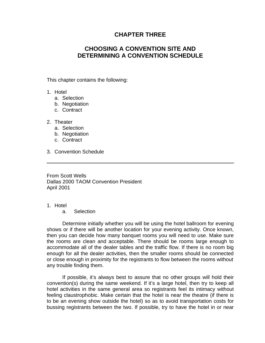# **CHAPTER THREE**

# <span id="page-16-0"></span>**CHOOSING A CONVENTION SITE AND DETERMINING A CONVENTION SCHEDULE**

This chapter contains the following:

- 1. Hotel
	- a. Selection
	- b. Negotiation
	- c. Contract
- 2. Theater
	- a. Selection
	- b. Negotiation
	- c. Contract
- 3. Convention Schedule

From Scott Wells Dallas 2000 TAOM Convention President April 2001

1. Hotel

a. Selection

Determine initially whether you will be using the hotel ballroom for evening shows or if there will be another location for your evening activity. Once known, then you can decide how many banquet rooms you will need to use. Make sure the rooms are clean and acceptable. There should be rooms large enough to accommodate all of the dealer tables and the traffic flow. If there is no room big enough for all the dealer activities, then the smaller rooms should be connected or close enough in proximity for the registrants to flow between the rooms without any trouble finding them.

If possible, it's always best to assure that no other groups will hold their convention(s) during the same weekend. If it's a large hotel, then try to keep all hotel activities in the same general area so registrants feel its intimacy without feeling claustrophobic. Make certain that the hotel is near the theatre (if there is to be an evening show outside the hotel) so as to avoid transportation costs for bussing registrants between the two. If possible, try to have the hotel in or near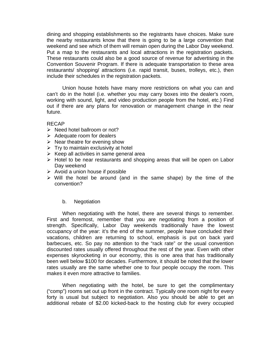dining and shopping establishments so the registrants have choices. Make sure the nearby restaurants know that there is going to be a large convention that weekend and see which of them will remain open during the Labor Day weekend. Put a map to the restaurants and local attractions in the registration packets. These restaurants could also be a good source of revenue for advertising in the Convention Souvenir Program. If there is adequate transportation to these area restaurants/ shopping/ attractions (i.e. rapid transit, buses, trolleys, etc.), then include their schedules in the registration packets.

Union house hotels have many more restrictions on what you can and can't do in the hotel (i.e. whether you may carry boxes into the dealer's room, working with sound, light, and video production people from the hotel, etc.) Find out if there are any plans for renovation or management change in the near future.

### RECAP

- $\triangleright$  Need hotel ballroom or not?
- $\triangleright$  Adequate room for dealers
- $\triangleright$  Near theatre for evening show
- $\triangleright$  Try to maintain exclusivity at hotel
- $\triangleright$  Keep all activities in same general area
- $\triangleright$  Hotel to be near restaurants and shopping areas that will be open on Labor Day weekend
- $\triangleright$  Avoid a union house if possible
- $\triangleright$  Will the hotel be around (and in the same shape) by the time of the convention?

# b. Negotiation

When negotiating with the hotel, there are several things to remember. First and foremost, remember that you are negotiating from a position of strength. Specifically, Labor Day weekends traditionally have the lowest occupancy of the year: it's the end of the summer, people have concluded their vacations, children are returning to school, emphasis is put on back yard barbecues, etc. So pay no attention to the "rack rate" or the usual convention discounted rates usually offered throughout the rest of the year. Even with other expenses skyrocketing in our economy, this is one area that has traditionally been well below \$100 for decades. Furthermore, it should be noted that the lower rates usually are the same whether one to four people occupy the room. This makes it even more attractive to families.

When negotiating with the hotel, be sure to get the complimentary ("comp") rooms set out up front in the contract. Typically one room night for every forty is usual but subject to negotiation. Also you should be able to get an additional rebate of \$2.00 kicked-back to the hosting club for every occupied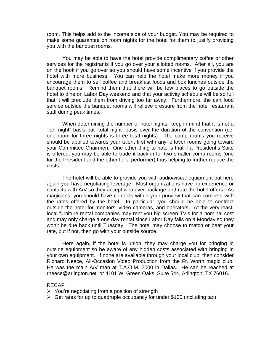room. This helps add to the income side of your budget. You may be required to make some guarantee on room nights for the hotel for them to justify providing you with the banquet rooms.

You may be able to have the hotel provide complimentary coffee or other services for the registrants if you go over your allotted rooms. After all, you are on the hook if you go over so you should have some incentive if you provide the hotel with more business. You can help the hotel make more money if you encourage them to sell coffee and breakfast foods and box lunches outside the banquet rooms. Remind them that there will be few places to go outside the hotel to dine on Labor Day weekend and that your activity schedule will be so full that it will preclude them from driving too far away. Furthermore, the cart food service outside the banquet rooms will relieve pressure from the hotel restaurant staff during peak times.

When determining the number of hotel nights, keep in mind that it is not a "per night" basis but "total night" basis over the duration of the convention (i.e. one room for three nights is three total nights). The comp rooms you receive should be applied towards your talent first with any leftover rooms going toward your Committee Chairmen. One other thing to note is that if a President's Suite is offered, you may be able to trade it back in for two smaller comp rooms (one for the President and the other for a performer) thus helping to further reduce the costs.

The hotel will be able to provide you with audio/visual equipment but here again you have negotiating leverage. Most organizations have no experience or contacts with A/V so they accept whatever package and rate the hotel offers. As magicians, you should have contacts within your purview that can compete with the rates offered by the hotel. In particular, you should be able to contract outside the hotel for monitors, video cameras, and operators. At the very least, local furniture rental companies may rent you big screen TV's for a nominal cost and may only charge a one day rental since Labor Day falls on a Monday so they won't be due back until Tuesday. The hotel may choose to match or beat your rate, but if not, then go with your outside source.

Here again, if the hotel is union, they may charge you for bringing in outside equipment so be aware of any hidden costs associated with bringing in your own equipment. If none are available through your local club, then consider Richard Neece, All-Occasion Video Production from the Ft. Worth magic club. He was the main A/V man at T.A.O.M. 2000 in Dallas. He can be reached at rneece@arlington.net or 4101 W. Green Oaks, Suite 544, Arlington, TX 76016.

### RECAP

- $\triangleright$  You're negotiating from a position of strength
- $\triangleright$  Get rates for up to quadruple occupancy for under \$100 (including tax)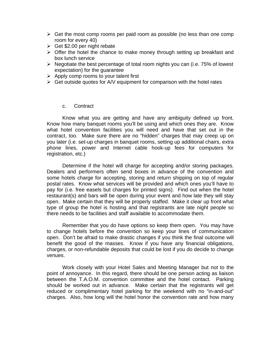- $\triangleright$  Get the most comp rooms per paid room as possible (no less than one comp room for every 40)
- $\geq$  Get \$2.00 per night rebate
- $\triangleright$  Offer the hotel the chance to make money through setting up breakfast and box lunch service
- $\triangleright$  Negotiate the best percentage of total room nights you can (i.e. 75% of lowest expectation) for the guarantee
- $\triangleright$  Apply comp rooms to your talent first
- $\triangleright$  Get outside quotes for A/V equipment for comparison with the hotel rates

### c. Contract

Know what you are getting and have any ambiguity defined up front. Know how many banquet rooms you'll be using and which ones they are. Know what hotel convention facilities you will need and have that set out in the contract, too. Make sure there are no "hidden" charges that may creep up on you later (i.e. set-up charges in banquet rooms, setting up additional chairs, extra phone lines, power and Internet cable hook-up fees for computers for registration, etc.)

Determine if the hotel will charge for accepting and/or storing packages. Dealers and performers often send boxes in advance of the convention and some hotels charge for accepting, storing and return shipping on top of regular postal rates. Know what services will be provided and which ones you'll have to pay for (i.e. free easels but charges for printed signs). Find out when the hotel restaurant(s) and bars will be open during your event and how late they will stay open. Make certain that they will be properly staffed. Make it clear up front what type of group the hotel is hosting and that registrants are late night people so there needs to be facilities and staff available to accommodate them.

Remember that you do have options so keep them open. You may have to change hotels before the convention so keep your lines of communication open. Don't be afraid to make drastic changes if you think the final outcome will benefit the good of the masses. Know if you have any financial obligations, charges, or non-refundable deposits that could be lost if you do decide to change venues.

Work closely with your Hotel Sales and Meeting Manager but not to the point of annoyance. In this regard, there should be one person acting as liaison between the T.A.O.M. convention committee and the hotel contact. Parking should be worked out in advance. Make certain that the registrants will get reduced or complimentary hotel parking for the weekend with no "in-and-out" charges. Also, how long will the hotel honor the convention rate and how many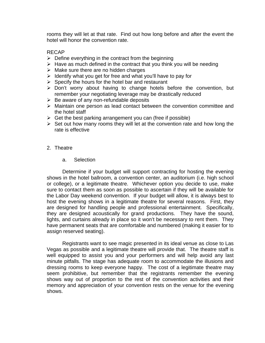rooms they will let at that rate. Find out how long before and after the event the hotel will honor the convention rate.

### RECAP

- $\triangleright$  Define everything in the contract from the beginning
- $\triangleright$  Have as much defined in the contract that you think you will be needing
- $\triangleright$  Make sure there are no hidden charges
- $\triangleright$  Identify what you get for free and what you'll have to pay for
- $\triangleright$  Specify the hours for the hotel bar and restaurant
- $\triangleright$  Don't worry about having to change hotels before the convention, but remember your negotiating leverage may be drastically reduced
- $\triangleright$  Be aware of any non-refundable deposits
- $\triangleright$  Maintain one person as lead contact between the convention committee and the hotel staff
- $\triangleright$  Get the best parking arrangement you can (free if possible)
- $\triangleright$  Set out how many rooms they will let at the convention rate and how long the rate is effective

### 2. Theatre

### a. Selection

Determine if your budget will support contracting for hosting the evening shows in the hotel ballroom, a convention center, an auditorium (i.e. high school or college), or a legitimate theatre. Whichever option you decide to use, make sure to contact them as soon as possible to ascertain if they will be available for the Labor Day weekend convention. If your budget will allow, it is always best to host the evening shows in a legitimate theatre for several reasons. First, they are designed for handling people and professional entertainment. Specifically, they are designed acoustically for grand productions. They have the sound, lights, and curtains already in place so it won't be necessary to rent them. They have permanent seats that are comfortable and numbered (making it easier for to assign reserved seating).

Registrants want to see magic presented in its ideal venue as close to Las Vegas as possible and a legitimate theatre will provide that. The theatre staff is well equipped to assist you and your performers and will help avoid any last minute pitfalls. The stage has adequate room to accommodate the illusions and dressing rooms to keep everyone happy. The cost of a legitimate theatre may seem prohibitive, but remember that the registrants remember the evening shows way out of proportion to the rest of the convention activities and their memory and appreciation of your convention rests on the venue for the evening shows.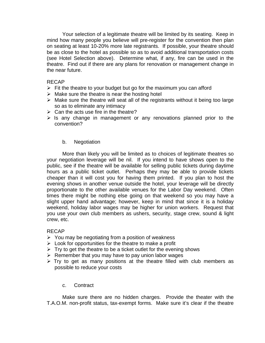Your selection of a legitimate theatre will be limited by its seating. Keep in mind how many people you believe will pre-register for the convention then plan on seating at least 10-20% more late registrants. If possible, your theatre should be as close to the hotel as possible so as to avoid additional transportation costs (see Hotel Selection above). Determine what, if any, fire can be used in the theatre. Find out if there are any plans for renovation or management change in the near future.

### RECAP

- $\triangleright$  Fit the theatre to your budget but go for the maximum you can afford
- $\triangleright$  Make sure the theatre is near the hosting hotel
- $\triangleright$  Make sure the theatre will seat all of the registrants without it being too large so as to eliminate any intimacy
- $\triangleright$  Can the acts use fire in the theatre?
- $\triangleright$  Is any change in management or any renovations planned prior to the convention?

### b. Negotiation

More than likely you will be limited as to choices of legitimate theatres so your negotiation leverage will be nil. If you intend to have shows open to the public, see if the theatre will be available for selling public tickets during daytime hours as a public ticket outlet. Perhaps they may be able to provide tickets cheaper than it will cost you for having them printed. If you plan to host the evening shows in another venue outside the hotel, your leverage will be directly proportionate to the other available venues for the Labor Day weekend. Often times there might be nothing else going on that weekend so you may have a slight upper hand advantage; however, keep in mind that since it is a holiday weekend, holiday labor wages may be higher for union workers. Request that you use your own club members as ushers, security, stage crew, sound & light crew, etc.

### RECAP

- $\triangleright$  You may be negotiating from a position of weakness
- $\triangleright$  Look for opportunities for the theatre to make a profit
- $\triangleright$  Try to get the theatre to be a ticket outlet for the evening shows
- $\triangleright$  Remember that you may have to pay union labor wages
- $\triangleright$  Try to get as many positions at the theatre filled with club members as possible to reduce your costs

### c. Contract

Make sure there are no hidden charges. Provide the theater with the T.A.O.M. non-profit status, tax-exempt forms. Make sure it's clear if the theatre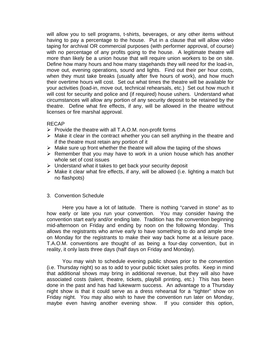will allow you to sell programs, t-shirts, beverages, or any other items without having to pay a percentage to the house. Put in a clause that will allow video taping for archival OR commercial purposes (with performer approval, of course) with no percentage of any profits going to the house. A legitimate theatre will more than likely be a union house that will require union workers to be on site. Define how many hours and how many stagehands they will need for the load-in, move out, evening operations, sound and lights. Find out their per hour costs, when they must take breaks (usually after five hours of work), and how much their overtime hours will cost. Set out what times the theatre will be available for your activities (load-in, move out, technical rehearsals, etc.) Set out how much it will cost for security and police and (if required) house ushers. Understand what circumstances will allow any portion of any security deposit to be retained by the theatre. Define what fire effects, if any, will be allowed in the theatre without licenses or fire marshal approval.

# RECAP

- $\triangleright$  Provide the theatre with all T.A.O.M. non-profit forms
- $\triangleright$  Make it clear in the contract whether you can sell anything in the theatre and if the theatre must retain any portion of it
- $\triangleright$  Make sure up front whether the theatre will allow the taping of the shows
- $\triangleright$  Remember that you may have to work in a union house which has another whole set of cost issues
- $\triangleright$  Understand what it takes to get back your security deposit
- $\triangleright$  Make it clear what fire effects, if any, will be allowed (i.e. lighting a match but no flashpots)

# 3. Convention Schedule

Here you have a lot of latitude. There is nothing "carved in stone" as to how early or late you run your convention. You may consider having the convention start early and/or ending late. Tradition has the convention beginning mid-afternoon on Friday and ending by noon on the following Monday. This allows the registrants who arrive early to have something to do and ample time on Monday for the registrants to make their way back home at a leisure pace. T.A.O.M. conventions are thought of as being a four-day convention, but in reality, it only lasts three days (half days on Friday and Monday).

You may wish to schedule evening public shows prior to the convention (i.e. Thursday night) so as to add to your public ticket sales profits. Keep in mind that additional shows may bring in additional revenue, but they will also have associated costs (talent, theatre, tickets, playbill printing, etc.) This has been done in the past and has had lukewarm success. An advantage to a Thursday night show is that it could serve as a dress rehearsal for a "tighter" show on Friday night. You may also wish to have the convention run later on Monday, maybe even having another evening show. If you consider this option,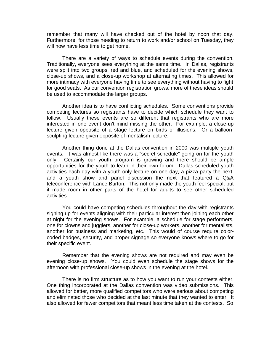remember that many will have checked out of the hotel by noon that day. Furthermore, for those needing to return to work and/or school on Tuesday, they will now have less time to get home.

There are a variety of ways to schedule events during the convention. Traditionally, everyone sees everything at the same time. In Dallas, registrants were split into two groups, red and blue, and scheduled for the evening shows, close-up shows, and a close-up workshop at alternating times. This allowed for more intimacy with everyone having time to see everything without having to fight for good seats. As our convention registration grows, more of these ideas should be used to accommodate the larger groups.

Another idea is to have conflicting schedules. Some conventions provide competing lectures so registrants have to decide which schedule they want to follow. Usually these events are so different that registrants who are more interested in one event don't mind missing the other. For example, a close-up lecture given opposite of a stage lecture on birds or illusions. Or a balloonsculpting lecture given opposite of mentalism lecture.

Another thing done at the Dallas convention in 2000 was multiple youth events. It was almost like there was a "secret schedule" going on for the youth only. Certainly our youth program is growing and there should be ample opportunities for the youth to learn in their own forum. Dallas scheduled youth activities each day with a youth-only lecture on one day, a pizza party the next, and a youth show and panel discussion the next that featured a Q&A teleconference with Lance Burton. This not only made the youth feel special, but it made room in other parts of the hotel for adults to see other scheduled activities.

You could have competing schedules throughout the day with registrants signing up for events aligning with their particular interest then joining each other at night for the evening shows. For example, a schedule for stage performers, one for clowns and jugglers, another for close-up workers, another for mentalists, another for business and marketing, etc. This would of course require colorcoded badges, security, and proper signage so everyone knows where to go for their specific event.

Remember that the evening shows are not required and may even be evening close-up shows. You could even schedule the stage shows for the afternoon with professional close-up shows in the evening at the hotel.

There is no firm structure as to how you want to run your contests either. One thing incorporated at the Dallas convention was video submissions. This allowed for better, more qualified competitors who were serious about competing and eliminated those who decided at the last minute that they wanted to enter. It also allowed for fewer competitors that meant less time taken at the contests. So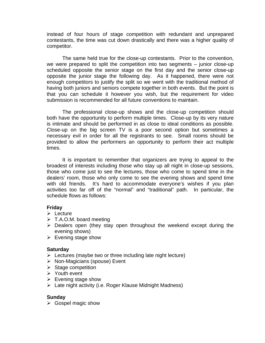instead of four hours of stage competition with redundant and unprepared contestants, the time was cut down drastically and there was a higher quality of competitor.

The same held true for the close-up contestants. Prior to the convention, we were prepared to split the competition into two segments – junior close-up scheduled opposite the senior stage on the first day and the senior close-up opposite the junior stage the following day. As it happened, there were not enough competitors to justify the split so we went with the traditional method of having both juniors and seniors compete together in both events. But the point is that you can schedule it however you wish, but the requirement for video submission is recommended for all future conventions to maintain.

The professional close-up shows and the close-up competition should both have the opportunity to perform multiple times. Close-up by its very nature is intimate and should be performed in as close to ideal conditions as possible. Close-up on the big screen TV is a poor second option but sometimes a necessary evil in order for all the registrants to see. Small rooms should be provided to allow the performers an opportunity to perform their act multiple times.

It is important to remember that organizers are trying to appeal to the broadest of interests including those who stay up all night in close-up sessions, those who come just to see the lectures, those who come to spend time in the dealers' room, those who only come to see the evening shows and spend time with old friends. It's hard to accommodate everyone's wishes if you plan activities too far off of the "normal" and "traditional" path. In particular, the schedule flows as follows:

# **Friday**

- $\triangleright$  Lecture
- $\triangleright$  T.A.O.M. board meeting
- $\triangleright$  Dealers open (they stay open throughout the weekend except during the evening shows)
- $\triangleright$  Evening stage show

# **Saturday**

- $\triangleright$  Lectures (maybe two or three including late night lecture)
- $\triangleright$  Non-Magicians (spouse) Event
- $\triangleright$  Stage competition
- $\triangleright$  Youth event
- $\triangleright$  Evening stage show
- $\triangleright$  Late night activity (i.e. Roger Klause Midnight Madness)

# **Sunday**

 $\triangleright$  Gospel magic show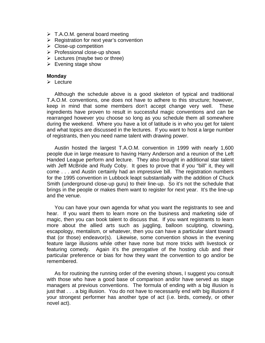- $\triangleright$  T.A.O.M. general board meeting
- $\triangleright$  Registration for next year's convention
- $\triangleright$  Close-up competition
- $\triangleright$  Professional close-up shows
- $\triangleright$  Lectures (maybe two or three)
- $\triangleright$  Evening stage show

### **Monday**

 $\triangleright$  Lecture

Although the schedule above is a good skeleton of typical and traditional T.A.O.M. conventions, one does not have to adhere to this structure; however, keep in mind that some members don't accept change very well. These ingredients have proven to result in successful magic conventions and can be rearranged however you choose so long as you schedule them all somewhere during the weekend. Where you have a lot of latitude is in who you get for talent and what topics are discussed in the lectures. If you want to host a large number of registrants, then you need name talent with drawing power.

Austin hosted the largest T.A.O.M. convention in 1999 with nearly 1,600 people due in large measure to having Harry Anderson and a reunion of the Left Handed League perform and lecture. They also brought in additional star talent with Jeff McBride and Rudy Coby. It goes to prove that if you "bill" it, they will come . . . and Austin certainly had an impressive bill. The registration numbers for the 1995 convention in Lubbock leapt substantially with the addition of Chuck Smith (underground close-up guru) to their line-up. So it's not the schedule that brings in the people or makes them want to register for next year. It's the line-up and the venue.

You can have your own agenda for what you want the registrants to see and hear. If you want them to learn more on the business and marketing side of magic, then you can book talent to discuss that. If you want registrants to learn more about the allied arts such as juggling, balloon sculpting, clowning, escapology, mentalism, or whatever, then you can have a particular slant toward that (or those) endeavor(s). Likewise, some convention shows in the evening feature large illusions while other have none but more tricks with livestock or featuring comedy. Again it's the prerogative of the hosting club and their particular preference or bias for how they want the convention to go and/or be remembered.

As for routining the running order of the evening shows, I suggest you consult with those who have a good base of comparison and/or have served as stage managers at previous conventions. The formula of ending with a big illusion is just that . . . a big illusion. You do not have to necessarily end with big illusions if your strongest performer has another type of act (i.e. birds, comedy, or other novel act).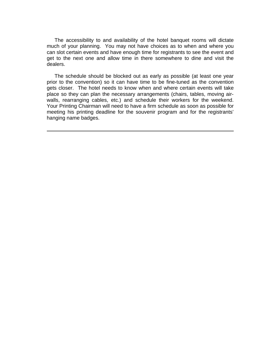The accessibility to and availability of the hotel banquet rooms will dictate much of your planning. You may not have choices as to when and where you can slot certain events and have enough time for registrants to see the event and get to the next one and allow time in there somewhere to dine and visit the dealers.

The schedule should be blocked out as early as possible (at least one year prior to the convention) so it can have time to be fine-tuned as the convention gets closer. The hotel needs to know when and where certain events will take place so they can plan the necessary arrangements (chairs, tables, moving airwalls, rearranging cables, etc.) and schedule their workers for the weekend. Your Printing Chairman will need to have a firm schedule as soon as possible for meeting his printing deadline for the souvenir program and for the registrants' hanging name badges.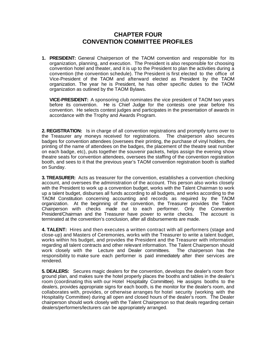# **CHAPTER FOUR CONVENTION COMMITTEE PROFILES**

<span id="page-27-0"></span>**1. PRESIDENT:** General Chairperson of the TAOM convention and responsible for its organization, planning, and execution. The President is also responsible for choosing convention hotel and theater, and it is up to the President to plan the activities during a convention (the convention schedule). The President is first elected to the office of Vice-President of the TAOM and afterward elected as President by the TAOM organization. The year he is President, he has other specific duties to the TAOM organization as outlined by the TAOM Bylaws.

**VICE-PRESIDENT:** A sponsoring club nominates the vice president of TAOM two years before its convention. He is Chief Judge for the contests one year before his convention. He selects contest judges and participates in the presentation of awards in accordance with the Trophy and Awards Program.

**2. REGISTRATION:** Is in charge of all convention registrations and promptly turns over to the Treasurer any moneys received for registrations. The chairperson also secures badges for convention attendees (oversees their printing, the purchase of vinyl holders, the printing of the name of attendees on the badges, the placement of the theatre seat number on each badge, etc), puts together the souvenir packets, helps assign the evening show theatre seats for convention attendees, oversees the staffing of the convention registration booth, and sees to it that the previous year's TAOM convention registration booth is staffed on Sunday.

**3. TREASURER:** Acts as treasurer for the convention, establishes a convention checking account, and oversees the administration of the account. This person also works closely with the President to work up a convention budget, works with the Talent Chairman to work up a talent budget, disburses all funds according to all budgets, and works according to the TAOM Constitution concerning accounting and records as required by the TAOM organization. At the beginning of the convention, the Treasurer provides the Talent Chairperson with checks made out to each performer. Only the Convention President/Chairman and the Treasurer have power to write checks. The account is terminated at the convention's conclusion, after all disbursements are made.

**4. TALENT:** Hires and then executes a written contract with all performers (stage and close-up) and Masters of Ceremonies, works with the Treasurer to write a talent budget, works within his budget, and provides the President and the Treasurer with information regarding all talent contracts and other relevant information. The Talent Chairperson should work closely with the Lecture and Dealer committees. The chairperson has the responsibility to make sure each performer is paid immediately after their services are rendered.

**5. DEALERS:** Secures magic dealers for the convention, develops the dealer's room floor ground plan, and makes sure the hotel properly places the booths and tables in the dealer's room (coordinating this with our Hotel Hospitality Committee). He assigns booths to the dealers, provides appropriate signs for each booth, is the monitor for the dealer's room, and collaborates with, provides, or otherwise arranges for hotel security (working with the Hospitality Committee) during all open and closed hours of the dealer's room. The Dealer chairperson should work closely with the Talent Chairperson so that deals regarding certain dealers/performers/lecturers can be appropriately arranged.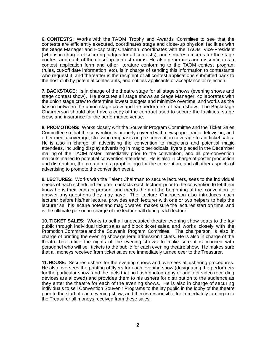**6. CONTESTS:** Works with the TAOM Trophy and Awards Committee to see that the contests are efficiently executed, coordinates stage and close-up physical facilities with the Stage Manager and Hospitality Chairman, coordinates with the TAOM Vice-President (who is in charge of securing judges for all contests), and secures emcees for the stage contest and each of the close-up contest rooms. He also generates and disseminates a contest application form and other literature conforming to the TAOM contest program (rules, cut-off date information, etc), is in charge of sending this information to contestants who request it, and thereafter is the recipient of all contest applications submitted back to the host club by potential contestants, and notifies applicants of acceptance or rejection.

**7. BACKSTAGE:** Is in charge of the theatre stage for all stage shows (evening shows and stage contest show). He executes all stage shows as Stage Manager, collaborates with the union stage crew to determine lowest budgets and minimize overtime, and works as the liaison between the union stage crew and the performers of each show. The Backstage Chairperson should also have a copy of the contract used to secure the facilities, stage crew, and insurance for the performance venue.

**8. PROMOTIONS:** Works closely with the Souvenir Program Committee and the Ticket Sales Committee so that the convention is properly covered with newspaper, radio, television, and other media coverage, stressing emphasis on pre-convention coverage to aid ticket sales. He is also in charge of advertising the convention to magicians and potential magic attendees, including display advertising in magic periodicals, flyers placed in the December mailing of the TAOM roster immediately prior to the convention, and all pre-convention mailouts mailed to potential convention attendees. He is also in charge of poster production and distribution, the creation of a graphic logo for the convention, and all other aspects of advertising to promote the convention event.

**9. LECTURES:** Works with the Talent Chairman to secure lecturers, sees to the individual needs of each scheduled lecturer, contacts each lecturer prior to the convention to let them know he is their contact person, and meets them at the beginning of the convention to answer any questions they may have. The Lecture Chairperson also introduces each lecturer before his/her lecture, provides each lecturer with one or two helpers to help the lecturer sell his lecture notes and magic wares, makes sure the lectures start on time, and is the ultimate person-in-charge of the lecture hall during each lecture.

**10. TICKET SALES:** Works to sell all unoccupied theater evening show seats to the lay public through individual ticket sales and block ticket sales, and works closely with the Promotion Committee and the Souvenir Program Committee. The chairperson is also in charge of printing the evening show general admission tickets. He is also in charge of the theatre box office the nights of the evening shows to make sure it is manned with personnel who will sell tickets to the public for each evening theatre show. He makes sure that all moneys received from ticket sales are immediately turned over to the Treasurer.

**11. HOUSE:** Secures ushers for the evening shows and oversees all ushering procedures. He also oversees the printing of flyers for each evening show (designating the performers for the particular show, and the facts that no flash photography or audio or video recording devices are allowed) and provides them to his ushers for distribution to the audience as they enter the theatre for each of the evening shows. He is also in charge of securing individuals to sell Convention Souvenir Programs to the lay public in the lobby of the theatre prior to the start of each evening show, and then is responsible for immediately turning in to the Treasurer all moneys received from these sales.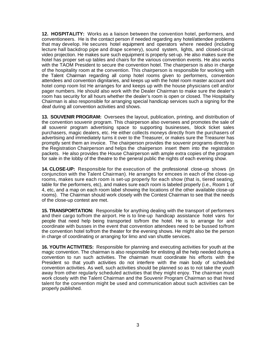**12. HOSPITALITY:** Works as a liaison between the convention hotel, performers, and conventioneers. He is the contact person if needed regarding any hotel/attendee problems that may develop. He secures hotel equipment and operators where needed (including lecture hall backdrop pipe and drape scenery), sound system, lights, and closed-circuit video projection. He makes sure such equipment is properly set-up. He also makes sure the hotel has proper set-up tables and chairs for the various convention events. He also works with the TAOM President to secure the convention hotel. The chairperson is also in charge of the hospitality room at the convention. This chairperson is responsible for working with the Talent Chairman regarding all comp hotel rooms given to performers, convention attendees and convention dignitaries, and keeps up with the hotel room master account and hotel comp room list He arranges for and keeps up with the house physicians cell and/or pager numbers. He should also work with the Dealer Chairman to make sure the dealer's room has security for all hours whether the dealer's room is open or closed. The Hospitality Chairman is also responsible for arranging special handicap services such a signing for the deaf during all convention activities and shows.

**13. SOUVENIR PROGRAM:** Oversees the layout, publication, printing, and distribution of the convention souvenir program. This chairperson also oversees and promotes the sale of all souvenir program advertising space to supporting businesses, block ticket sales purchasers, magic dealers, etc. He either collects moneys directly from the purchasers of advertising and immediately turns it over to the Treasurer, or makes sure the Treasurer has promptly sent them an invoice. The chairperson provides the souvenir programs directly to the Registration Chairperson and helps the chairperson insert them into the registration packets. He also provides the House Chairperson with ample extra copies of the program for sale in the lobby of the theatre to the general public the nights of each evening show.

**14. CLOSE-UP:** Responsible for the execution of the professional close-up shows (in conjunction with the Talent Chairman). He arranges for emcees in each of the close-up rooms, makes sure each room is set-up properly for each show (that is, tiered seating, table for the performers, etc), and makes sure each room is labeled properly (i.e., Room 1 of 4, etc, and a map on each room label showing the locations of the other available close-up rooms). The Chairman should work closely with the Contest Chairman to see that the needs of the close-up contest are met.

**15. TRANSPORTATION:** Responsible for anything dealing with the transport of performers and their cargo to/from the airport. He is to line-up handicap assistance hotel vans for people that need help being transported to/from the hotel. He is to arrange for and coordinate with busses in the event that convention attendees need to be bussed to/from the convention hotel to/from the theater for the evening shows. He might also be the person in charge of coordinating or arranging for limo and van shuttle services.

**16. YOUTH ACTIVITIES:** Responsible for planning and executing activities for youth at the magic convention. The chairman is also responsible for enlisting all the help needed during a convention to run such activities. The chairman must coordinate his efforts with the President so that youth activities do not interfere with the main body of scheduled convention activities. As well, such activities should be planned so as to not take the youth away from other regularly scheduled activities that they might enjoy. The chairman must work closely with the Talent Chairman and the Souvenir Program Chairman so that hired talent for the convention might be used and communication about such activities can be properly published.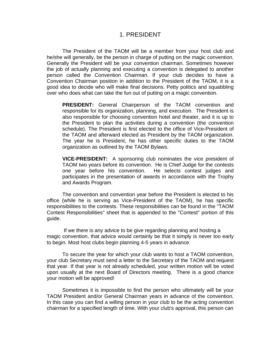# 1. PRESIDENT

<span id="page-30-0"></span>The President of the TAOM will be a member from your host club and he/she will generally, be the person in charge of putting on the magic convention. Generally the President will be your convention chairman. Sometimes however the job of actually planning and executing a convention is delegated to another person called the Convention Chairman. If your club decides to have a Convention Chairman position in addition to the President of the TAOM, it is a good idea to decide who will make final decisions. Petty politics and squabbling over who does what can take the fun out of putting on a magic convention.

**PRESIDENT:** General Chairperson of the TAOM convention and responsible for its organization, planning, and execution. The President is also responsible for choosing convention hotel and theater, and it is up to the President to plan the activities during a convention (the convention schedule). The President is first elected to the office of Vice-President of the TAOM and afterward elected as President by the TAOM organization. The year he is President, he has other specific duties to the TAOM organization as outlined by the TAOM Bylaws.

**VICE-PRESIDENT:** A sponsoring club nominates the vice president of TAOM two years before its convention. He is Chief Judge for the contests one year before his convention. He selects contest judges and participates in the presentation of awards in accordance with the Trophy and Awards Program.

The convention and convention year before the President is elected to his office (while he is serving as Vice-President of the TAOM), he has specific responsibilities to the contests. These responsibilities can be found in the "TAOM Contest Responsibilities" sheet that is appended to the "Contest" portion of this guide.

 If we there is any advice to be give regarding planning and hosting a magic convention, that advice would certainly be that it simply is never too early to begin. Most host clubs begin planning 4-5 years in advance.

To secure the year for which your club wants to host a TAOM convention, your club Secretary must send a letter to the Secretary of the TAOM and request that year. If that year is not already scheduled, your written motion will be voted upon usually at the next Board of Directors meeting. There is a good chance your motion will be approved!

Sometimes it is impossible to find the person who ultimately will be your TAOM President and/or General Chairman years in advance of the convention. In this case you can find a willing person in your club to be the acting convention chairman for a specified length of time. With your club's approval, this person can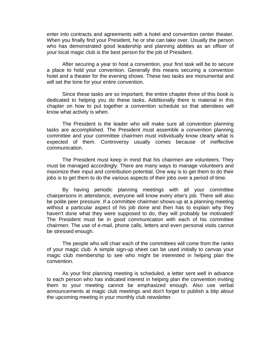enter into contracts and agreements with a hotel and convention center theater. When you finally find your President, he or she can take over. Usually the person who has demonstrated good leadership and planning abilities as an officer of your local magic club is the best person for the job of President.

After securing a year to host a convention, your first task will be to secure a place to hold your convention. Generally this means securing a convention hotel and a theater for the evening shows. These two tasks are monumental and will set the tone for your entire convention.

Since these tasks are so important, the entire chapter three of this book is dedicated to helping you do these tasks. Additionally there is material in this chapter on how to put together a convention schedule so that attendees will know what activity is when.

The President is the leader who will make sure all convention planning tasks are accomplished. The President must assemble a convention planning committee and your committee chairmen must individually know clearly what is expected of them. Controversy usually comes because of ineffective communication.

The President must keep in mind that his chairmen are volunteers. They must be managed accordingly. There are many ways to manage volunteers and maximize their input and contribution potential. One way is to get them to do their jobs is to get them to do the various aspects of their jobs over a period of time.

By having periodic planning meetings with all your committee chairpersons in attendance, everyone will know every else's job. There will also be polite peer pressure. If a committee chairman shows-up at a planning meeting without a particular aspect of his job done and then has to explain why they haven't done what they were supposed to do, they will probably be motivated! The President must be in good communication with each of his committee chairmen. The use of e-mail, phone calls, letters and even personal visits cannot be stressed enough.

The people who will chair each of the committees will come from the ranks of your magic club. A simple sign-up sheet can be used initially to canvas your magic club membership to see who might be interested in helping plan the convention.

As your first planning meeting is scheduled, a letter sent well in advance to each person who has indicated interest in helping plan the convention inviting them to your meeting cannot be emphasized enough. Also use verbal announcements at magic club meetings and don't forget to publish a blip about the upcoming meeting in your monthly club newsletter.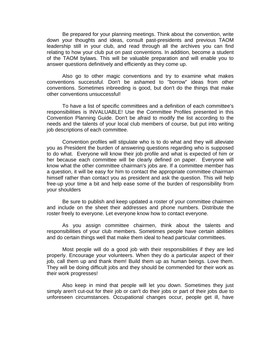Be prepared for your planning meetings. Think about the convention, write down your thoughts and ideas, consult past-presidents and previous TAOM leadership still in your club, and read through all the archives you can find relating to how your club put on past conventions. In addition, become a student of the TAOM bylaws. This will be valuable preparation and will enable you to answer questions definitively and efficiently as they come up.

Also go to other magic conventions and try to examine what makes conventions successful. Don't be ashamed to "borrow" ideas from other conventions. Sometimes inbreeding is good, but don't do the things that make other conventions unsuccessful!

To have a list of specific committees and a definition of each committee's responsibilities is INVALUABLE! Use the Committee Profiles presented in this Convention Planning Guide. Don't be afraid to modify the list according to the needs and the talents of your local club members of course, but put into writing job descriptions of each committee.

Convention profiles will stipulate who is to do what and they will alleviate you as President the burden of answering questions regarding who is supposed to do what. Everyone will know their job profile and what is expected of him or her because each committee will be clearly defined on paper. Everyone will know what the other committee chairman's jobs are. If a committee member has a question, it will be easy for him to contact the appropriate committee chairman himself rather than contact you as president and ask the question. This will help free-up your time a bit and help ease some of the burden of responsibility from your shoulders

Be sure to publish and keep updated a roster of your committee chairmen and include on the sheet their addresses and phone numbers. Distribute the roster freely to everyone. Let everyone know how to contact everyone.

As you assign committee chairmen, think about the talents and responsibilities of your club members. Sometimes people have certain abilities and do certain things well that make them ideal to head particular committees.

Most people will do a good job with their responsibilities if they are led properly. Encourage your volunteers. When they do a particular aspect of their job, call them up and thank them! Build them up as human beings. Love them. They will be doing difficult jobs and they should be commended for their work as their work progresses!

Also keep in mind that people will let you down. Sometimes they just simply aren't cut-out for their job or can't do their jobs or part of their jobs due to unforeseen circumstances. Occupational changes occur, people get ill, have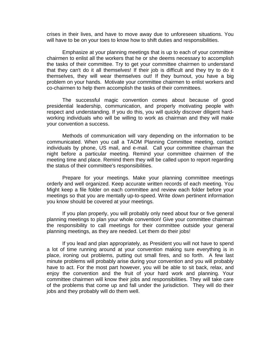crises in their lives, and have to move away due to unforeseen situations. You will have to be on your toes to know how to shift duties and responsibilities.

Emphasize at your planning meetings that is up to each of your committee chairmen to enlist all the workers that he or she deems necessary to accomplish the tasks of their committee. Try to get your committee chairmen to understand that they can't do it all themselves! If their job is difficult and they try to do it themselves, they will wear themselves out! If they burnout, you have a big problem on your hands. Motivate your committee chairmen to enlist workers and co-chairmen to help them accomplish the tasks of their committees.

The successful magic convention comes about because of good presidential leadership, communication, and properly motivating people with respect and understanding. If you do this, you will quickly discover diligent hardworking individuals who will be willing to work as chairman and they will make your convention a success.

Methods of communication will vary depending on the information to be communicated. When you call a TAOM Planning Committee meeting, contact individuals by phone, US mail, and e-mail. Call your committee chairman the night before a particular meeting. Remind your committee chairmen of the meeting time and place. Remind them they will be called upon to report regarding the status of their committee's responsibilities.

Prepare for your meetings. Make your planning committee meetings orderly and well organized. Keep accurate written records of each meeting. You Might keep a file folder on each committee and review each folder before your meetings so that you are mentally up-to-speed. Write down pertinent information you know should be covered at your meetings.

If you plan properly, you will probably only need about four or five general planning meetings to plan your whole convention! Give your committee chairman the responsibility to call meetings for their committee outside your general planning meetings, as they are needed. Let them do their jobs!

If you lead and plan appropriately, as President you will not have to spend a lot of time running around at your convention making sure everything is in place, ironing out problems, putting out small fires, and so forth. A few last minute problems will probably arise during your convention and you will probably have to act. For the most part however, you will be able to sit back, relax, and enjoy the convention and the fruit of your hard work and planning. Your committee chairmen will know their jobs and responsibilities. They will take care of the problems that come up and fall under the jurisdiction. They will do their jobs and they probably will do them well.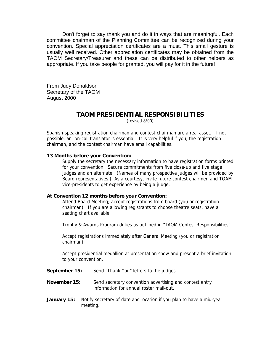Don't forget to say thank you and do it in ways that are meaningful. Each committee chairman of the Planning Committee can be recognized during your convention. Special appreciation certificates are a must. This small gesture is usually well received. Other appreciation certificates may be obtained from the TAOM Secretary/Treasurer and these can be distributed to other helpers as appropriate. If you take people for granted, you will pay for it in the future!

From Judy Donaldson Secretary of the TAOM August 2000

# **TAOM PRESIDENTIAL RESPONSIBILITIES**

(revised 8/00)

Spanish-speaking registration chairman and contest chairman are a real asset. If not possible, an on-call translator is essential. It is very helpful if you, the registration chairman, and the contest chairman have email capabilities.

#### **13 Months before your Convention:**

Supply the secretary the necessary information to have registration forms printed for your convention. Secure commitments from five close-up and five stage judges and an alternate. (Names of many prospective judges will be provided by Board representatives.) As a courtesy, invite future contest chairmen and TOAM vice-presidents to get experience by being a judge.

#### **At Convention 12 months before your Convention:**

Attend Board Meeting; accept registrations from board (you or registration chairman). If you are allowing registrants to choose theatre seats, have a seating chart available.

Trophy & Awards Program duties as outlined in "TAOM Contest Responsibilities".

Accept registrations immediately after General Meeting (you or registration chairman).

Accept presidential medallion at presentation show and present a brief invitation to your convention.

- **September 15:** Send "Thank You" letters to the judges.
- **November 15:** Send secretary convention advertising and contest entry information for annual roster mail-out.
- **January 15:** Notify secretary of date and location if you plan to have a mid-year meeting.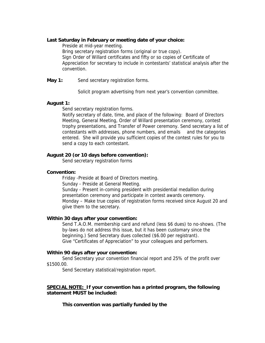#### **Last Saturday in February or meeting date of your choice:**

Preside at mid-year meeting.

Bring secretary registration forms (original or true copy). Sign Order of Willard certificates and fifty or so copies of Certificate of Appreciation for secretary to include in contestants' statistical analysis after the convention.

**May 1:** Send secretary registration forms.

Solicit program advertising from next year's convention committee.

### **August 1:**

Send secretary registration forms.

Notify secretary of date, time, and place of the following: Board of Directors Meeting, General Meeting, Order of Willard presentation ceremony, contest trophy presentations, and Transfer of Power ceremony. Send secretary a list of contestants with addresses, phone numbers, and emails and the categories entered. She will provide you sufficient copies of the contest rules for you to send a copy to each contestant.

### **August 20 (or 10 days before convention):**

Send secretary registration forms

### **Convention:**

Friday -Preside at Board of Directors meeting. Sunday - Preside at General Meeting. Sunday - Present in-coming president with presidential medallion during presentation ceremony and participate in contest awards ceremony. Monday – Make true copies of registration forms received since August 20 and giive them to the secretary.

### **Within 30 days after your convention:**

Send T.A.O.M. membership card and refund (less \$6 dues) to no-shows. (The by-laws do not address this issue, but it has been customary since the beginning.) Send Secretary dues collected (\$6.00 per registrant). Give "Certificates of Appreciation" to your colleagues and performers.

### **Within 90 days after your convention:**

Send Secretary your convention financial report and 25% of the profit over \$1500.00.

Send Secretary statistical/registration report.

### **SPECIAL NOTE: If your convention has a printed program, the following statement MUST be included:**

### **This convention was partially funded by the**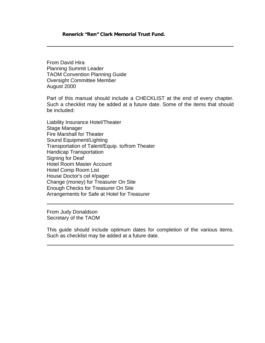#### **Renerick "Ren" Clark Memorial Trust Fund.**

From David Hira Planning Summit Leader TAOM Convention Planning Guide Oversight Committee Member August 2000

Part of this manual should include a CHECKLIST at the end of every chapter. Such a checklist may be added at a future date. Some of the items that should be included:

Liability Insurance Hotel/Theater Stage Manager Fire Marshall for Theater Sound Equipment/Lighting Transportation of Talent/Equip. to/from Theater Handicap Transportation Signing for Deaf Hotel Room Master Account Hotel Comp Room List House Doctor's cel #/pager Change (money) for Treasurer On Site Enough Checks for Treasurer On Site Arrangements for Safe at Hotel for Treasurer

From Judy Donaldson Secretary of the TAOM

This guide should include optimum dates for completion of the various items. Such as checklist may be added at a future date.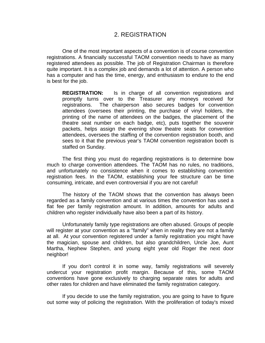## 2. REGISTRATION

One of the most important aspects of a convention is of course convention registrations. A financially successful TAOM convention needs to have as many registered attendees as possible. The job of Registration Chairman is therefore quite important. It is a complex job and demands a lot of attention. A person who has a computer and has the time, energy, and enthusiasm to endure to the end is best for the job.

**REGISTRATION:** Is in charge of all convention registrations and promptly turns over to the Treasurer any moneys received for registrations. The chairperson also secures badges for convention attendees (oversees their printing, the purchase of vinyl holders, the printing of the name of attendees on the badges, the placement of the theatre seat number on each badge, etc), puts together the souvenir packets, helps assign the evening show theatre seats for convention attendees, oversees the staffing of the convention registration booth, and sees to it that the previous year's TAOM convention registration booth is staffed on Sunday.

The first thing you must do regarding registrations is to determine bow much to charge convention attendees. The TAOM has no rules, no traditions, and unfortunately no consistence when it comes to establishing convention registration fees. In the TAOM, establishing your fee structure can be time consuming, intricate, and even controversial if you are not careful!

The history of the TAOM shows that the convention has always been regarded as a family convention and at various times the convention has used a flat fee per family registration amount. In addition, amounts for adults and children who register individually have also been a part of its history.

Unfortunately family type registrations are often abused. Groups of people will register at your convention as a "family" when in reality they are not a family at all. At your convention registered under a family registration you might have the magician, spouse and children, but also grandchildren, Uncle Joe, Aunt Martha, Nephew Stephen, and young eight year old Roger the next door neighbor!

If you don't control it in some way, family registrations will severely undercut your registration profit margin. Because of this, some TAOM conventions have gone exclusively to charging separate rates for adults and other rates for children and have eliminated the family registration category.

If you decide to use the family registration, you are going to have to figure out some way of policing the registration. With the proliferation of today's mixed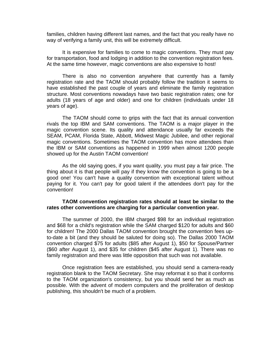families, children having different last names, and the fact that you really have no way of verifying a family unit, this will be extremely difficult.

It is expensive for families to come to magic conventions. They must pay for transportation, food and lodging in addition to the convention registration fees. At the same time however, magic conventions are also expensive to host!

There is also no convention anywhere that currently has a family registration rate and the TAOM should probably follow the tradition it seems to have established the past couple of years and eliminate the family registration structure. Most conventions nowadays have two basic registration rates; one for adults (18 years of age and older) and one for children (individuals under 18 years of age).

The TAOM should come to grips with the fact that its annual convention rivals the top IBM and SAM conventions. The TAOM is a major player in the magic convention scene. Its quality and attendance usually far exceeds the SEAM, PCAM, Florida State, Abbott, Midwest Magic Jubilee, and other regional magic conventions. Sometimes the TAOM convention has more attendees than the IBM or SAM conventions as happened in 1999 when almost 1200 people showed up for the Austin TAOM convention!

As the old saying goes, if you want quality, you must pay a fair price. The thing about it is that people will pay if they know the convention is going to be a good one! You can't have a quality convention with exceptional talent without paying for it. You can't pay for good talent if the attendees don't pay for the convention!

#### **TAOM convention registration rates should at least be similar to the rates other conventions are charging for a particular convention year.**

The summer of 2000, the IBM charged \$98 for an individual registration and \$68 for a child's registration while the SAM charged \$120 for adults and \$60 for children! The 2000 Dallas TAOM convention brought the convention fees upto-date a bit (and they should be saluted for doing so). The Dallas 2000 TAOM convention charged \$75 for adults (\$85 after August 1), \$50 for Spouse/Partner (\$60 after August 1), and \$35 for children (\$45 after August 1). There was no family registration and there was little opposition that such was not available.

Once registration fees are established, you should send a camera-ready registration blank to the TAOM Secretary. She may reformat it so that it conforms to the TAOM organization's consistency, but you should send her as much as possible. With the advent of modern computers and the proliferation of desktop publishing, this shouldn't be much of a problem.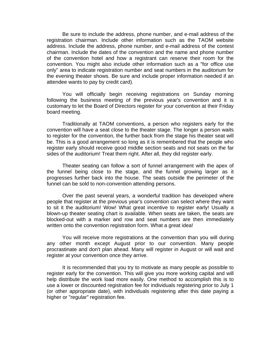Be sure to include the address, phone number, and e-mail address of the registration chairman. Include other information such as the TAOM website address. Include the address, phone number, and e-mail address of the contest chairman. Include the dates of the convention and the name and phone number of the convention hotel and how a registrant can reserve their room for the convention. You might also include other information such as a "for office use only" area to indicate registration number and seat numbers in the auditorium for the evening theater shows. Be sure and include proper information needed if an attendee wants to pay by credit card).

You will officially begin receiving registrations on Sunday morning following the business meeting of the previous year's convention and it is customary to let the Board of Directors register for your convention at their Friday board meeting.

Traditionally at TAOM conventions, a person who registers early for the convention will have a seat close to the theater stage. The longer a person waits to register for the convention, the further back from the stage his theater seat will be. This is a good arrangement so long as it is remembered that the people who register early should receive good middle section seats and not seats on the far sides of the auditorium! Treat them right. After all, they did register early.

Theater seating can follow a sort of funnel arrangement with the apex of the funnel being close to the stage, and the funnel growing larger as it progresses further back into the house. The seats outside the perimeter of the funnel can be sold to non-convention attending persons.

Over the past several years, a wonderful tradition has developed where people that register at the previous year's convention can select where they want to sit it the auditorium! Wow! What great incentive to register early! Usually a blown-up theater seating chart is available. When seats are taken, the seats are blocked-out with a marker and row and seat numbers are then immediately written onto the convention registration form. What a great idea!

You will receive more registrations at the convention than you will during any other month except August prior to our convention. Many people procrastinate and don't plan ahead. Many will register in August or will wait and register at your convention once they arrive.

It is recommended that you try to motivate as many people as possible to register early for the convention. This will give you more working capital and will help distribute the work load more easily. One method to accomplish this is to use a lower or discounted registration fee for individuals registering prior to July 1 (or other appropriate date), with individuals registering after this date paying a higher or "regular" registration fee.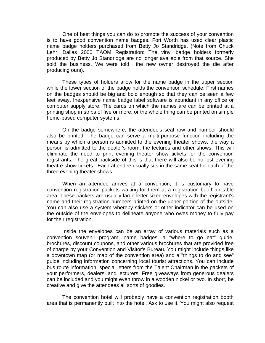One of best things you can do to promote the success of your convention is to have good convention name badges. Fort Worth has used clear plastic name badge holders purchased from Betty Jo Standridge. (Note from Chuck Lehr, Dallas 2000 TAOM Registration: The vinyl badge holders formerly produced by Betty Jo Standridge are no longer available from that source. She sold the business. We were told the new owner destroyed the die after producing ours).

These types of holders allow for the name badge in the upper section while the lower section of the badge holds the convention schedule. First names on the badges should be big and bold enough so that they can be seen a few feet away. Inexpensive name badge label software is abundant in any office or computer supply store. The cards on which the names are can be printed at a printing shop in strips of five or more, or the whole thing can be printed on simple home-based computer systems.

On the badge somewhere, the attendee's seat row and number should also be printed. The badge can serve a multi-purpose function including the means by which a person is admitted to the evening theater shows, the way a person is admitted to the dealer's room, the lectures and other shows. This will eliminate the need to print evening theater show tickets for the convention registrants. The great backside of this is that there will also be no lost evening theatre show tickets. Each attendee usually sits in the same seat for each of the three evening theater shows.

When an attendee arrives at a convention, it is customary to have convention registration packets waiting for them at a registration booth or table area. These packets are usually large letter-sized envelopes with the registrant's name and their registration numbers printed on the upper portion of the outside. You can also use a system whereby stickers or other indicator can be used on the outside of the envelopes to delineate anyone who owes money to fully pay for their registration.

Inside the envelopes can be an array of various materials such as a convention souvenir program, name badges, a "where to go eat" guide, brochures, discount coupons, and other various brochures that are provided free of charge by your Convention and Visitor's Bureau. You might include things like a downtown map (or map of the convention area) and a "things to do and see" guide including information concerning local tourist attractions. You can include bus route information, special letters from the Talent Chairman in the packets of your performers, dealers, and lecturers. Free giveaways from generous dealers can be included and you might even throw in a wooden nickel or two. In short, be creative and give the attendees all sorts of goodies.

The convention hotel will probably have a convention registration booth area that is permanently built into the hotel. Ask to use it. You might also request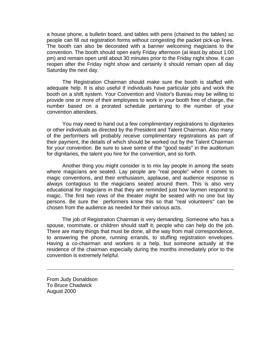a house phone, a bulletin board, and tables with pens (chained to the tables) so people can fill out registration forms without congesting the packet pick-up lines. The booth can also be decorated with a banner welcoming magicians to the convention. The booth should open early Friday afternoon (at least by about 1:00 pm) and remain open until about 30 minutes prior to the Friday night show. It can reopen after the Friday night show and certainly it should remain open all day Saturday the next day.

The Registration Chairman should make sure the booth is staffed with adequate help. It is also useful if individuals have particular jobs and work the booth on a shift system. Your Convention and Visitor's Bureau may be willing to provide one or more of their employees to work in your booth free of charge, the number based on a prorated schedule pertaining to the number of your convention attendees.

You may need to hand out a few complimentary registrations to dignitaries or other individuals as directed by the President and Talent Chairman. Also many of the performers will probably receive complimentary registrations as part of their payment, the details of which should be worked out by the Talent Chairman for your convention. Be sure to save some of the "good seats" in the auditorium for dignitaries, the talent you hire for the convention, and so forth.

Another thing you might consider is to mix lay people in among the seats where magicians are seated. Lay people are "real people" when it comes to magic conventions, and their enthusiasm, applause, and audience response is always contagious to the magicians seated around them. This is also very educational for magicians in that they are reminded just how laymen respond to magic. The first two rows of the theater might be seated with no one but lay persons. Be sure the performers know this so that "real volunteers" can be chosen from the audience as needed for their various acts.

The job of Registration Chairman is very demanding. Someone who has a spouse, roommate, or children should staff it; people who can help do the job. There are many things that must be done, all the way from mail correspondence, to answering the phone, running errands, to stuffing registration envelopes. Having a co-chairman and workers is a help, but someone actually at the residence of the chairman especially during the months immediately prior to the convention is extremely helpful.

From Judy Donaldson To Bruce Chadwick August 2000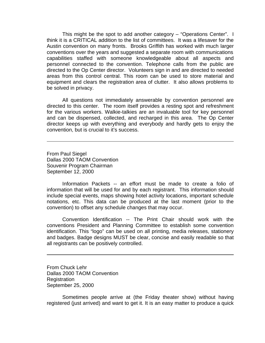This might be the spot to add another category – "Operations Center". I think it is a CRITICAL addition to the list of committees. It was a lifesaver for the Austin convention on many fronts. Brooks Griffith has worked with much larger conventions over the years and suggested a separate room with communications capabilities staffed with someone knowledgeable about all aspects and personnel connected to the convention. Telephone calls from the public are directed to the Op Center director. Volunteers sign in and are directed to needed areas from this control central. This room can be used to store material and equipment and clears the registration area of clutter. It also allows problems to be solved in privacy.

All questions not immediately answerable by convention personnel are directed to this center. The room itself provides a resting spot and refreshment for the various workers. Walkie-talkies are an invaluable tool for key personnel and can be dispensed, collected, and recharged in this area. The Op Center director keeps up with everything and everybody and hardly gets to enjoy the convention, but is crucial to it's success.

From Paul Siegel Dallas 2000 TAOM Convention Souvenir Program Chairman September 12, 2000

Information Packets -- an effort must be made to create a folio of information that will be used for and by each registrant. This information should include special events, maps showing hotel activity locations, important schedule notations, etc. This data can be produced at the last moment (prior to the convention) to offset any schedule changes that may occur.

Convention Identification -- The Print Chair should work with the conventions President and Planning Committee to establish some convention identification. This "logo" can be used on all printing, media releases, stationery and badges. Badge designs MUST be clear, concise and easily readable so that all registrants can be positively controlled.

From Chuck Lehr Dallas 2000 TAOM Convention **Registration** September 25, 2000

Sometimes people arrive at (the Friday theater show) without having registered (just arrived) and want to get it. It is an easy matter to produce a quick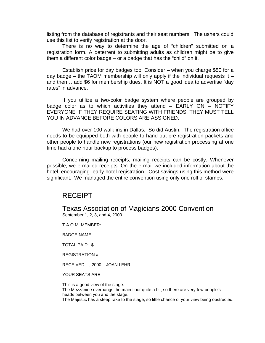listing from the database of registrants and their seat numbers. The ushers could use this list to verify registration at the door.

There is no way to determine the age of "children" submitted on a registration form. A deterrent to submitting adults as children might be to give them a different color badge – or a badge that has the "child" on it.

Establish price for day badges too. Consider – when you charge \$50 for a day badge – the TAOM membership will only apply if the individual requests it  $$ and then… add \$6 for membership dues. It is NOT a good idea to advertise "day rates" in advance.

If you utilize a two-color badge system where people are grouped by badge color as to which activities they attend  $-$  EARLY ON  $-$  NOTIFY EVERYONE IF THEY REQUIRE SEATING WITH FRIENDS, THEY MUST TELL YOU IN ADVANCE BEFORE COLORS ARE ASSIGNED.

We had over 100 walk-ins in Dallas. So did Austin. The registration office needs to be equipped both with people to hand out pre-registration packets and other people to handle new registrations (our new registration processing at one time had a one hour backup to process badges).

Concerning mailing receipts, mailing receipts can be costly. Whenever possible, we e-mailed receipts. On the e-mail we included information about the hotel, encouraging early hotel registration. Cost savings using this method were significant. We managed the entire convention using only one roll of stamps.

## RECEIPT

Texas Association of Magicians 2000 Convention September 1, 2, 3, and 4, 2000

T.A.O.M. MEMBER:

BADGE NAME –

TOTAL PAID: \$

REGISTRATION #

RECEIVED , 2000 – JOAN LEHR

YOUR SEATS ARE:

This is a good view of the stage. The Mezzanine overhangs the main floor quite a bit, so there are very few people's heads between you and the stage. The Majestic has a steep rake to the stage, so little chance of your view being obstructed.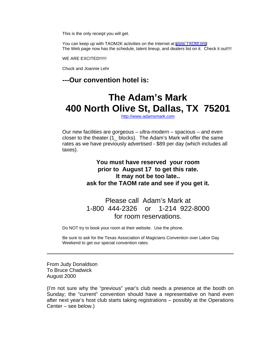This is the only receipt you will get.

You can keep up with TAOM2K activities on the Internet at [www.TAOM.org](http://www.taom.org) The Web page now has the schedule, talent lineup, and dealers list on it. Check it out!!!!

WE ARE EXCITED!!!!!!

Chuck and Joannie Lehr

## **---Our convention hotel is:**

# **The Adam's Mark 400 North Olive St, Dallas, TX 75201**

<http://www.adamsmark.com>

Our new facilities are gorgeous – ultra-modern – spacious – and even closer to the theater (1\_ blocks). The Adam's Mark will offer the same rates as we have previously advertised - \$89 per day (which includes all taxes).

> **You must have reserved your room prior to August 17 to get this rate. It may not be too late.. ask for the TAOM rate and see if you get it.**

## Please call Adam's Mark at 1-800 444-2326 or 1-214 922-8000 for room reservations.

Do NOT try to book your room at their website. Use the phone.

Be sure to ask for the Texas Association of Magicians Convention over Labor Day Weekend to get our special convention rates.

From Judy Donaldson To Bruce Chadwick August 2000

(I'm not sure why the "previous" year's club needs a presence at the booth on Sunday; the "current" convention should have a representative on hand even after next year's host club starts taking registrations – possibly at the Operations Center – see below.)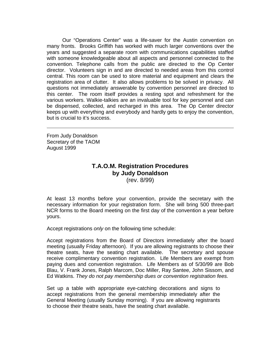Our "Operations Center" was a life-saver for the Austin convention on many fronts. Brooks Griffith has worked with much larger conventions over the years and suggested a separate room with communications capabilities staffed with someone knowledgeable about all aspects and personnel connected to the convention. Telephone calls from the public are directed to the Op Center director. Volunteers sign in and are directed to needed areas from this control central. This room can be used to store material and equipment and clears the registration area of clutter. It also allows problems to be solved in privacy. All questions not immediately answerable by convention personnel are directed to this center. The room itself provides a resting spot and refreshment for the various workers. Walkie-talkies are an invaluable tool for key personnel and can be dispensed, collected, and recharged in this area. The Op Center director keeps up with everything and everybody and hardly gets to enjoy the convention, but is crucial to it's success.

From Judy Donaldson Secretary of the TAOM August 1999

## **T.A.O.M. Registration Procedures by Judy Donaldson** (rev. 8/99)

At least 13 months before your convention, provide the secretary with the necessary information for your registration form. She will bring 500 three-part NCR forms to the Board meeting on the first day of the convention a year before yours.

Accept registrations *only* on the following time schedule:

Accept registrations from the Board of Directors immediately after the board meeting (usually Friday afternoon). If you are allowing registrants to choose their theatre seats, have the seating chart available. The secretary and spouse receive complimentary convention registration. Life Members are exempt from paying dues and convention registration. Life Members as of 5/30/99 are Bob Blau, V. Frank Jones, Ralph Marcom, Doc Miller, Ray Santee, John Sissom, and Ed Watkins. *They do not pay membership dues or convention registration fees.*

Set up a table with appropriate eye-catching decorations and signs to accept registrations from the general membership immediately after the General Meeting (usually Sunday morning). If you are allowing registrants to choose their theatre seats, have the seating chart available.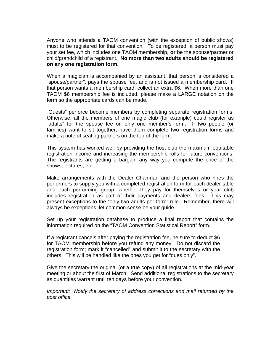Anyone who attends a TAOM convention (with the exception of public shows) must to be registered for that convention. To be registered, a person must pay your set fee, which includes one TAOM membership, **or** be the spouse/partner or child/grandchild of a registrant. **No more than two adults should be registered on any one registration form.**

When a magician is accompanied by an assistant, that person is considered a "spouse/partner", pays the spouse fee, and is not issued a membership card. If that person wants a membership card, collect an extra \$6. When more than one TAOM \$6 membership fee is included, please make a LARGE notation on the form so the appropriate cards can be made.

"Guests" perforce become members by completing separate registration forms. Otherwise, all the members of one magic club (for example) could register as "adults" for the spouse fee on only one member's form. If two people (or families) want to sit together, have them complete two registration forms and make a note of seating partners on the top of the form.

This system has worked well by providing the host club the maximum equitable registration income and increasing the membership rolls for future conventions. The registrants are getting a bargain any way you compute the price of the shows, lectures, etc.

Make arrangements with the Dealer Chairman and the person who hires the performers to supply you with a completed registration form for each dealer table and each performing group, whether they pay for themselves or your club includes registration as part of their payments and dealers fees. This may present exceptions to the "only two adults per form" rule. Remember, there will always be exceptions; let common sense be your guide.

Set up your registration database to produce a final report that contains the information required on the "TAOM Convention Statistical Report" form.

If a registrant cancels after paying the registration fee, be sure to deduct \$6 for TAOM membership before you refund any money. Do not discard the registration form; mark it "cancelled" and submit it to the secretary with the others. This will be handled like the ones you get for "dues only".

Give the secretary the original (or a true copy) of all registrations at the mid-year meeting or about the first of March. Send additional registrations to the secretary as quantities warrant until ten days before your convention*.*

*Important: Notify the secretary of address corrections and mail returned by the post office.*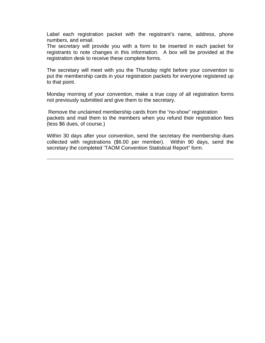Label each registration packet with the registrant's name, address, phone numbers, and email.

The secretary will provide you with a form to be inserted in each packet for registrants to note changes in this information. A box will be provided at the registration desk to receive these complete forms.

The secretary will meet with you the Thursday night before your convention to put the membership cards in your registration packets for everyone registered up to that point.

Monday morning of your convention, make a true copy of all registration forms not previously submitted and give them to the secretary.

 Remove the unclaimed membership cards from the "no-show" registration packets and mail them to the members when you refund their registration fees (less \$6 dues, of course.)

Within 30 days after your convention, send the secretary the membership dues collected with registrations (\$6.00 per member). Within 90 days, send the secretary the completed 'TAOM Convention Statistical Report" form.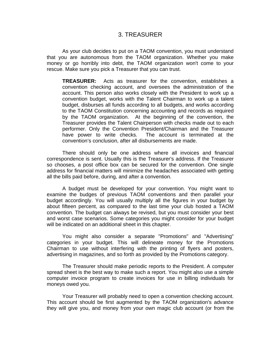## 3. TREASURER

As your club decides to put on a TAOM convention, you must understand that you are autonomous from the TAOM organization. Whether you make money or go horribly into debt, the TAOM organization won't come to your rescue. Make sure you pick a Treasurer that you can trust.

**TREASURER:** Acts as treasurer for the convention, establishes a convention checking account, and oversees the administration of the account. This person also works closely with the President to work up a convention budget, works with the Talent Chairman to work up a talent budget, disburses all funds according to all budgets, and works according to the TAOM Constitution concerning accounting and records as required by the TAOM organization. At the beginning of the convention, the Treasurer provides the Talent Chairperson with checks made out to each performer. Only the Convention President/Chairman and the Treasurer have power to write checks. The account is terminated at the convention's conclusion, after all disbursements are made.

There should only be one address where all invoices and financial correspondence is sent. Usually this is the Treasurer's address. If the Treasurer so chooses, a post office box can be secured for the convention. One single address for financial matters will minimize the headaches associated with getting all the bills paid before, during, and after a convention.

A budget must be developed for your convention. You might want to examine the budges of previous TAOM conventions and then parallel your budget accordingly. You will usually multiply all the figures in your budget by about fifteen percent, as compared to the last time your club hosted a TAOM convention. The budget can always be revised, but you must consider your best and worst case scenarios. Some categories you might consider for your budget will be indicated on an additional sheet in this chapter.

You might also consider a separate "Promotions" and "Advertising" categories in your budget. This will delineate money for the Promotions Chairman to use without interfering with the printing of flyers and posters, advertising in magazines, and so forth as provided by the Promotions category.

The Treasurer should make periodic reports to the President. A computer spread sheet is the best way to make such a report. You might also use a simple computer invoice program to create invoices for use in billing individuals for moneys owed you.

Your Treasurer will probably need to open a convention checking account. This account should be first augmented by the TAOM organization's advance they will give you, and money from your own magic club account (or from the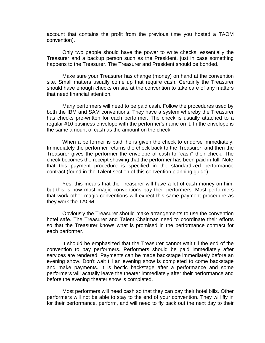account that contains the profit from the previous time you hosted a TAOM convention).

Only two people should have the power to write checks, essentially the Treasurer and a backup person such as the President, just in case something happens to the Treasurer. The Treasurer and President should be bonded.

Make sure your Treasurer has change (money) on hand at the convention site. Small matters usually come up that require cash. Certainly the Treasurer should have enough checks on site at the convention to take care of any matters that need financial attention.

Many performers will need to be paid cash. Follow the procedures used by both the IBM and SAM conventions. They have a system whereby the Treasurer has checks pre-written for each performer. The check is usually attached to a regular #10 business envelope with the performer's name on it. In the envelope is the same amount of cash as the amount on the check.

When a performer is paid, he is given the check to endorse immediately. Immediately the performer returns the check back to the Treasurer, and then the Treasurer gives the performer the envelope of cash to "cash" their check. The check becomes the receipt showing that the performer has been paid in full. Note that this payment procedure is specified in the standardized performance contract (found in the Talent section of this convention planning guide).

Yes, this means that the Treasurer will have a lot of cash money on him, but this is how most magic conventions pay their performers. Most performers that work other magic conventions will expect this same payment procedure as they work the TAOM.

Obviously the Treasurer should make arrangements to use the convention hotel safe. The Treasurer and Talent Chairman need to coordinate their efforts so that the Treasurer knows what is promised in the performance contract for each performer.

It should be emphasized that the Treasurer cannot wait till the end of the convention to pay performers. Performers should be paid immediately after services are rendered. Payments can be made backstage immediately before an evening show. Don't wait till an evening show is completed to come backstage and make payments. It is hectic backstage after a performance and some performers will actually leave the theater immediately after their performance and before the evening theater show is completed.

Most performers will need cash so that they can pay their hotel bills. Other performers will not be able to stay to the end of your convention. They will fly in for their performance, perform, and will need to fly back out the next day to their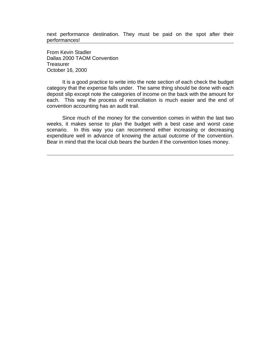next performance destination. They must be paid on the spot after their performances!

From Kevin Stadler Dallas 2000 TAOM Convention **Treasurer** October 16, 2000

It is a good practice to write into the note section of each check the budget category that the expense falls under. The same thing should be done with each deposit slip except note the categories of income on the back with the amount for each. This way the process of reconciliation is much easier and the end of convention accounting has an audit trail.

Since much of the money for the convention comes in within the last two weeks, it makes sense to plan the budget with a best case and worst case scenario. In this way you can recommend either increasing or decreasing expenditure well in advance of knowing the actual outcome of the convention. Bear in mind that the local club bears the burden if the convention loses money.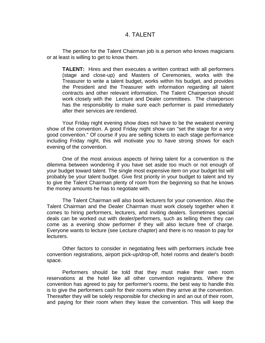## 4. TALENT

The person for the Talent Chairman job is a person who knows magicians or at least is willing to get to know them.

**TALENT:** Hires and then executes a written contract with all performers (stage and close-up) and Masters of Ceremonies, works with the Treasurer to write a talent budget, works within his budget, and provides the President and the Treasurer with information regarding all talent contracts and other relevant information. The Talent Chairperson should work closely with the Lecture and Dealer committees. The chairperson has the responsibility to make sure each performer is paid immediately after their services are rendered.

Your Friday night evening show does not have to be the weakest evening show of the convention. A good Friday night show can "set the stage for a very good convention." Of course if you are selling tickets to each stage performance including Friday night, this will motivate you to have strong shows for each evening of the convention.

One of the most anxious aspects of hiring talent for a convention is the dilemma between wondering if you have set aside too much or not enough of your budget toward talent. The single most expensive item on your budget list will probably be your talent budget. Give first priority in your budget to talent and try to give the Talent Chairman plenty of room from the beginning so that he knows the money amounts he has to negotiate with.

The Talent Chairman will also book lecturers for your convention. Also the Talent Chairman and the Dealer Chairman must work closely together when it comes to hiring performers, lecturers, and inviting dealers. Sometimes special deals can be worked out with dealer/performers, such as telling them they can come as a evening show performer if they will also lecture free of charge. Everyone wants to lecture (see Lecture chapter) and there is no reason to pay for lecturers.

Other factors to consider in negotiating fees with performers include free convention registrations, airport pick-up/drop-off, hotel rooms and dealer's booth space.

Performers should be told that they must make their own room reservations at the hotel like all other convention registrants. Where the convention has agreed to pay for performer's rooms, the best way to handle this is to give the performers cash for their rooms when they arrive at the convention. Thereafter they will be solely responsible for checking in and an out of their room, and paying for their room when they leave the convention. This will keep the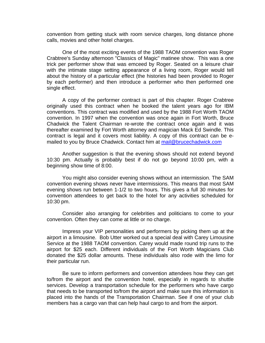convention from getting stuck with room service charges, long distance phone calls, movies and other hotel charges.

One of the most exciting events of the 1988 TAOM convention was Roger Crabtree's Sunday afternoon "Classics of Magic" matinee show. This was a one trick per performer show that was emceed by Roger. Seated on a leisure chair with the intimate stage setting appearance of a living room, Roger would tell about the history of a particular effect (the histories had been provided to Roger by each performer) and then introduce a performer who then performed one single effect.

A copy of the performer contract is part of this chapter. Roger Crabtree originally used this contract when he booked the talent years ago for IBM conventions. This contract was modified and used by the 1988 Fort Worth TAOM convention. In 1997 when the convention was once again in Fort Worth, Bruce Chadwick the Talent Chairman re-wrote the contract once again and it was thereafter examined by Fort Worth attorney and magician Mack Ed Swindle. This contract is legal and it covers most liability. A copy of this contract can be emailed to you by Bruce Chadwick. Contact him at mail@brucechadwick.com

Another suggestion is that the evening shows should not extend beyond 10:30 pm. Actually is probably best if do not go beyond 10:00 pm, with a beginning show time of 8:00.

You might also consider evening shows without an intermission. The SAM convention evening shows never have intermissions. This means that most SAM evening shows run between 1-1/2 to two hours. This gives a full 30 minutes for convention attendees to get back to the hotel for any activities scheduled for 10:30 pm.

Consider also arranging for celebrities and politicians to come to your convention. Often they can come at little or no charge.

Impress your VIP personalities and performers by picking them up at the airport in a limousine. Bob Utter worked out a special deal with Carey Limousine Service at the 1988 TAOM convention. Carey would made round trip runs to the airport for \$25 each. Different individuals of the Fort Worth Magicians Club donated the \$25 dollar amounts. These individuals also rode with the limo for their particular run.

Be sure to inform performers and convention attendees how they can get to/from the airport and the convention hotel, especially in regards to shuttle services. Develop a transportation schedule for the performers who have cargo that needs to be transported to/from the airport and make sure this information is placed into the hands of the Transportation Chairman. See if one of your club members has a cargo van that can help haul cargo to and from the airport.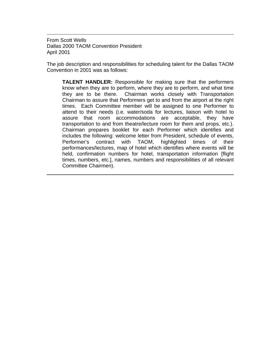From Scott Wells Dallas 2000 TAOM Convention President April 2001

The job description and responsibilities for scheduling talent for the Dallas TAOM Convention in 2001 was as follows:

**TALENT HANDLER:** Responsible for making sure that the performers know when they are to perform, where they are to perform, and what time they are to be there. Chairman works closely with Transportation Chairman to assure that Performers get to and from the airport at the right times. Each Committee member will be assigned to one Performer to attend to their needs (i.e. water/soda for lectures, liaison with hotel to assure that room accommodations are acceptable, they have transportation to and from theatre/lecture room for them and props, etc.). Chairman prepares booklet for each Performer which identifies and includes the following: welcome letter from President, schedule of events, Performer's contract with TAOM, highlighted times of their performances/lectures, map of hotel which identifies where events will be held, confirmation numbers for hotel, transportation information [flight times, numbers, etc.], names, numbers and responsibilities of all relevant Committee Chairmen).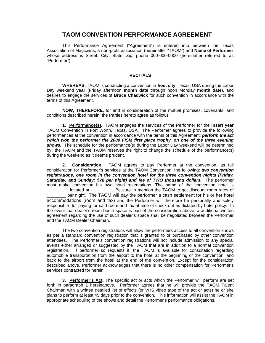### **TAOM CONVENTION PERFORMANCE AGREEMENT**

This Performance Agreement ("Agreement") is entered into between the Texas Association of Magicians, a non-profit association (hereinafter "TAOM") and **Name of Performer** whose address is Street, City, State, Zip, phone 000-000-0000 (hereinafter referred to as "Performer").

#### **RECITALS**

**WHEREAS,** TAOM is conducting a convention in **host city**, Texas, USA during the Labor Day weekend **year** (Friday afternoon **month date** through noon Monday **month date**), and desires to engage the services of **Bruce Chadwick** for such convention in accordance with the terms of this Agreement.

**NOW, THEREFORE,** for and in consideration of the mutual promises, covenants, and conditions described herein, the Parties hereto agree as follows:

**1. Performance(s).** TAOM engages the services of the Performer for the **insert year** TAOM Convention in Fort Worth, Texas, USA. The Performer agrees to provide the following performances at the convention in accordance with the terms of this Agreement: *perform the act which won the performer the 2000 FISM first place trophy, on one of the three evening shows.* The schedule for the performance(s) during the Labor Day weekend will be determined by the TAOM and the TAOM reserves the right to change the schedule of the performance(s) during the weekend as it deems prudent.

**2. Consideration.** TAOM agrees to pay Performer at the convention, as full consideration for Performer's services at the TAOM Convention, the following: *two convention registrations, one room in the convention hotel for the three convention nights (Friday, Saturday, and Sunday; \$78 per night) and fee of TWO thousand dollars.* The performer must make convention his own hotel reservations. The name of the convention hotel is located at \_\_\_\_\_\_\_\_\_. Be sure to mention the TAOM to get discount room rates of per night. The TAOM will pay the performer a cash settlement for his or her hotel accommodations (room and tax) and the Performer will therefore be personally and solely responsible for paying for said room and tax at time of check-out as dictated by hotel policy. In the event that dealer's room booth space is part of the consideration above, a additional written agreement regarding the use of such dealer's space shall be negotiated between the Performer and the TAOM Dealer Chairman.

The two convention registrations will allow the performers access to all convention shows as per a standard convention registration that is granted to or purchased by other convention attendees. The Performer's convention registrations will not include admission to any special events either arranged or suggested by the TAOM that are in addition to a normal convention registration. If performer so requests it, the TAOM is available for consultation regarding automobile transportation from the airport to the hotel at the beginning of the convention, and back to the airport from the hotel at the end of the convention. Except for the consideration described above, Performer acknowledges that there is no other compensation for Performer's services contracted for herein.

**3. Performer's Act.** The specific act or acts which the Performer will perform are set forth in paragraph 1 hereinabove. Performer agrees that he will provide the TAOM Talent Chairman with a written detailed list of effects (or VHS video tape of the act or acts) he or she plans to perform at least 45 days prior to the convention. This information will assist the TAOM in appropriate scheduling of the shows and detail the Performer's performance obligations.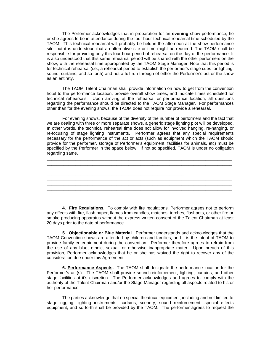The Performer acknowledges that in preparation for an **evening** show performance, he or she agrees to be in attendance during the four hour technical rehearsal time scheduled by the TAOM. This technical rehearsal will probably be held in the afternoon at the show performance site, but it is understood that an alternative site or time might be required. The TAOM shall be responsible for providing only this four hour period of rehearsal on the day of the performance. It is also understood that this same rehearsal period will be shared with the other performers on the show, with the rehearsal time appropriated by the TAOM Stage Manager. Note that this period is for technical rehearsal (i.e., a rehearsal period to establish the performer's stage cues for lighting, sound, curtains, and so forth) and not a full run-through of either the Performer's act or the show as an entirety.

The TAOM Talent Chairman shall provide information on how to get from the convention hotel to the performance location, provide overall show times, and indicate times scheduled for technical rehearsals. Upon arriving at the rehearsal or performance location, all questions regarding the performance should be directed to the TAOM Stage Manager. For performances other than for the evening shows, the TAOM does not require nor provide a rehearsal.

For evening shows, because of the diversity of the number of performers and the fact that we are dealing with three or more separate shows, a generic stage lighting plot will be developed. In other words, the technical rehearsal time does not allow for involved hanging, re-hanging, or re-focusing of stage lighting instruments. Performer agrees that any special requirements necessary for the performance of the act or acts (such as equipment which the TAOM should provide for the performer, storage of Performer's equipment, facilities for animals, etc) must be specified by the Performer in the space below. If not so specified, TAOM is under no obligation regarding same.



**4. Fire Regulations.** To comply with fire regulations, Performer agrees not to perform any effects with fire, flash paper, flames from candles, matches, torches, flashpots, or other fire or smoke producing apparatus without the express written consent of the Talent Chairman at least 20 days prior to the date of performance.

**5. Objectionable or Blue Material**. Performer understands and acknowledges that the TAOM Convention shows are attended by children and families, and it is the intent of TAOM to provide family entertainment during the convention. Performer therefore agrees to refrain from the use of any blue, ethnic, sexual, or otherwise inappropriate mater. Upon breach of this provision, Performer acknowledges that he or she has waived the right to recover any of the consideration due under this Agreement.

**6. Performance Aspects.** The TAOM shall designate the performance location for the Performer's act(s). The TAOM shall provide sound reinforcement, lighting, curtains, and other stage facilities at it's discretion. The Performer acknowledges and agrees to comply with the authority of the Talent Chairman and/or the Stage Manager regarding all aspects related to his or her performance.

The parties acknowledge that no special theatrical equipment, including and not limited to stage rigging, lighting instruments, curtains, scenery, sound reinforcement, special effects equipment, and so forth shall be provided by the TAOM. The performer agrees to request the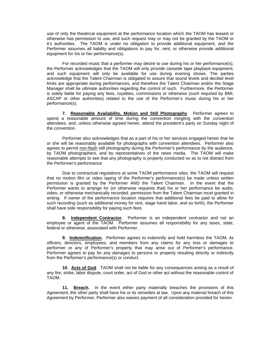use of only the theatrical equipment at the performance location which the TAOM has leased or otherwise has permission to use, and such request may or may not be granted by the TAOM or it's authorities. The TAOM is under no obligation to provide additional equipment, and the Performer assumes all liability and obligations to pay for, rent, or otherwise provide additional equipment for his or her performance(s).

For recorded music that a performer may desire to use during his or her performance(s), the Performer acknowledges that the TAOM will only provide cassette tape playback equipment, and such equipment will only be available for use during evening shows. The parties acknowledge that the Talent Chairman is obligated to assure that sound levels and decibel level limits are appropriate during performances, and therefore the Talent Chairman and/or the Stage Manager shall be ultimate authorities regarding the control of such. Furthermore, the Performer is solely liable for paying any fees, royalties, commissions or otherwise (such required by BMI, ASCAP or other authorities) related to the use of the Performer's music during his or her performance(s).

**7. Reasonable Availability, Motion and Still Photography**. Performer agrees to spend a reasonable amount of time during the convention mingling with the convention attendees, and, unless otherwise agreed herein, attend the president's party on Sunday night of the convention.

Performer also acknowledges that as a part of his or her services engaged herein that he or she will be reasonably available for photographs with convention attendees. Performer also agrees to permit non-flash still photography during the Performer's performance by the audience, by TAOM photographers, and by representatives of the news media. The TAOM will make reasonable attempts to see that any photography is properly conducted so as to not distract from the Performer's performance.

Due to contractual regulations at some TAOM performance sites, the TAOM will request that no motion film or video taping of the Performer's performance(s) be made unless written permission is granted by the Performer AND the Talent Chairman. In the event that the Performer wants to arrange for (or otherwise requests that) his or her performance be audio, video, or otherwise mechanically recorded, permission from the Talent Chairman must granted in writing. If owner of the performance location requires that additional fees be paid to allow for such recording (such as additional money for rent, stage hand labor, and so forth), the Performer shall have sole responsibility for paying such fees.

**8. Independent Contractor.** Performer is an independent contractor and not an employee or agent of the TAOM. Performer assumes all responsibility for any taxes, state, federal or otherwise, associated with Performer.

**9. Indemnification.** Performer agrees to indemnify and hold harmless the TAOM, its officers, directors, employees, and members from any claims for any loss or damages to performer or any of Performer's property that may arise out of Performer's performance. Performer agrees to pay for any damages to persons or property resulting directly or indirectly from the Performer's performance(s) or conduct.

**10. Acts of God**. TAOM shall not be liable for any consequences arising as a result of any fire, strike, labor dispute, court order, act of God or other act without the reasonable control of TAOM.

**11. Breach.** In the event either party materially breaches the provisions of this Agreement, the other party shall have his or its remedies at law. Upon any material breach of this Agreement by Performer, Performer also waives payment of all consideration provided for herein.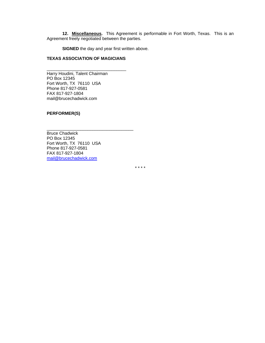**12. Miscellaneous.** This Agreement is performable in Fort Worth, Texas. This is an Agreement freely negotiated between the parties.

**SIGNED** the day and year first written above.

#### **TEXAS ASSOCIATION OF MAGICIANS**

\_\_\_\_\_\_\_\_\_\_\_\_\_\_\_\_\_\_\_\_\_\_\_\_\_\_\_\_\_\_\_\_\_

\_\_\_\_\_\_\_\_\_\_\_\_\_\_\_\_\_\_\_\_\_\_\_\_\_\_\_\_\_\_\_\_\_\_\_\_

Harry Houdini, Talent Chairman PO Box 12345 Fort Worth, TX 76110 USA Phone 817-927-0581 FAX 817-927-1804 mail@brucechadwick.com

#### **PERFORMER(S)**

Bruce Chadwick PO Box 12345 Fort Worth, TX 76110 USA Phone 817-927-0581 FAX 817-927-1804 mail@brucechadwick.com

\* \* \* \*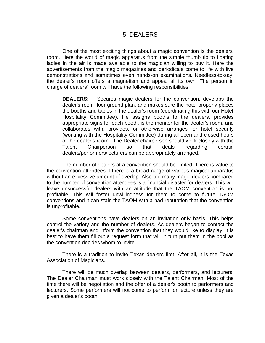## 5. DEALERS

One of the most exciting things about a magic convention is the dealers' room. Here the world of magic apparatus from the simple thumb tip to floating ladies in the air is made available to the magician willing to buy it. Here the advertisements from the magic magazines and periodicals come to life with live demonstrations and sometimes even hands-on examinations. Needless-to-say, the dealer's room offers a magnetism and appeal all its own. The person in charge of dealers' room will have the following responsibilities:

**DEALERS:** Secures magic dealers for the convention, develops the dealer's room floor ground plan, and makes sure the hotel properly places the booths and tables in the dealer's room (coordinating this with our Hotel Hospitality Committee). He assigns booths to the dealers, provides appropriate signs for each booth, is the monitor for the dealer's room, and collaborates with, provides, or otherwise arranges for hotel security (working with the Hospitality Committee) during all open and closed hours of the dealer's room. The Dealer chairperson should work closely with the Talent Chairperson so that deals regarding certain dealers/performers/lecturers can be appropriately arranged.

The number of dealers at a convention should be limited. There is value to the convention attendees if there is a broad range of various magical apparatus without an excessive amount of overlap. Also too many magic dealers compared to the number of convention attendees is a financial disaster for dealers. This will leave unsuccessful dealers with an attitude that the TAOM convention is not profitable. This will foster unwillingness for them to come to future TAOM conventions and it can stain the TAOM with a bad reputation that the convention is unprofitable.

Some conventions have dealers on an invitation only basis. This helps control the variety and the number of dealers. As dealers began to contact the dealer's chairman and inform the convention that they would like to display, it is best to have them fill out a request form that will in turn put them in the pool as the convention decides whom to invite.

There is a tradition to invite Texas dealers first. After all, it is the Texas Association of Magicians.

There will be much overlap between dealers, performers, and lecturers. The Dealer Chairman must work closely with the Talent Chairman. Most of the time there will be negotiation and the offer of a dealer's booth to performers and lecturers. Some performers will not come to perform or lecture unless they are given a dealer's booth.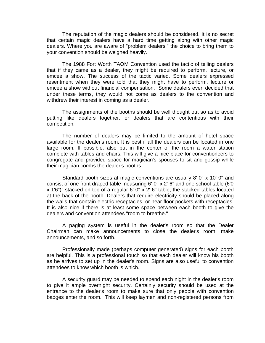The reputation of the magic dealers should be considered. It is no secret that certain magic dealers have a hard time getting along with other magic dealers. Where you are aware of "problem dealers," the choice to bring them to your convention should be weighed heavily.

The 1988 Fort Worth TAOM Convention used the tactic of telling dealers that if they came as a dealer, they might be required to perform, lecture, or emcee a show. The success of the tactic varied. Some dealers expressed resentment when they were told that they might have to perform, lecture or emcee a show without financial compensation. Some dealers even decided that under these terms, they would not come as dealers to the convention and withdrew their interest in coming as a dealer.

The assignments of the booths should be well thought out so as to avoid putting like dealers together, or dealers that are contentious with their competition.

The number of dealers may be limited to the amount of hotel space available for the dealer's room. It is best if all the dealers can be located in one large room. If possible, also put in the center of the room a water station complete with tables and chairs. This will give a nice place for conventioneers to congregate and provided space for magician's spouses to sit and gossip while their magician combs the dealer's booths.

Standard booth sizes at magic conventions are usually 8'-0" x 10'-0" and consist of one front draped table measuring 6'-0" x 2'-6" and one school table (6'0 x 1'6")" stacked on top of a regular 6'-0" x 2'-6" table, the stacked tables located at the back of the booth. Dealers that require electricity should be placed along the walls that contain electric receptacles, or near floor pockets with receptacles. It is also nice if there is at least some space between each booth to give the dealers and convention attendees "room to breathe."

A paging system is useful in the dealer's room so that the Dealer Chairman can make announcements to close the dealer's room, make announcements, and so forth.

Professionally made (perhaps computer generated) signs for each booth are helpful. This is a professional touch so that each dealer will know his booth as he arrives to set up in the dealer's room. Signs are also useful to convention attendees to know which booth is which.

A security guard may be needed to spend each night in the dealer's room to give it ample overnight security. Certainly security should be used at the entrance to the dealer's room to make sure that only people with convention badges enter the room. This will keep laymen and non-registered persons from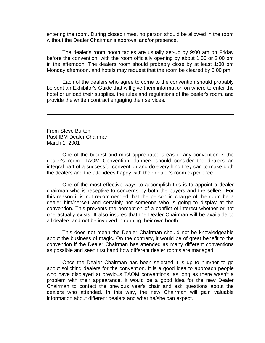entering the room. During closed times, no person should be allowed in the room without the Dealer Chairman's approval and/or presence.

The dealer's room booth tables are usually set-up by 9:00 am on Friday before the convention, with the room officially opening by about 1:00 or 2:00 pm in the afternoon. The dealers room should probably close by at least 1:00 pm Monday afternoon, and hotels may request that the room be cleared by 3:00 pm.

Each of the dealers who agree to come to the convention should probably be sent an Exhibitor's Guide that will give them information on where to enter the hotel or unload their supplies, the rules and regulations of the dealer's room, and provide the written contract engaging their services.

From Steve Burton Past IBM Dealer Chairman March 1, 2001

One of the busiest and most appreciated areas of any convention is the dealer's room. TAOM Convention planners should consider the dealers an integral part of a successful convention and do everything they can to make both the dealers and the attendees happy with their dealer's room experience.

One of the most effective ways to accomplish this is to appoint a dealer chairman who is receptive to concerns by both the buyers and the sellers. For this reason it is not recommended that the person in charge of the room be a dealer him/herself and certainly not someone who is going to display at the convention. This prevents the perception of a conflict of interest whether or not one actually exists. It also insures that the Dealer Chairman will be available to all dealers and not be involved in running their own booth.

This does not mean the Dealer Chairman should not be knowledgeable about the business of magic. On the contrary, it would be of great benefit to the convention if the Dealer Chairman has attended as many different conventions as possible and seen first hand how different dealer rooms are managed.

Once the Dealer Chairman has been selected it is up to him/her to go about soliciting dealers for the convention. It is a good idea to approach people who have displayed at previous TAOM conventions, as long as there wasn't a problem with their appearance. It would be a good idea for the new Dealer Chairman to contact the previous year's chair and ask questions about the dealers who attended. In this way, the new Chairman will gain valuable information about different dealers and what he/she can expect.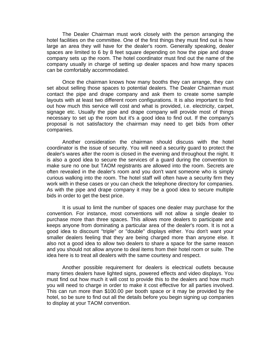The Dealer Chairman must work closely with the person arranging the hotel facilities on the committee. One of the first things they must find out is how large an area they will have for the dealer's room. Generally speaking, dealer spaces are limited to 6 by 8 feet square depending on how the pipe and drape company sets up the room. The hotel coordinator must find out the name of the company usually in charge of setting up dealer spaces and how many spaces can be comfortably accommodated.

Once the chairman knows how many booths they can arrange, they can set about selling those spaces to potential dealers. The Dealer Chairman must contact the pipe and drape company and ask them to create some sample layouts with at least two different room configurations. It is also important to find out how much this service will cost and what is provided, i.e. electricity, carpet, signage etc. Usually the pipe and drape company will provide most of things necessary to set up the room but it's a good idea to find out. If the company's proposal is not satisfactory the chairman may need to get bids from other companies.

Another consideration the chairman should discuss with the hotel coordinator is the issue of security. You will need a security guard to protect the dealer's wares after the room is closed in the evening and throughout the night. It is also a good idea to secure the services of a guard during the convention to make sure no one but TAOM registrants are allowed into the room. Secrets are often revealed in the dealer's room and you don't want someone who is simply curious walking into the room. The hotel staff will often have a security firm they work with in these cases or you can check the telephone directory for companies. As with the pipe and drape company it may be a good idea to secure multiple bids in order to get the best price.

It is usual to limit the number of spaces one dealer may purchase for the convention. For instance, most conventions will not allow a single dealer to purchase more than three spaces. This allows more dealers to participate and keeps anyone from dominating a particular area of the dealer's room. It is not a good idea to discount "triple" or "double" displays either. You don't want your smaller dealers feeling that they are being charged more than anyone else. It also not a good idea to allow two dealers to share a space for the same reason and you should not allow anyone to deal items from their hotel room or suite. The idea here is to treat all dealers with the same courtesy and respect.

Another possible requirement for dealers is electrical outlets because many times dealers have lighted signs, powered effects and video displays. You must find out how much it will cost to provide this to the dealers and how much you will need to charge in order to make it cost effective for all parties involved. This can run more than \$100.00 per booth space or it may be provided by the hotel, so be sure to find out all the details before you begin signing up companies to display at your TAOM convention.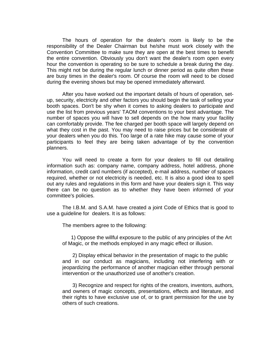The hours of operation for the dealer's room is likely to be the responsibility of the Dealer Chairman but he/she must work closely with the Convention Committee to make sure they are open at the best times to benefit the entire convention. Obviously you don't want the dealer's room open every hour the convention is operating so be sure to schedule a break during the day. This might not be during the regular lunch or dinner period as quite often these are busy times in the dealer's room. Of course the room will need to be closed during the evening shows but may be opened immediately afterward.

After you have worked out the important details of hours of operation, setup, security, electricity and other factors you should begin the task of selling your booth spaces. Don't be shy when it comes to asking dealers to participate and use the list from previous years' TAOM conventions to your best advantage. The number of spaces you will have to sell depends on the how many your facility can comfortably provide. The fee charged per booth space will largely depend on what they cost in the past. You may need to raise prices but be considerate of your dealers when you do this. Too large of a rate hike may cause some of your participants to feel they are being taken advantage of by the convention planners.

You will need to create a form for your dealers to fill out detailing information such as: company name, company address, hotel address, phone information, credit card numbers (if accepted), e-mail address, number of spaces required, whether or not electricity is needed, etc. It is also a good idea to spell out any rules and regulations in this form and have your dealers sign it. This way there can be no question as to whether they have been informed of your committee's policies.

The I.B.M. and S.A.M. have created a joint Code of Ethics that is good to use a guideline for dealers. It is as follows:

The members agree to the following:

 1) Oppose the willful exposure to the public of any principles of the Art of Magic, or the methods employed in any magic effect or illusion.

 2) Display ethical behavior in the presentation of magic to the public and in our conduct as magicians, including not interfering with or jeopardizing the performance of another magician either through personal intervention or the unauthorized use of another's creation.

 3) Recognize and respect for rights of the creators, inventors, authors, and owners of magic concepts, presentations, effects and literature, and their rights to have exclusive use of, or to grant permission for the use by others of such creations.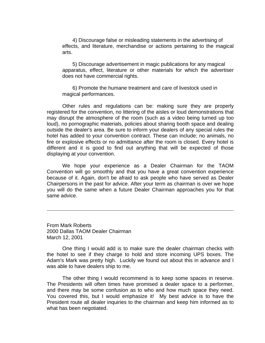4) Discourage false or misleading statements in the advertising of effects, and literature, merchandise or actions pertaining to the magical arts.

 5) Discourage advertisement in magic publications for any magical apparatus, effect, literature or other materials for which the advertiser does not have commercial rights.

 6) Promote the humane treatment and care of livestock used in magical performances.

Other rules and regulations can be: making sure they are properly registered for the convention, no littering of the aisles or loud demonstrations that may disrupt the atmosphere of the room (such as a video being turned up too loud), no pornographic materials, policies about sharing booth space and dealing outside the dealer's area. Be sure to inform your dealers of any special rules the hotel has added to your convention contract. These can include; no animals, no fire or explosive effects or no admittance after the room is closed. Every hotel is different and it is good to find out anything that will be expected of those displaying at your convention.

We hope your experience as a Dealer Chairman for the TAOM Convention will go smoothly and that you have a great convention experience because of it. Again, don't be afraid to ask people who have served as Dealer Chairpersons in the past for advice. After your term as chairman is over we hope you will do the same when a future Dealer Chairman approaches you for that same advice.

From Mark Roberts 2000 Dallas TAOM Dealer Chairman March 12, 2001

One thing I would add is to make sure the dealer chairman checks with the hotel to see if they charge to hold and store incoming UPS boxes. The Adam's Mark was pretty high. Luckily we found out about this in advance and I was able to have dealers ship to me.

The other thing I would recommend is to keep some spaces in reserve. The Presidents will often times have promised a dealer space to a performer, and there may be some confusion as to who and how much space they need. You covered this, but I would emphasize it! My best advice is to have the President route all dealer inquiries to the chairman and keep him informed as to what has been negotiated.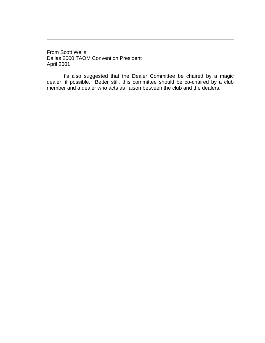From Scott Wells Dallas 2000 TAOM Convention President April 2001

It's also suggested that the Dealer Committee be chaired by a magic dealer, if possible. Better still, this committee should be co-chaired by a club member and a dealer who acts as liaison between the club and the dealers.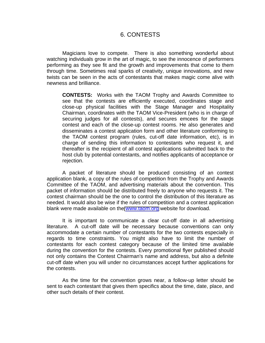## 6. CONTESTS

Magicians love to compete. There is also something wonderful about watching individuals grow in the art of magic, to see the innocence of performers performing as they see fit and the growth and improvements that come to them through time. Sometimes real sparks of creativity, unique innovations, and new twists can be seen in the acts of contestants that makes magic come alive with newness and brilliance.

**CONTESTS:** Works with the TAOM Trophy and Awards Committee to see that the contests are efficiently executed, coordinates stage and close-up physical facilities with the Stage Manager and Hospitality Chairman, coordinates with the TAOM Vice-President (who is in charge of securing judges for all contests), and secures emcees for the stage contest and each of the close-up contest rooms. He also generates and disseminates a contest application form and other literature conforming to the TAOM contest program (rules, cut-off date information, etc), is in charge of sending this information to contestants who request it, and thereafter is the recipient of all contest applications submitted back to the host club by potential contestants, and notifies applicants of acceptance or rejection.

A packet of literature should be produced consisting of an contest application blank, a copy of the rules of competition from the Trophy and Awards Committee of the TAOM, and advertising materials about the convention. This packet of information should be distributed freely to anyone who requests it. The contest chairman should be the one to control the distribution of this literature as needed. It would also be wise if the rules of competition and a contest application blank were made available on the [www.taom.org](http://www.taom.org) website for download.

It is important to communicate a clear cut-off date in all advertising literature. A cut-off date will be necessary because conventions can only accommodate a certain number of contestants for the two contests especially in regards to time constraints. You might also have to limit the number of contestants for each contest category because of the limited time available during the convention for the contests. Every promotional flyer published should not only contains the Contest Chairman's name and address, but also a definite cut-off date when you will under no circumstances accept further applications for the contests.

As the time for the convention grows near, a follow-up letter should be sent to each contestant that gives them specifics about the time, date, place, and other such details of their contest.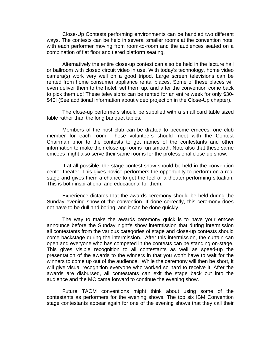Close-Up Contests performing environments can be handled two different ways. The contests can be held in several smaller rooms at the convention hotel with each performer moving from room-to-room and the audiences seated on a combination of flat floor and tiered platform seating.

Alternatively the entire close-up contest can also be held in the lecture hall or ballroom with closed circuit video in use. With today's technology, home video camera(s) work very well on a good tripod. Large screen televisions can be rented from home consumer appliance rental places. Some of these places will even deliver them to the hotel, set them up, and after the convention come back to pick them up! These televisions can be rented for an entire week for only \$30- \$40! (See additional information about video projection in the Close-Up chapter).

The close-up performers should be supplied with a small card table sized table rather than the long banquet tables.

Members of the host club can be drafted to become emcees, one club member for each room. These volunteers should meet with the Contest Chairman prior to the contests to get names of the contestants and other information to make their close-up rooms run smooth. Note also that these same emcees might also serve their same rooms for the professional close-up show.

If at all possible, the stage contest show should be held in the convention center theater. This gives novice performers the opportunity to perform on a real stage and gives them a chance to get the feel of a theater-performing situation. This is both inspirational and educational for them.

Experience dictates that the awards ceremony should be held during the Sunday evening show of the convention. If done correctly, this ceremony does not have to be dull and boring, and it can be done quickly.

The way to make the awards ceremony quick is to have your emcee announce before the Sunday night's show intermission that during intermission all contestants from the various categories of stage and close-up contests should come backstage during the intermission. After this intermission, the curtain can open and everyone who has competed in the contests can be standing on-stage. This gives visible recognition to all contestants as well as speed-up the presentation of the awards to the winners in that you won't have to wait for the winners to come up out of the audience. While the ceremony will then be short, it will give visual recognition everyone who worked so hard to receive it. After the awards are disbursed, all contestants can exit the stage back out into the audience and the MC came forward to continue the evening show.

Future TAOM conventions might think about using some of the contestants as performers for the evening shows. The top six IBM Convention stage contestants appear again for one of the evening shows that they call their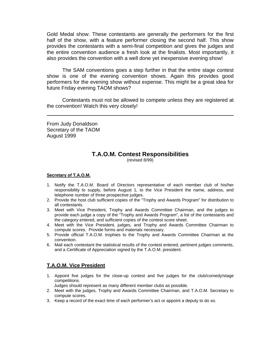Gold Medal show. These contestants are generally the performers for the first half of the show, with a feature performer closing the second half. This show provides the contestants with a semi-final competition and gives the judges and the entire convention audience a fresh look at the finalists. Most importantly, it also provides the convention with a well done yet inexpensive evening show!

The SAM conventions goes a step further in that the entire stage contest show is one of the evening convention shows. Again this provides good performers for the evening show without expense. This might be a great idea for future Friday evening TAOM shows?

Contestants must not be allowed to compete unless they are registered at the convention! Watch this very closely!

From Judy Donaldson Secretary of the TAOM August 1999

## **T.A.O.M. Contest Responsibilities**

(revised 8/99)

#### **Secretary of T.A.O.M.**

- 1. Notify the T.A.O.M. Board of Directors representative of each member club of his/her responsibility to supply, before August 1, to the Vice President the name, address, and telephone number of three prospective judges.
- 2. Provide the host club sufficient copies of the "Trophy and Awards Program" for distribution to all contestants.
- 3. Meet with Vice President, Trophy and Awards Committee Chairman, and the judges to provide each judge a copy of the "Trophy and Awards Program", a list of the contestants and the category entered, and sufficient copies of the contest score sheet.
- 4. Meet with the Vice President, judges, and Trophy and Awards Committee Chairman to compute scores. Provide forms and materials necessary.
- 5. Provide official T.A.O.M. trophies to the Trophy and Awards Committee Chairman at the convention.
- 6. Mail each contestant the statistical results of the contest entered, pertinent judges comments, and a Certificate of Appreciation signed by the T.A.O.M. president.

## **T.A.O.M. Vice President**

- 1. Appoint five judges for the close-up contest and five judges for the club/comedy/stage competitions.
- Judges should represent as many different member clubs as possible.
- 2. Meet with the judges, Trophy and Awards Committee Chairman, and T.A.O.M. Secretary to compute scores.
- 3. Keep a record of the exact time of each performer's act or appoint a deputy to do so.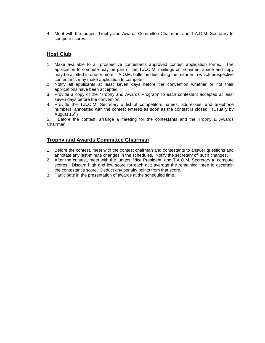4. Meet with the judges, Trophy and Awards Committee Chairman, and T.A.O.M. Secretary to compute scores.

### **Host Club**

- 1. Make available to all prospective contestants approved contest application forms. The application to compete may be part of the T.A.O.M. mailings or prominent space and copy may be allotted in one or more T.A.O.M. bulletins describing the manner in which prospective contestants may make application to compete.
- 2. Notify all applicants at least seven days before the convention whether or not their applications have been accepted.
- 3. Provide a copy of the "Trophy and Awards Program" to each contestant accepted at least seven days before the convention.
- 4. Provide the T.A.O.M. Secretary a list of competitors names, addresses, and telephone numbers, annotated with the contest entered as soon as the contest is closed. (Usually by August 15<sup>th</sup>)

5. Before the contest, arrange a meeting for the contestants and the Trophy & Awards Chairman.

#### **Trophy and Awards Committee Chairman**

- 1. Before the contest, meet with the contest chairman and contestants to answer questions and annotate any last-minute changes in the schedules. Notify the secretary of such changes.
- 2. After the contest, meet with the judges, Vice President, and T.A.O.M. Secretary to compute scores. Discard high and low score for each act; average the remaining three to ascertain the contestant's score. Deduct any penalty points from that score.
- 3. Participate in the presentation of awards at the scheduled time.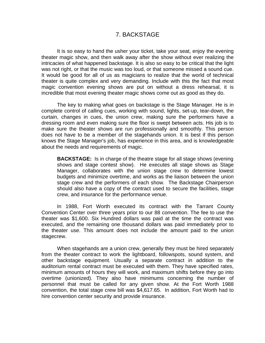## 7. BACKSTAGE

It is so easy to hand the usher your ticket, take your seat, enjoy the evening theater magic show, and then walk away after the show without ever realizing the intricacies of what happened backstage. It is also so easy to be critical that the light was not right, or that the music was too loud, or that someone missed a sound cue. It would be good for all of us as magicians to realize that the world of technical theater is quite complex and very demanding. Include with this the fact that most magic convention evening shows are put on without a dress rehearsal, it is incredible that most evening theater magic shows come out as good as they do.

The key to making what goes on backstage is the Stage Manager. He is in complete control of calling cues, working with sound, lights, set-up, tear-down, the curtain, changes in cues, the union crew, making sure the performers have a dressing room and even making sure the floor is swept between acts. His job is to make sure the theater shows are run professionally and smoothly. This person does not have to be a member of the stagehands union. It is best if this person knows the Stage Manager's job, has experience in this area, and is knowledgeable about the needs and requirements of magic.

**BACKSTAGE:** Is in charge of the theatre stage for all stage shows (evening shows and stage contest show). He executes all stage shows as Stage Manager, collaborates with the union stage crew to determine lowest budgets and minimize overtime, and works as the liaison between the union stage crew and the performers of each show. The Backstage Chairperson should also have a copy of the contract used to secure the facilities, stage crew, and insurance for the performance venue.

In 1988, Fort Worth executed its contract with the Tarrant County Convention Center over three years prior to our 88 convention. The fee to use the theater was \$1,600. Six Hundred dollars was paid at the time the contract was executed, and the remaining one thousand dollars was paid immediately prior to the theater use. This amount does not include the amount paid to the union stagecrew.

When stagehands are a union crew, generally they must be hired separately from the theater contract to work the lightboard, followspots, sound system, and other backstage equipment. Usually a separate contract in addition to the auditorium rental contract must be executed with them. They have specified rates, minimum amounts of hours they will work, and maximum shifts before they go into overtime (unionized). They also have minimums concerning the number of personnel that must be called for any given show. At the Fort Worth 1988 convention, the total stage crew bill was \$4,617.65. In addition, Fort Worth had to hire convention center security and provide insurance.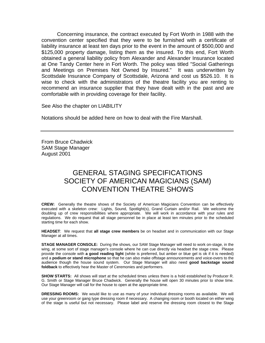Concerning insurance, the contract executed by Fort Worth in 1988 with the convention center specified that they were to be furnished with a certificate of liability insurance at least ten days prior to the event in the amount of \$500,000 and \$125,000 property damage, listing them as the insured. To this end, Fort Worth obtained a general liability policy from Alexander and Alexander Insurance located at One Tandy Center here in Fort Worth. The policy was titled "Social Gatherings and Meetings on Premises Not Owned by Insured." It was underwritten by Scottsdale Insurance Company of Scottsdale, Arizona and cost us \$526.10. It is wise to check with the administrators of the theatre facility you are renting to recommend an insurance supplier that they have dealt with in the past and are comfortable with in providing coverage for their facility.

See Also the chapter on LIABILITY

Notations should be added here on how to deal with the Fire Marshall.

From Bruce Chadwick SAM Stage Manager August 2001

## GENERAL STAGING SPECIFICATIONS SOCIETY OF AMERICAN MAGICIANS (SAM) CONVENTION THEATRE SHOWS

**CREW:** Generally the theatre shows of the Society of American Magicians Convention can be effectively executed with a skeleton crew: Lights, Sound, Spotlight(s), Grand Curtain and/or Rail. We welcome the doubling up of crew responsibilities where appropriate. We will work in accordance with your rules and regulations. We do request that all stage personnel be in place at least ten minutes prior to the scheduled starting time for each show.

**HEADSET**: We request that **all stage crew members** be on headset and in communication with our Stage Manager at all times.

**STAGE MANAGER CONSOLE:** During the shows, our SAM Stage Manager will need to work on-stage, in the wing, at some sort of stage manager's console where he can cue directly via headset the stage crew. Please provide the console with **a good reading light** (white is preferred, but amber or blue gel is ok if it is needed) and a **podium or stand microphone** so that he can also make offstage announcements and voice-overs to the audience though the house sound system. Our Stage Manager will also need **good backstage sound foldback** to effectively hear the Master of Ceremonies and performers.

**SHOW STARTS:** All shows will start at the scheduled times unless there is a hold established by Producer R. G. Smith or Stage Manager Bruce Chadwick. Generally the house will open 30 minutes prior to show time. Our Stage Manager will call for the house to open at the appropriate time.

**DRESSING ROOMS:** We would like to use as many of your individual dressing rooms as available. We will use your greenroom or gang type dressing room if necessary. A changing room or booth located on either wing of the stage is useful but not necessary. Please label and reserve the dressing room closest to the Stage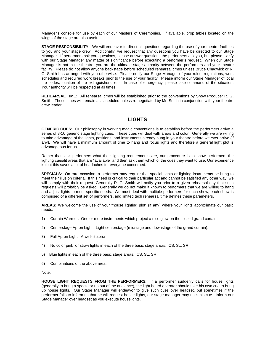Manager's console for use by each of our Masters of Ceremonies. If available, prop tables located on the wings of the stage are also useful.

**STAGE RESPONSIBILITY:** We will endeavor to direct all questions regarding the use of your theatre facilities to you and your stage crew. Additionally, we request that any questions you have be directed to our Stage Manager. If performers ask you questions, please answer questions the performers ask you, but please clarify with our Stage Manager any matter of significance before executing a performer's request. When our Stage Manager is not in the theatre, you are the ultimate stage authority between the performers and your theatre facility. Please do not allow anyone backstage before scheduled rehearsal times unless Bruce Chadwick or R. G. Smith has arranged with you otherwise. Please notify our Stage Manager of your rules, regulations, work schedules and required work breaks prior to the use of your facility. Please inform our Stage Manager of local fire codes, location of fire extinguishers, etc. In case of emergency, please take command of the situation. Your authority will be respected at all times.

**REHEARSAL TIME:** All rehearsal times will be established prior to the conventions by Show Producer R. G. Smith. These times will remain as scheduled unless re-negotiated by Mr. Smith in conjunction with your theatre crew leader.

#### **LIGHTS**

**GENERIC CUES:** Our philosophy in working magic conventions is to establish before the performers arrive a series of 8-10 generic stage lighting cues. These cues will deal with areas and color. Generally we are willing to take advantage of the lights, positions, and instruments already hung in your theatre before we ever arrive (if any). We will have a minimum amount of time to hang and focus lights and therefore a general light plot is advantageous for us.

Rather than ask performers what their lighting requirements are, our procedure is to show performers the lighting cues/lit areas that are "available" and then ask them which of the cues they want to use. Our experience is that this saves a lot of headaches for everyone concerned.

**SPECIALS**: On rare occasion, a performer may require that special lights or lighting instruments be hung to meet their illusion criteria. If this need is critical to their particular act and cannot be satisfied any other way, we will comply with their request. Generally R. G. Smith will notify you prior to a given rehearsal day that such requests will probably be asked. Generally we do not make it known to performers that we are willing to hang and adjust lights to meet specific needs. We must deal with multiple performers for each show, each show is comprised of a different set of performers, and limited tech rehearsal time defines these parameters.

**AREAS:** We welcome the use of your "house lighting plot" (if any) where your lights approximate our basic needs.

- 1) Curtain Warmer: One or more instruments which project a nice glow on the closed grand curtain.
- 2) Centerstage Apron Light: Light centerstage (midstage and downstage of the grand curtain).
- 3) Full Apron Light: A well-lit apron.
- 4) No color pink or straw lights in each of the three basic stage areas: CS, SL, SR
- 5) Blue lights in each of the three basic stage areas: CS, SL, SR
- 6) Combinations of the above area.

Note:

**HOUSE LIGHT REQUESTS FROM THE PERFORMERS**: If a performer suddenly calls for house lights (generally to bring a spectator up out of the audience), the light board operator should take his own cue to bring up house lights. Our Stage Manager will endeavor to give such cues over headset, but sometimes if the performer fails to inform us that he will request house lights, our stage manager may miss his cue. Inform our Stage Manager over headset as you execute houselights.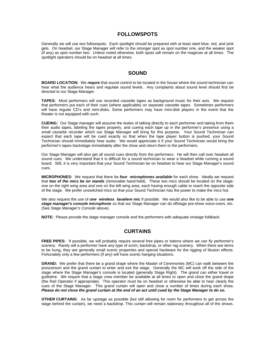#### **FOLLOWSPOTS**

Generally we will use two followspots. Each spotlight should be prepared with at least steel blue, red, and pink gels. On headset, our Stage Manager will refer to the stronger spot as spot number one, and the weaker spot (if any) as spot number two. Unless noted otherwise, both spots will remain on the magician at all times. The spotlight operators should be on headset at all times.

#### **SOUND**

**BOARD LOCATION:** We *requre* that sound control to be located in the house where the sound technician can hear what the audience hears and regulate sound levels. Any complaints about sound level should first be directed to our Stage Manager.

**TAPES:** Most performers will use recorded cassette tapes as background music for their acts. We request that performers put each of their cues (where applicable) on separate cassette tapes. Sometimes performers will have regular CD's and mini-disks. Some performers may have mini-disk players in the event that the theater is not equipped with such.

**CUEING:** Our Stage manager will assume the duties of talking directly to each performer and taking from them their audio tapes, labeling the tapes properly, and cueing each tape up in the performer's presence using a small cassette recorder which our Stage Manager will bring for this purpose. Your Sound Technician can expect that each tape will be cued exactly so that when the tape player button is pushed, your Sound Technician should immediately hear audio. We would appreciate it if your Sound Technician would bring the performer's tapes backstage immediately after the show and return them to the performers.

Our Stage Manager will also get all sound cues directly from the performers. He will then call over headset all sound cues. We understand that it is difficult for a sound technician to wear a headset while running a sound board. Still, it is very important that your Sound Technician be on headset to hear our Stage Manager's sound cues.

**MICROPHONES:** We request that there be *four microphones available* for each show. Ideally we request that *two of the mics be on stands* (removable hand-held). These two mics should be located on the stage; one on the right wing area and one on the left wing area, each having enough cable to reach the opposite side of the stage. We prefer unswitched mics so that your Sound Technician has the power to make the mics hot.

We also request the use of *one wireless lavaliere mic* if possible. We would also like to be able to use *one stage manager's console microphone* so that our Stage Manager can do offstage pre-show voice-overs, etc. (See *Stage Manager's Console* above).

**NOTE:** Please provide the stage manager console and the performers with adequate onstage foldback.

#### **CURTAINS**

**FREE PIPES:** If possible, we will probably require several free pipes or batons where we can fly performer's scenery. Rarely will a performer have any type of scrim, backdrop, or other rag scenery. When there are items to be hung, they are generally small scenic properties and special hardware for the rigging of illusion effects. Fortunately only a few performers (if any) will have scenic hanging situations.

**GRAND:** We prefer that there be a grand drape where the Master of Ceremonies (MC) can walk between the proscenium and the grand curtain to enter and exit the stage. Generally the MC will work off the side of the stage where the Stage Manager's console is located (generally Stage Right). The grand can either travel or guillotine. We require that a stage crew member be available at all times to open and close the grand drape (the Rail Operator if appropriate). This operator must be on headset or otherwise be able to hear clearly the cues of the Stage Manager. This grand curtain will open and close a number of times during each show**.** *Please do not close the grand curtain at the end of an act until cued by the Stage Manager to do so.*

**OTHER CURTAINS:** As far upstage as possible (but still allowing for room for performers to get across the stage behind the curtain), we need a backdrop. This curtain will remain stationary throughout all of the shows.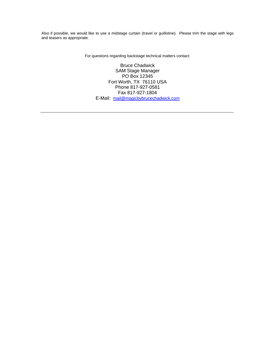Also if possible, we would like to use a midstage curtain (travel or guillotine). Please trim the stage with legs and teasers as appropriate.

For questions regarding backstage technical matters contact:

Bruce Chadwick SAM Stage Manager PO Box 12345 Fort Worth, TX 76110 USA Phone 817-927-0581 Fax 817-927-1804 E-Mail: mail@magicbybrucechadwick.com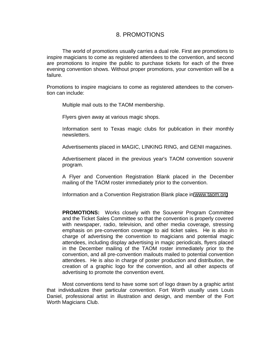### 8. PROMOTIONS

The world of promotions usually carries a dual role. First are promotions to inspire magicians to come as registered attendees to the convention, and second are promotions to inspire the public to purchase tickets for each of the three evening convention shows. Without proper promotions, your convention will be a failure.

Promotions to inspire magicians to come as registered attendees to the convention can include:

Multiple mail outs to the TAOM membership.

Flyers given away at various magic shops.

Information sent to Texas magic clubs for publication in their monthly newsletters.

Advertisements placed in MAGIC, LINKING RING, and GENII magazines.

Advertisement placed in the previous year's TAOM convention souvenir program.

A Flyer and Convention Registration Blank placed in the December mailing of the TAOM roster immediately prior to the convention.

Information and a Convention Registration Blank place in [www.taom.org](http://www.taom.org)

**PROMOTIONS:** Works closely with the Souvenir Program Committee and the Ticket Sales Committee so that the convention is properly covered with newspaper, radio, television, and other media coverage, stressing emphasis on pre-convention coverage to aid ticket sales. He is also in charge of advertising the convention to magicians and potential magic attendees, including display advertising in magic periodicals, flyers placed in the December mailing of the TAOM roster immediately prior to the convention, and all pre-convention mailouts mailed to potential convention attendees. He is also in charge of poster production and distribution, the creation of a graphic logo for the convention, and all other aspects of advertising to promote the convention event.

Most conventions tend to have some sort of logo drawn by a graphic artist that individualizes their particular convention. Fort Worth usually uses Louis Daniel, professional artist in illustration and design, and member of the Fort Worth Magicians Club.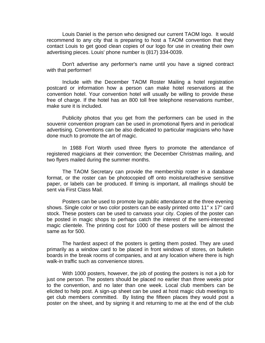Louis Daniel is the person who designed our current TAOM logo. It would recommend to any city that is preparing to host a TAOM convention that they contact Louis to get good clean copies of our logo for use in creating their own advertising pieces. Louis' phone number is (817) 334-0039.

Don't advertise any performer's name until you have a signed contract with that performer!

Include with the December TAOM Roster Mailing a hotel registration postcard or information how a person can make hotel reservations at the convention hotel. Your convention hotel will usually be willing to provide these free of charge. If the hotel has an 800 toll free telephone reservations number, make sure it is included.

Publicity photos that you get from the performers can be used in the souvenir convention program can be used in promotional flyers and in periodical advertising. Conventions can be also dedicated to particular magicians who have done much to promote the art of magic.

In 1988 Fort Worth used three flyers to promote the attendance of registered magicians at their convention; the December Christmas mailing, and two flyers mailed during the summer months.

The TAOM Secretary can provide the membership roster in a database format, or the roster can be photocopied off onto moisture/adhesive sensitive paper, or labels can be produced. If timing is important, all mailings should be sent via First Class Mail.

Posters can be used to promote lay public attendance at the three evening shows. Single color or two color posters can be easily printed onto 11" x 17" card stock. These posters can be used to canvass your city. Copies of the poster can be posted in magic shops to perhaps catch the interest of the semi-interested magic clientele. The printing cost for 1000 of these posters will be almost the same as for 500.

The hardest aspect of the posters is getting them posted. They are used primarily as a window card to be placed in front windows of stores, on bulletin boards in the break rooms of companies, and at any location where there is high walk-in traffic such as convenience stores.

With 1000 posters, however, the job of posting the posters is not a job for just one person. The posters should be placed no earlier than three weeks prior to the convention, and no later than one week. Local club members can be elicited to help post. A sign-up sheet can be used at host magic club meetings to get club members committed. By listing the fifteen places they would post a poster on the sheet, and by signing it and returning to me at the end of the club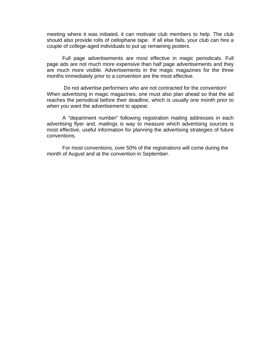meeting where it was initiated, it can motivate club members to help. The club should also provide rolls of cellophane tape. If all else fails, your club can hire a couple of college-aged individuals to put up remaining posters.

Full page advertisements are most effective in magic periodicals. Full page ads are not much more expensive than half page advertisements and they are much more visible. Advertisements in the magic magazines for the three months immediately prior to a convention are the most effective.

 Do not advertise performers who are not contracted for the convention! When advertising in magic magazines, one must also plan ahead so that the ad reaches the periodical before their deadline, which is usually one month prior to when you want the advertisement to appear.

A "department number" following registration mailing addresses in each advertising flyer and, mailings is way to measure which advertising sources is most effective, useful information for planning the advertising strategies of future conventions.

For most conventions, over 50% of the registrations will come during the month of August and at the convention in September.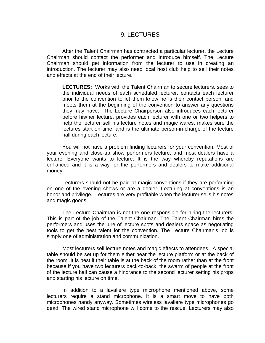#### 9. LECTURES

After the Talent Chairman has contracted a particular lecturer, the Lecture Chairman should contact the performer and introduce himself. The Lecture Chairman should get information from the lecturer to use in creating an introduction. The lecturer may also need local host club help to sell their notes and effects at the end of their lecture.

**LECTURES:** Works with the Talent Chairman to secure lecturers, sees to the individual needs of each scheduled lecturer, contacts each lecturer prior to the convention to let them know he is their contact person, and meets them at the beginning of the convention to answer any questions they may have. The Lecture Chairperson also introduces each lecturer before his/her lecture, provides each lecturer with one or two helpers to help the lecturer sell his lecture notes and magic wares, makes sure the lectures start on time, and is the ultimate person-in-charge of the lecture hall during each lecture.

You will not have a problem finding lecturers for your convention. Most of your evening and close-up show performers lecture, and most dealers have a lecture. Everyone wants to lecture. It is the way whereby reputations are enhanced and it is a way for the performers and dealers to make additional money.

Lecturers should not be paid at magic conventions if they are performing on one of the evening shows or are a dealer. Lecturing at conventions is an honor and privilege. Lectures are very profitable when the lecturer sells his notes and magic goods.

The Lecture Chairman is not the one responsible for hiring the lecturers! This is part of the job of the Talent Chairman. The Talent Chairman hires the performers and uses the lure of lecture spots and dealers space as negotiating tools to get the best talent for the convention. The Lecture Chairman's job is simply one of administration and communication.

Most lecturers sell lecture notes and magic effects to attendees. A special table should be set up for them either near the lecture platform or at the back of the room. It is best if their table is at the back of the room rather than at the front because if you have two lecturers back-to-back, the swarm of people at the front of the lecture hall can cause a hindrance to the second lecturer setting his props and starting his lecture on time.

In addition to a lavaliere type microphone mentioned above, some lecturers require a stand microphone. It is a smart move to have both microphones handy anyway. Sometimes wireless lavaliere type microphones go dead. The wired stand microphone will come to the rescue. Lecturers may also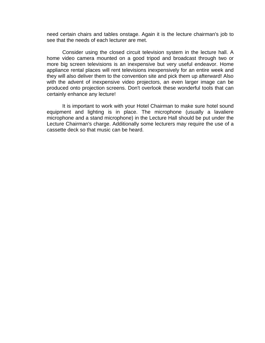need certain chairs and tables onstage. Again it is the lecture chairman's job to see that the needs of each lecturer are met.

Consider using the closed circuit television system in the lecture hall. A home video camera mounted on a good tripod and broadcast through two or more big screen televisions is an inexpensive but very useful endeavor. Home appliance rental places will rent televisions inexpensively for an entire week and they will also deliver them to the convention site and pick them up afterward! Also with the advent of inexpensive video projectors, an even larger image can be produced onto projection screens. Don't overlook these wonderful tools that can certainly enhance any lecture!

It is important to work with your Hotel Chairman to make sure hotel sound equipment and lighting is in place. The microphone (usually a lavaliere microphone and a stand microphone) in the Lecture Hall should be put under the Lecture Chairman's charge. Additionally some lecturers may require the use of a cassette deck so that music can be heard.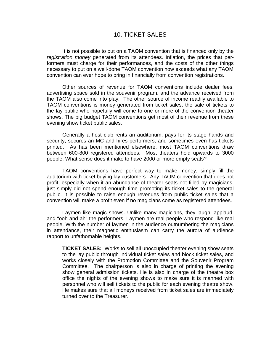### 10. TICKET SALES

It is not possible to put on a TAOM convention that is financed only by the *registration money* generated from its attendees. Inflation, the prices that performers must charge for their performances, and the costs of the other things necessary to put on a well-done TAOM convention now exceeds what any TAOM convention can ever hope to bring in financially from convention registrations.

Other sources of revenue for TAOM conventions include dealer fees, advertising space sold in the souvenir program, and the advance received from the TAOM also come into play. The other source of income readily available to TAOM conventions is money generated from ticket sales, the sale of tickets to the lay public who hopefully will come to one or more of the convention theater shows. The big budget TAOM conventions get most of their revenue from these evening show ticket public sales.

Generally a host club rents an auditorium, pays for its stage hands and security, secures an MC and hires performers, and sometimes even has tickets printed. As has been mentioned elsewhere, most TAOM conventions draw between 600-800 registered attendees. Most theaters hold upwards to 3000 people. What sense does it make to have 2000 or more empty seats?

TAOM conventions have perfect way to make money; simply fill the auditorium with ticket buying lay customers. Any TAOM convention that does not profit, especially when it an abundance of theater seats not filled by magicians, just simply did not spend enough time promoting its ticket sales to the general public. It is possible to raise enough revenues from public ticket sales that a convention will make a profit even if no magicians come as registered attendees.

Laymen like magic shows. Unlike many magicians, they laugh, applaud, and "ooh and ah" the performers. Laymen are real people who respond like real people. With the number of laymen in the audience outnumbering the magicians in attendance, their magnetic enthusiasm can carry the aurora of audience rapport to unfathomable heights.

**TICKET SALES:** Works to sell all unoccupied theater evening show seats to the lay public through individual ticket sales and block ticket sales, and works closely with the Promotion Committee and the Souvenir Program Committee. The chairperson is also in charge of printing the evening show general admission tickets. He is also in charge of the theatre box office the nights of the evening shows to make sure it is manned with personnel who will sell tickets to the public for each evening theatre show. He makes sure that all moneys received from ticket sales are immediately turned over to the Treasurer.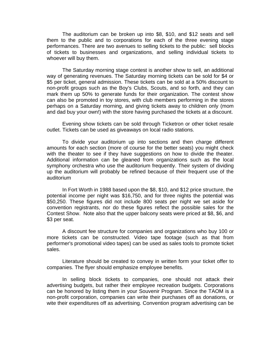The auditorium can be broken up into \$8, \$10, and \$12 seats and sell them to the public and to corporations for each of the three evening stage performances. There are two avenues to selling tickets to the public: sell blocks of tickets to businesses and organizations, and selling individual tickets to whoever will buy them.

The Saturday morning stage contest is another show to sell, an additional way of generating revenues. The Saturday morning tickets can be sold for \$4 or \$5 per ticket, general admission. These tickets can be sold at a 50% discount to non-profit groups such as the Boy's Clubs, Scouts, and so forth, and they can mark them up 50% to generate funds for their organization. The contest show can also be promoted in toy stores, with club members performing in the stores perhaps on a Saturday morning, and giving tickets away to children only (mom and dad buy your own!) with the store having purchased the tickets at a discount.

Evening show tickets can be sold through Ticketron or other ticket resale outlet. Tickets can be used as giveaways on local radio stations.

To divide your auditorium up into sections and then charge different amounts for each section (more of course for the better seats) you might check with the theater to see if they have suggestions on how to divide the theater. Additional information can be gleaned from organizations such as the local symphony orchestra who use the auditorium frequently. Their system of dividing up the auditorium will probably be refined because of their frequent use of the auditorium

In Fort Worth in 1988 based upon the \$8, \$10, and \$12 price structure, the potential income per night was \$16,750, and for three nights the potential was \$50,250. These figures did not include 800 seats per night we set aside for convention registrants, nor do these figures reflect the possible sales for the Contest Show. Note also that the upper balcony seats were priced at \$8, \$6, and \$3 per seat.

A discount fee structure for companies and organizations who buy 100 or more tickets can be constructed. Video tape footage (such as that from performer's promotional video tapes) can be used as sales tools to promote ticket sales.

Literature should be created to convey in written form your ticket offer to companies. The flyer should emphasize employee benefits.

In selling block tickets to companies, one should not attack their advertising budgets, but rather their employee recreation budgets. Corporations can be honored by listing them in your Souvenir Program. Since the TAOM is a non-profit corporation, companies can write their purchases off as donations, or wite their expenditures off as advertising. Convention program advertising can be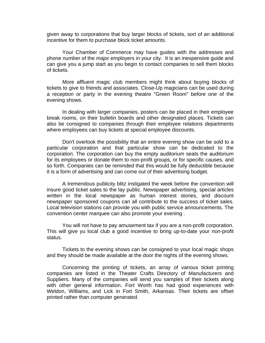given away to corporations that buy larger blocks of tickets, sort of an additional incentive for them to purchase block ticket amounts.

Your Chamber of Commerce may have guides with the addresses and phone number of the major employers in your city. It is an inexpensive guide and can give you a jump start as you begin to contact companies to sell them blocks of tickets.

More affluent magic club members might think about buying blocks of tickets to give to friends and associates. Close-Up magicians can be used during a reception or party in the evening theatre "Green Room" before one of the evening shows.

In dealing with larger companies, posters can be placed in their employee break rooms, on their bulletin boards and other designated places. Tickets can also be consigned to companies through their employee relations departments where employees can buy tickets at special employee discounts.

Don't overlook the possibility that an entire evening show can be sold to a particular corporation and that particular show can be dedicated to the corporation. The corporation can buy the empty auditorium seats the auditorium for its employees or donate them to non-profit groups, or for specific causes, and so forth. Companies can be reminded that this would be fully deductible because it is a form of advertising and can come out of their advertising budget.

A tremendous publicity blitz instigated the week before the convention will insure good ticket sales to the lay public. Newspaper advertising, special articles written in the local newspaper as human interest stories, and discount newspaper sponsored coupons can all contribute to the success of ticket sales. Local television stations can provide you with public service announcements. The convention center marquee can also promote your evening .

You will not have to pay amusement tax if you are a non-profit corporation. This will give yu local club a good incentive to bring up-to-date your non-profit status.

Tickets to the evening shows can be consigned to your local magic shops and they should be made available at the door the nights of the evening shows.

Concerning the printing of tickets, an array of various ticket printing companies are listed in the Theater Crafts Directory of Manufacturers and Suppliers. Many of the companies will send you samples of their tickets along with other general information. Fort Worth has had good experiences with Weldon, Williams, and Lick in Fort Smith, Arkansas. Their tickets are offset printed rather than computer generated.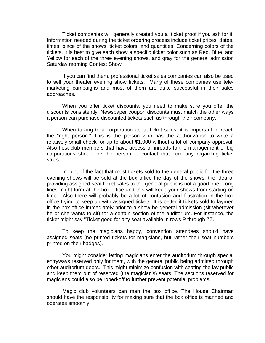Ticket companies will generally created you a ticket proof if you ask for it. Information needed during the ticket ordering process include ticket prices, dates, times, place of the shows, ticket colors, and quantities. Concerning colors of the tickets, it is best to give each show a specific ticket color such as Red, Blue, and Yellow for each of the three evening shows, and gray for the general admission Saturday morning Contest Show.

If you can find them, professional ticket sales companies can also be used to sell your theater evening show tickets. Many of these companies use telemarketing campaigns and most of them are quite successful in their sales approaches.

When you offer ticket discounts, you need to make sure you offer the discounts consistently. Newspaper coupon discounts must match the other ways a person can purchase discounted tickets such as through their company.

When talking to a corporation about ticket sales, it is important to reach the "right person." This is the person who has the authorization to write a relatively small check for up to about \$1,000 without a lot of company approval. Also host club members that have access or inroads to the management of big corporations should be the person to contact that company regarding ticket sales.

In light of the fact that most tickets sold to the general public for the three evening shows will be sold at the box office the day of the shows, the idea of providing assigned seat ticket sales to the general public is not a good one. Long lines might form at the box office and this will keep your shows from starting on time. Also there will probably be a lot of confusion and frustration in the box office trying to keep up with assigned tickets. It is better if tickets sold to laymen in the box office immediately prior to a show be general admission (sit wherever he or she wants to sit) for a certain section of the auditorium. For instance, the ticket might say "Ticket good for any seat available in rows P through ZZ.."

To keep the magicians happy, convention attendees should have assigned seats (no printed tickets for magicians, but rather their seat numbers printed on their badges).

You might consider letting magicians enter the auditorium through special entryways reserved only for them, with the general public being admitted through other auditorium doors. This might minimize confusion with seating the lay public and keep them out of reserved (the magician's) seats. The sections reserved for magicians could also be roped-off to further prevent potential problems.

Magic club volunteers can man the box office. The House Chairman should have the responsibility for making sure that the box office is manned and operates smoothly.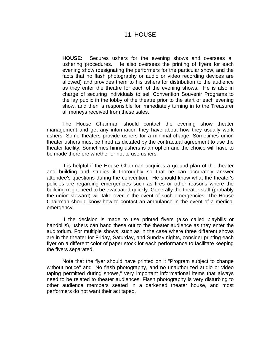#### 11. HOUSE

**HOUSE:** Secures ushers for the evening shows and oversees all ushering procedures. He also oversees the printing of flyers for each evening show (designating the performers for the particular show, and the facts that no flash photography or audio or video recording devices are allowed) and provides them to his ushers for distribution to the audience as they enter the theatre for each of the evening shows. He is also in charge of securing individuals to sell Convention Souvenir Programs to the lay public in the lobby of the theatre prior to the start of each evening show, and then is responsible for immediately turning in to the Treasurer all moneys received from these sales.

The House Chairman should contact the evening show theater management and get any information they have about how they usually work ushers. Some theaters provide ushers for a minimal charge. Sometimes union theater ushers must be hired as dictated by the contractual agreement to use the theater facility. Sometimes hiring ushers is an option and the choice will have to be made therefore whether or not to use ushers.

It is helpful if the House Chairman acquires a ground plan of the theater and building and studies it thoroughly so that he can accurately answer attendee's questions during the convention. He should know what the theater's policies are regarding emergencies such as fires or other reasons where the building might need to be evacuated quickly. Generally the theater staff (probably the union steward) will take over in the event of such emergencies. The House Chairman should know how to contact an ambulance in the event of a medical emergency.

If the decision is made to use printed flyers (also called playbills or handbills), ushers can hand these out to the theater audience as they enter the auditorium. For multiple shows, such as in the case where three different shows are in the theater for Friday, Saturday, and Sunday nights, consider printing each flyer on a different color of paper stock for each performance to facilitate keeping the flyers separated.

Note that the flyer should have printed on it "Program subject to change without notice" and "No flash photography, and no unauthorized audio or video taping permitted during shows," very important informational items that always need to be related to theater audiences. Flash photography is very disturbing to other audience members seated in a darkened theater house, and most performers do not want their act taped.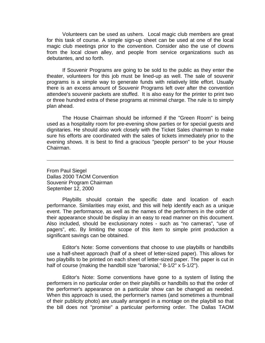Volunteers can be used as ushers. Local magic club members are great for this task of course. A simple sign-up sheet can be used at one of the local magic club meetings prior to the convention. Consider also the use of clowns from the local clown alley, and people from service organizations such as debutantes, and so forth.

If Souvenir Programs are going to be sold to the public as they enter the theater, volunteers for this job must be lined-up as well. The sale of souvenir programs is a simple way to generate funds with relatively little effort. Usually there is an excess amount of Souvenir Programs left over after the convention attendee's souvenir packets are stuffed. It is also easy for the printer to print two or three hundred extra of these programs at minimal charge. The rule is to simply plan ahead.

The House Chairman should be informed if the "Green Room" is being used as a hospitality room for pre-evening show parties or for special guests and dignitaries. He should also work closely with the Ticket Sales chairman to make sure his efforts are coordinated with the sales of tickets immediately prior to the evening shows. It is best to find a gracious "people person" to be your House Chairman.

From Paul Siegel Dallas 2000 TAOM Convention Souvenir Program Chairman September 12, 2000

Playbills should contain the specific date and location of each performance. Similarities may exist, and this will help identify each as a unique event. The performance, as well as the names of the performers in the order of their appearance should be display in an easy to read manner on this document. Also included, should be exclusionary notes - such as "no cameras", "use of pagers", etc. By limiting the scope of this item to simple print production a significant savings can be obtained.

Editor's Note: Some conventions that choose to use playbills or handbills use a half-sheet approach (half of a sheet of letter-sized paper). This allows for two playbills to be printed on each sheet of letter-sized paper. The paper is cut in half of course (making the handbill size "baronial," 8-1/2" x 5-1/2").

Editor's Note: Some conventions have gone to a system of listing the performers in no particular order on their playbills or handbills so that the order of the performer's appearance on a particular show can be changed as needed. When this approach is used, the performer's names (and sometimes a thumbnail of their publicity photo) are usually arranged in a montage on the playbill so that the bill does not "promise" a particular performing order. The Dallas TAOM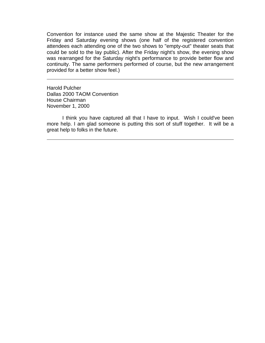Convention for instance used the same show at the Majestic Theater for the Friday and Saturday evening shows (one half of the registered convention attendees each attending one of the two shows to "empty-out" theater seats that could be sold to the lay public). After the Friday night's show, the evening show was rearranged for the Saturday night's performance to provide better flow and continuity. The same performers performed of course, but the new arrangement provided for a better show feel.)

Harold Pulcher Dallas 2000 TAOM Convention House Chairman November 1, 2000

I think you have captured all that I have to input. Wish I could've been more help. I am glad someone is putting this sort of stuff together. It will be a great help to folks in the future.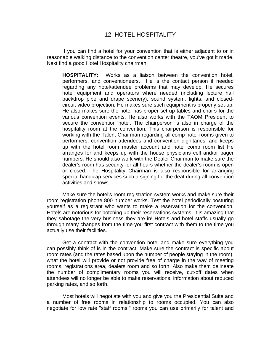If you can find a hotel for your convention that is either adjacent to or in reasonable walking distance to the convention center theatre, you've got it made. Next find a good Hotel Hospitality chairman.

**HOSPITALITY:** Works as a liaison between the convention hotel, performers, and conventioneers. He is the contact person if needed regarding any hotel/attendee problems that may develop. He secures hotel equipment and operators where needed (including lecture hall backdrop pipe and drape scenery), sound system, lights, and closedcircuit video projection. He makes sure such equipment is properly set-up. He also makes sure the hotel has proper set-up tables and chairs for the various convention events. He also works with the TAOM President to secure the convention hotel. The chairperson is also in charge of the hospitality room at the convention. This chairperson is responsible for working with the Talent Chairman regarding all comp hotel rooms given to performers, convention attendees and convention dignitaries, and keeps up with the hotel room master account and hotel comp room list He arranges for and keeps up with the house physicians cell and/or pager numbers. He should also work with the Dealer Chairman to make sure the dealer's room has security for all hours whether the dealer's room is open or closed. The Hospitality Chairman is also responsible for arranging special handicap services such a signing for the deaf during all convention activities and shows.

Make sure the hotel's room registration system works and make sure their room registration phone 800 number works. Test the hotel periodically posturing yourself as a registrant who wants to make a reservation for the convention. Hotels are notorious for botching up their reservations systems. It is amazing that they sabotage the very business they are in! Hotels and hotel staffs usually go through many changes from the time you first contract with them to the time you actually use their facilities.

Get a contract with the convention hotel and make sure everything you can possibly think of is in the contract. Make sure the contract is specific about room rates (and the rates based upon the number of people staying in the room), what the hotel will provide or not provide free of charge in the way of meeting rooms, registrations area, dealers room and so forth. Also make them delineate the number of complimentary rooms you will receive, cut-off dates when attendees will no longer be able to make reservations, information about reduced parking rates, and so forth.

Most hotels will negotiate with you and give you the Presidential Suite and a number of free rooms in relationship to rooms occupied. You can also negotiate for low rate "staff rooms," rooms you can use primarily for talent and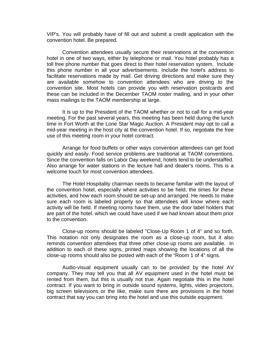VIP's. You will probably have of fill out and submit a credit application with the convention hotel. Be prepared.

Convention attendees usually secure their reservations at the convention hotel in one of two ways, either by telephone or mail. You hotel probably has a toll free phone number that goes direct to their hotel reservation system. Include this phone number in all your advertisements. Include the hotel's address to facilitate reservations made by mail. Get driving directions and make sure they are available somehow to convention attendees who are driving to the convention site. Most hotels can provide you with reservation postcards and these can be included in the December TAOM roster mailing, and in your other mass mailings to the TAOM membership at large.

It is up to the President of the TAOM whether or not to call for a mid-year meeting. For the past several years, this meeting has been held during the lunch time in Fort Worth at the Lone Star Magic Auction. A President may opt to call a mid-year meeting in the host city at the convention hotel. If so, negotiate the free use of this meeting room in your hotel contract.

Arrange for food buffets or other ways convention attendees can get food quickly and easily. Food service problems are traditional at TAOM conventions. Since the convention falls on Labor Day weekend, hotels tend to be understaffed. Also arrange for water stations in the lecture hall and dealer's rooms. This is a welcome touch for most convention attendees.

The Hotel Hospitality chairman needs to became familiar with the layout of the convention hotel, especially where activities to be held, the times for these activities, and how each room should be set-up and arranged. He needs to make sure each room is labeled properly so that attendees will know where each activity will be held. If meeting rooms have them, use the door label holders that are part of the hotel. which we could have used if we had known about them prior to the convention.

Close-up rooms should be labeled "Close-Up Room 1 of 4" and so forth. This notation not only designates the room as a close-up room, but it also reminds convention attendees that three other close-up rooms are available. In addition to each of these signs, printed maps showing the locations of all the close-up rooms should also be posted with each of the "Room 1 of 4" signs.

Audio-visual equipment usually can to be provided by the hotel AV company. They may tell you that all AV equipment used in the hotel must be rented from them, but this is usually not true. Again negotiate this in the hotel contract. If you want to bring in outside sound systems, lights, video projectors, big screen televisions or the like, make sure there are provisions in the hotel contract that say you can bring into the hotel and use this outside equipment.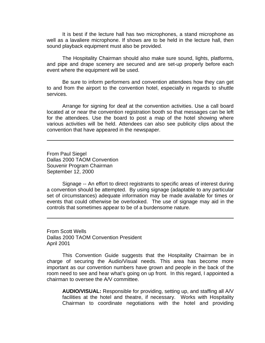It is best if the lecture hall has two microphones, a stand microphone as well as a lavaliere microphone. If shows are to be held in the lecture hall, then sound playback equipment must also be provided.

The Hospitality Chairman should also make sure sound, lights, platforms, and pipe and drape scenery are secured and are set-up properly before each event where the equipment will be used.

Be sure to inform performers and convention attendees how they can get to and from the airport to the convention hotel, especially in regards to shuttle services.

Arrange for signing for deaf at the convention activities. Use a call board located at or near the convention registration booth so that messages can be left for the attendees. Use the board to post a map of the hotel showing where various activities will be held. Attendees can also see publicity clips about the convention that have appeared in the newspaper.

From Paul Siegel Dallas 2000 TAOM Convention Souvenir Program Chairman September 12, 2000

Signage -- An effort to direct registrants to specific areas of interest during a convention should be attempted. By using signage (adaptable to any particular set of circumstances) adequate information may be made available for times or events that could otherwise be overlooked. The use of signage may aid in the controls that sometimes appear to be of a burdensome nature.

From Scott Wells Dallas 2000 TAOM Convention President April 2001

This Convention Guide suggests that the Hospitality Chairman be in charge of securing the Audio/Visual needs. This area has become more important as our convention numbers have grown and people in the back of the room need to see and hear what's going on up front. In this regard, I appointed a chairman to oversee the A/V committee.

**AUDIO/VISUAL:** Responsible for providing, setting up, and staffing all A/V facilities at the hotel and theatre, if necessary. Works with Hospitality Chairman to coordinate negotiations with the hotel and providing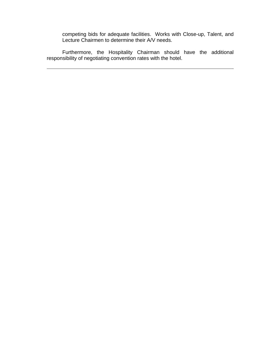competing bids for adequate facilities. Works with Close-up, Talent, and Lecture Chairmen to determine their A/V needs.

Furthermore, the Hospitality Chairman should have the additional responsibility of negotiating convention rates with the hotel.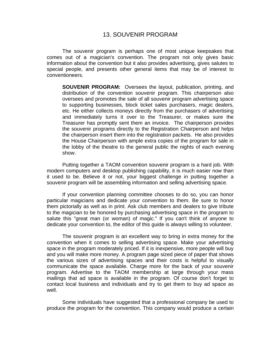### 13. SOUVENIR PROGRAM

The souvenir program is perhaps one of most unique keepsakes that comes out of a magician's convention. The program not only gives basic information about the convention but it also provides advertising, gives salutes to special people, and presents other general items that may be of interest to conventioneers.

**SOUVENIR PROGRAM:** Oversees the layout, publication, printing, and distribution of the convention souvenir program. This chairperson also oversees and promotes the sale of all souvenir program advertising space to supporting businesses, block ticket sales purchasers, magic dealers, etc. He either collects moneys directly from the purchasers of advertising and immediately turns it over to the Treasurer, or makes sure the Treasurer has promptly sent them an invoice. The chairperson provides the souvenir programs directly to the Registration Chairperson and helps the chairperson insert them into the registration packets. He also provides the House Chairperson with ample extra copies of the program for sale in the lobby of the theatre to the general public the nights of each evening show.

Putting together a TAOM convention souvenir program is a hard job. With modern computers and desktop publishing capability, it is much easier now than it used to be. Believe it or not, your biggest challenge in putting together a souvenir program will be assembling information and selling advertising space.

If your convention planning committee chooses to do so, you can honor particular magicians and dedicate your convention to them. Be sure to honor them pictorially as well as in print. Ask club members and dealers to give tribute to the magician to be honored by purchasing advertising space in the program to salute this "great man (or woman) of magic." If you can't think of anyone to dedicate your convention to, the editor of this guide is always willing to volunteer.

The souvenir program is an excellent way to bring in extra money for the convention when it comes to selling advertising space. Make your advertising space in the program moderately priced. If it is inexpensive, more people will buy and you will make more money. A program page sized piece of paper that shows the various sizes of advertising spaces and their costs is helpful to visually communicate the space available. Charge more for the back of your souvenir program. Advertise to the TAOM membership at large through your mass mailings that ad space is available in the program. Of course don't forget to contact local business and individuals and try to get them to buy ad space as well.

Some individuals have suggested that a professional company be used to produce the program for the convention. This company would produce a certain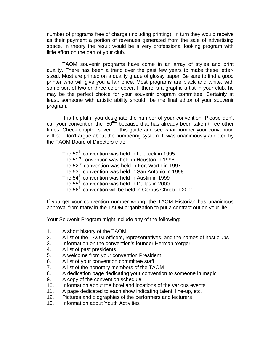number of programs free of charge (including printing). In turn they would receive as their payment a portion of revenues generated from the sale of advertising space. In theory the result would be a very professional looking program with little effort on the part of your club.

TAOM souvenir programs have come in an array of styles and print quality. There has been a trend over the past few years to make these lettersized. Most are printed on a quality grade of glossy paper. Be sure to find a good printer who will give you a fair price. Most programs are black and white, with some sort of two or three color cover. If there is a graphic artist in your club, he may be the perfect choice for your souvenir program committee. Certainly at least, someone with artistic ability should be the final editor of your souvenir program.

It is helpful if you designate the number of your convention. Please don't call your convention the "50<sup>th"</sup> because that has already been taken three other times! Check chapter seven of this guide and see what number your convention will be. Don't argue about the numbering system. It was unanimously adopted by the TAOM Board of Directors that:

The  $50<sup>th</sup>$  convention was held in Lubbock in 1995 The 51<sup>st</sup> convention was held in Houston in 1996 The 52<sup>nd</sup> convention was held in Fort Worth in 1997 The 53<sup>rd</sup> convention was held in San Antonio in 1998 The 54<sup>th</sup> convention was held in Austin in 1999 The  $55<sup>th</sup>$  convention was held in Dallas in 2000 The 56<sup>th</sup> convention will be held in Corpus Christi in 2001

If you get your convention number wrong, the TAOM Historian has unanimous approval from many in the TAOM organization to put a contract out on your life!

Your Souvenir Program might include any of the following:

- 1. A short history of the TAOM
- 2. A list of the TAOM officers, representatives, and the names of host clubs
- 3. Information on the convention's founder Herman Yerger
- 4. A list of past presidents
- 5. A welcome from your convention President
- 6. A list of your convention committee staff
- 7. A list of the honorary members of the TAOM
- 8. A dedication page dedicating your convention to someone in magic
- 9. A copy of the convention schedule
- 10. Information about the hotel and locations of the various events
- 11. A page dedicated to each show indicating talent, line-up, etc.
- 12. Pictures and biographies of the performers and lecturers
- 13. Information about Youth Activities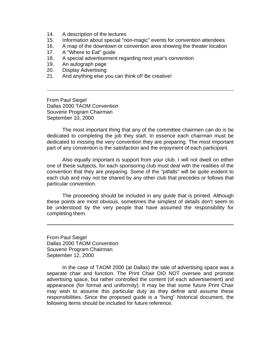- 14. A description of the lectures
- 15. Information about special "non-magic" events for convention attendees
- 16. A map of the downtown or convention area showing the theater location
- 17. A "Where to Eat" guide
- 18. A special advertisement regarding next year's convention
- 19. An autograph page
- 20. Display Advertising
- 21. And anything else you can think of! Be creative!

From Paul Siegel Dallas 2000 TAOM Convention Souvenir Program Chairman September 10, 2000

The most important thing that any of the committee chairmen can do is be dedicated to completing the job they start. In essence each chairman must be dedicated to missing the very convention they are preparing. The most important part of any convention is the satisfaction and the enjoyment of each participant.

Also equally important is support from your club. I will not dwell on either one of these subjects, for each sponsoring club must deal with the realities of the convention that they are preparing. Some of the "pitfalls" will be quite evident to each club and may not be shared by any other club that precedes or follows that particular convention.

The proceeding should be included in any guide that is printed. Although these points are most obvious, sometimes the simplest of details don't seem to be understood by the very people that have assumed the responsibility for completing them.

From Paul Siegel Dallas 2000 TAOM Convention Souvenir Program Chairman September 12, 2000

In the case of TAOM 2000 (at Dallas) the sale of advertising space was a separate chair and function. The Print Chair DID NOT oversee and promote advertising space, but rather controlled the content (of each advertisement) and appearance (for format and uniformity). It may be that some future Print Chair may wish to assume this particular duty as they define and assume these responsibilities. Since the proposed guide is a "living" historical document, the following items should be included for future reference.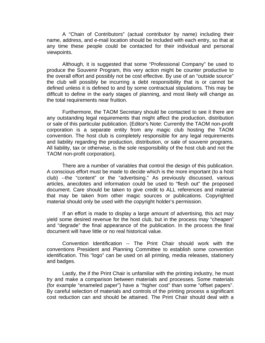A "Chain of Contributors" (actual contributor by name) including their name, address, and e-mail location should be included with each entry, so that at any time these people could be contacted for their individual and personal viewpoints.

Although, it is suggested that some "Professional Company" be used to produce the Souvenir Program, this very action might be counter productive to the overall effort and possibly not be cost effective. By use of an "outside source" the club will possibly be incurring a debt responsibility that is or cannot be defined unless it is defined to and by some contractual stipulations. This may be difficult to define in the early stages of planning, and most likely will change as the total requirements near fruition.

Furthermore, the TAOM Secretary should be contacted to see it there are any outstanding legal requirements that might affect the production, distribution or sale of this particular publication. (Editor's Note: Currently the TAOM non-profit corporation is a separate entity from any magic club hosting the TAOM convention. The host club is completely responsible for any legal requirements and liability regarding the production, distribution, or sale of souvenir programs. All liability, tax or otherwise, is the sole responsibility of the host club and not the TAOM non-profit corporation).

There are a number of variables that control the design of this publication. A conscious effort must be made to decide which is the more important (to a host club) --the "content" or the "advertising." As previously discussed, various articles, anecdotes and information could be used to "flesh out" the proposed document. Care should be taken to give credit to ALL references and material that may be taken from other magic sources or publications. Copyrighted material should only be used with the copyright holder's permission.

If an effort is made to display a large amount of advertising, this act may yield some desired revenue for the host club, but in the process may "cheapen" and "degrade" the final appearance of the publication. In the process the final document will have little or no real historical value.

Convention Identification -- The Print Chair should work with the conventions President and Planning Committee to establish some convention identification. This "logo" can be used on all printing, media releases, stationery and badges.

Lastly, the if the Print Chair is unfamiliar with the printing industry, he must try and make a comparison between materials and processes. Some materials (for example "enameled paper") have a "higher cost" than some "offset papers". By careful selection of materials and controls of the printing process a significant cost reduction can and should be attained. The Print Chair should deal with a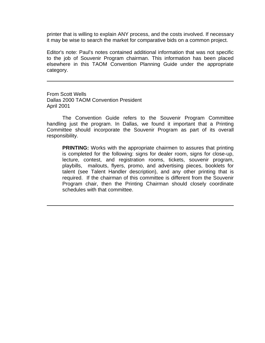printer that is willing to explain ANY process, and the costs involved. If necessary it may be wise to search the market for comparative bids on a common project.

Editor's note: Paul's notes contained additional information that was not specific to the job of Souvenir Program chairman. This information has been placed elsewhere in this TAOM Convention Planning Guide under the appropriate category.

From Scott Wells Dallas 2000 TAOM Convention President April 2001

The Convention Guide refers to the Souvenir Program Committee handling just the program. In Dallas, we found it important that a Printing Committee should incorporate the Souvenir Program as part of its overall responsibility.

**PRINTING:** Works with the appropriate chairmen to assures that printing is completed for the following: signs for dealer room, signs for close-up, lecture, contest, and registration rooms, tickets, souvenir program, playbills, mailouts, flyers, promo, and advertising pieces, booklets for talent (see Talent Handler description), and any other printing that is required. If the chairman of this committee is different from the Souvenir Program chair, then the Printing Chairman should closely coordinate schedules with that committee.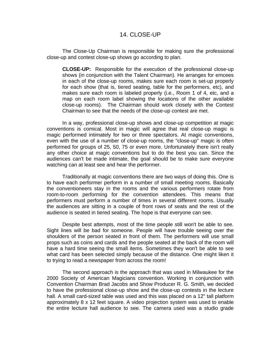### 14. CLOSE-UP

The Close-Up Chairman is responsible for making sure the professional close-up and contest close-up shows go according to plan.

**CLOSE-UP:** Responsible for the execution of the professional close-up shows (in conjunction with the Talent Chairman). He arranges for emcees in each of the close-up rooms, makes sure each room is set-up properly for each show (that is, tiered seating, table for the performers, etc), and makes sure each room is labeled properly (i.e., Room 1 of 4, etc, and a map on each room label showing the locations of the other available close-up rooms). The Chairman should work closely with the Contest Chairman to see that the needs of the close-up contest are met.

In a way, professional close-up shows and close-up competition at magic conventions is comical. Most in magic will agree that real close-up magic is magic performed intimately for two or three spectators. At magic conventions, even with the use of a number of close-up rooms, the "close-up" magic is often performed for groups of 25, 50, 75 or even more. Unfortunately there isn't really any other choice at magic conventions but to do the best you can. Since the audiences can't be made intimate, the goal should be to make sure everyone watching can at least see and hear the performer.

Traditionally at magic conventions there are two ways of doing this. One is to have each performer perform in a number of small meeting rooms. Basically the conventioneers stay in the rooms and the various performers rotate from room-to-room performing for the convention attendees. This means that performers must perform a number of times in several different rooms. Usually the audiences are sitting in a couple of front rows of seats and the rest of the audience is seated in tiered seating. The hope is that everyone can see.

Despite best attempts, most of the time people still won't be able to see. Sight lines will be bad for someone. People will have trouble seeing over the shoulders of the person seated in front of them. The performers will use small props such as coins and cards and the people seated at the back of the room will have a hard time seeing the small items. Sometimes they won't be able to see what card has been selected simply because of the distance. One might liken it to trying to read a newspaper from across the room!

The second approach is the approach that was used in Milwaukee for the 2000 Society of American Magicians convention. Working in conjunction with Convention Chairman Brad Jacobs and Show Producer R. G. Smith, we decided to have the professional close-up show and the close-up contests in the lecture hall. A small card-sized table was used and this was placed on a 12" tall platform approximately 8 x 12 feet square. A video projection system was used to enable the entire lecture hall audience to see. The camera used was a studio grade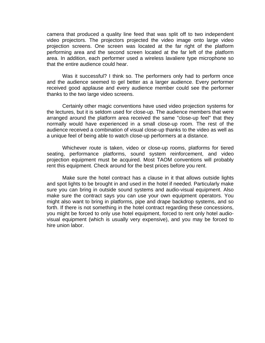camera that produced a quality line feed that was split off to two independent video projectors. The projectors projected the video image onto large video projection screens. One screen was located at the far right of the platform performing area and the second screen located at the far left of the platform area. In addition, each performer used a wireless lavaliere type microphone so that the entire audience could hear.

Was it successful? I think so. The performers only had to perform once and the audience seemed to gel better as a larger audience. Every performer received good applause and every audience member could see the performer thanks to the two large video screens.

Certainly other magic conventions have used video projection systems for the lectures, but it is seldom used for close-up. The audience members that were arranged around the platform area received the same "close-up feel" that they normally would have experienced in a small close-up room. The rest of the audience received a combination of visual close-up thanks to the video as well as a unique feel of being able to watch close-up performers at a distance.

Whichever route is taken, video or close-up rooms, platforms for tiered seating, performance platforms, sound system reinforcement, and video projection equipment must be acquired. Most TAOM conventions will probably rent this equipment. Check around for the best prices before you rent.

Make sure the hotel contract has a clause in it that allows outside lights and spot lights to be brought in and used in the hotel if needed. Particularly make sure you can bring in outside sound systems and audio-visual equipment. Also make sure the contract says you can use your own equipment operators. You might also want to bring in platforms, pipe and drape backdrop systems, and so forth. If there is not something in the hotel contract regarding these concessions, you might be forced to only use hotel equipment, forced to rent only hotel audiovisual equipment (which is usually very expensive), and you may be forced to hire union labor.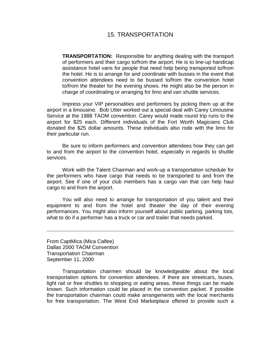### 15. TRANSPORTATION

**TRANSPORTATION:** Responsible for anything dealing with the transport of performers and their cargo to/from the airport. He is to line-up handicap assistance hotel vans for people that need help being transported to/from the hotel. He is to arrange for and coordinate with busses in the event that convention attendees need to be bussed to/from the convention hotel to/from the theater for the evening shows. He might also be the person in charge of coordinating or arranging for limo and van shuttle services.

Impress your VIP personalities and performers by picking them up at the airport in a limousine. Bob Utter worked out a special deal with Carey Limousine Service at the 1988 TAOM convention. Carey would made round trip runs to the airport for \$25 each. Different individuals of the Fort Worth Magicians Club donated the \$25 dollar amounts. These individuals also rode with the limo for their particular run.

Be sure to inform performers and convention attendees how they can get to and from the airport to the convention hotel, especially in regards to shuttle services.

Work with the Talent Chairman and work-up a transportation schedule for the performers who have cargo that needs to be transported to and from the airport. See if one of your club members has a cargo van that can help haul cargo to and from the airport.

You will also need to arrange for transportation of you talent and their equipment to and from the hotel and theater the day of their evening performances. You might also inform yourself about public parking, parking lots, what to do if a performer has a truck or car and trailer that needs parked.

From CaptMica (Mica Calfee) Dallas 2000 TAOM Convention Transportation Chairman September 11, 2000

Transportation chairmen should be knowledgeable about the local transportation options for convention attendees. If there are streetcars, buses, light rail or free shuttles to shopping or eating areas, these things can be made known. Such information could be placed in the convention packet. If possible the transportation chairman could make arrangements with the local merchants for free transportation. The West End Marketplace offered to provide such a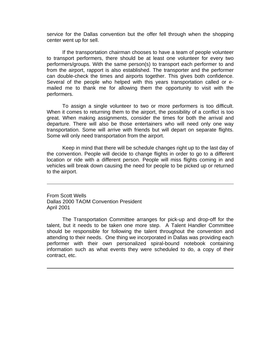service for the Dallas convention but the offer fell through when the shopping center went up for sell.

If the transportation chairman chooses to have a team of people volunteer to transport performers, there should be at least one volunteer for every two performers/groups. With the same person(s) to transport each performer to and from the airport, rapport is also established. The transporter and the performer can double-check the times and airports together. This gives both confidence. Several of the people who helped with this years transportation called or emailed me to thank me for allowing them the opportunity to visit with the performers.

To assign a single volunteer to two or more performers is too difficult. When it comes to returning them to the airport, the possibility of a conflict is too great. When making assignments, consider the times for both the arrival and departure. There will also be those entertainers who will need only one way transportation. Some will arrive with friends but will depart on separate flights. Some will only need transportation from the airport.

Keep in mind that there will be schedule changes right up to the last day of the convention. People will decide to change flights in order to go to a different location or ride with a different person. People will miss flights coming in and vehicles will break down causing the need for people to be picked up or returned to the airport.

From Scott Wells Dallas 2000 TAOM Convention President April 2001

The Transportation Committee arranges for pick-up and drop-off for the talent, but it needs to be taken one more step. A Talent Handler Committee should be responsible for following the talent throughout the convention and attending to their needs. One thing we incorporated in Dallas was providing each performer with their own personalized spiral-bound notebook containing information such as what events they were scheduled to do, a copy of their contract, etc.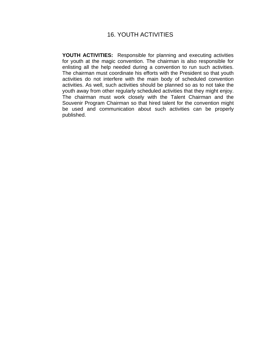## 16. YOUTH ACTIVITIES

**YOUTH ACTIVITIES:** Responsible for planning and executing activities for youth at the magic convention. The chairman is also responsible for enlisting all the help needed during a convention to run such activities. The chairman must coordinate his efforts with the President so that youth activities do not interfere with the main body of scheduled convention activities. As well, such activities should be planned so as to not take the youth away from other regularly scheduled activities that they might enjoy. The chairman must work closely with the Talent Chairman and the Souvenir Program Chairman so that hired talent for the convention might be used and communication about such activities can be properly published.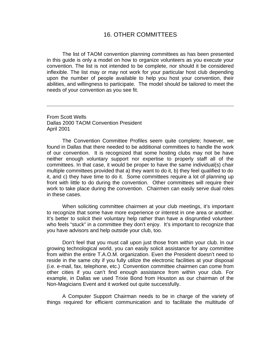### 16. OTHER COMMITTEES

The list of TAOM convention planning committees as has been presented in this guide is only a model on how to organize volunteers as you execute your convention. The list is not intended to be complete, nor should it be considered inflexible. The list may or may not work for your particular host club depending upon the number of people available to help you host your convention, their abilities, and willingness to participate. The model should be tailored to meet the needs of your convention as you see fit.

From Scott Wells Dallas 2000 TAOM Convention President April 2001

The Convention Committee Profiles seem quite complete; however, we found in Dallas that there needed to be additional committees to handle the work of our convention. It is recognized that some hosting clubs may not be have neither enough voluntary support nor expertise to properly staff all of the committees. In that case, it would be proper to have the same individual(s) chair multiple committees provided that a) they want to do it, b) they feel qualified to do it, and c) they have time to do it. Some committees require a lot of planning up front with little to do during the convention. Other committees will require their work to take place during the convention. Chairmen can easily serve dual roles in these cases.

When soliciting committee chairmen at your club meetings, it's important to recognize that some have more experience or interest in one area or another. It's better to solicit their voluntary help rather than have a disgruntled volunteer who feels "stuck" in a committee they don't enjoy. It's important to recognize that you have advisors and help outside your club, too.

Don't feel that you must call upon just those from within your club. In our growing technological world, you can easily solicit assistance for any committee from within the entire T.A.O.M. organization. Even the President doesn't need to reside in the same city if you fully utilize the electronic facilities at your disposal (i.e. e-mail, fax, telephone, etc.) Convention committee chairmen can come from other cities if you can't find enough assistance from within your club. For example, in Dallas we used Trixie Bond from Houston as our chairman of the Non-Magicians Event and it worked out quite successfully.

A Computer Support Chairman needs to be in charge of the variety of things required for efficient communication and to facilitate the multitude of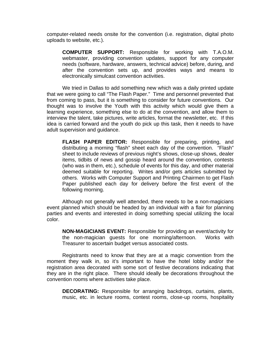computer-related needs onsite for the convention (i.e. registration, digital photo uploads to website, etc.).

**COMPUTER SUPPORT:** Responsible for working with T.A.O.M. webmaster, providing convention updates, support for any computer needs (software, hardware, answers, technical advice) before, during, and after the convention sets up, and provides ways and means to electronically simulcast convention activities.

We tried in Dallas to add something new which was a daily printed update that we were going to call "The Flash Paper." Time and personnel prevented that from coming to pass, but it is something to consider for future conventions. Our thought was to involve the Youth with this activity which would give them a learning experience, something else to do at the convention, and allow them to interview the talent, take pictures, write articles, format the newsletter, etc. If this idea is carried forward and the youth do pick up this task, then it needs to have adult supervision and guidance.

**FLASH PAPER EDITOR:** Responsible for preparing, printing, and distributing a morning "flash" sheet each day of the convention. "Flash" sheet to include reviews of previous night's shows, close-up shows, dealer items, tidbits of news and gossip heard around the convention, contests (who was in them, etc.), schedule of events for this day, and other material deemed suitable for reporting. Writes and/or gets articles submitted by others. Works with Computer Support and Printing Chairmen to get Flash Paper published each day for delivery before the first event of the following morning.

Although not generally well attended, there needs to be a non-magicians event planned which should be headed by an individual with a flair for planning parties and events and interested in doing something special utilizing the local color.

**NON-MAGICIANS EVENT:** Responsible for providing an event/activity for the non-magician guests for one morning/afternoon. Works with Treasurer to ascertain budget versus associated costs.

Registrants need to know that they are at a magic convention from the moment they walk in, so it's important to have the hotel lobby and/or the registration area decorated with some sort of festive decorations indicating that they are in the right place. There should ideally be decorations throughout the convention rooms where activities take place.

**DECORATING:** Responsible for arranging backdrops, curtains, plants, music, etc. in lecture rooms, contest rooms, close-up rooms, hospitality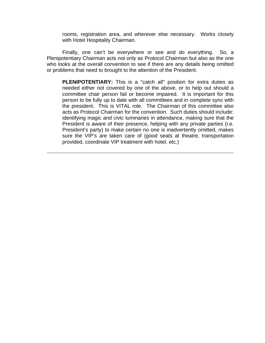rooms, registration area, and wherever else necessary. Works closely with Hotel Hospitality Chairman.

Finally, one can't be everywhere or see and do everything. So, a Plenipotentiary Chairman acts not only as Protocol Chairman but also as the one who looks at the overall convention to see if there are any details being omitted or problems that need to brought to the attention of the President.

**PLENIPOTENTIARY:** This is a "catch all" position for extra duties as needed either not covered by one of the above, or to help out should a committee chair person fail or become impaired. It is important for this person to be fully up to date with all committees and in complete sync with the president. This is VITAL role. The Chairman of this committee also acts as Protocol Chairman for the convention. Such duties should include: identifying magic and civic luminaries in attendance, making sure that the President is aware of their presence, helping with any private parties (i.e. President's party) to make certain no one is inadvertently omitted, makes sure the VIP's are taken care of (good seats at theatre, transportation provided, coordinate VIP treatment with hotel, etc.)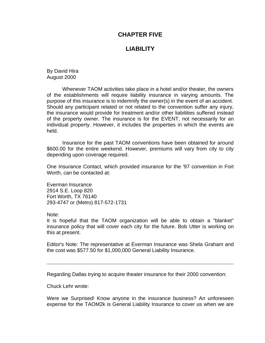## **CHAPTER FIVE**

# **LIABILITY**

By David Hira August 2000

Whenever TAOM activities take place in a hotel and/or theater, the owners of the establishments will require liability insurance in varying amounts. The purpose of this insurance is to indemnify the owner(s) in the event of an accident. Should any participant related or not related to the convention suffer any injury, the insurance would provide for treatment and/or other liabilities suffered instead of the property owner. The insurance is for the EVENT, not necessarily for an individual property. However, it includes the properties in which the events are held.

Insurance for the past TAOM conventions have been obtained for around \$600.00 for the entire weekend. However, premiums will vary from city to city depending upon coverage required.

One Insurance Contact, which provided insurance for the '97 convention in Fort Worth, can be contacted at:

Everman Insurance 2914 S.E. Loop 820 Fort Worth, TX 76140 293-4747 or (Metro) 817-572-1731

Note:

It is hopeful that the TAOM organization will be able to obtain a "blanket" insurance policy that will cover each city for the future. Bob Utter is working on this at present.

Editor's Note: The representative at Everman Insurance was Shela Graham and the cost was \$577.50 for \$1,000,000 General Liability Insurance.

Regarding Dallas trying to acquire theater insurance for their 2000 convention:

Chuck Lehr wrote:

Were we Surprised! Know anyone in the insurance business? An unforeseen expense for the TAOM2k is General Liability Insurance to cover us when we are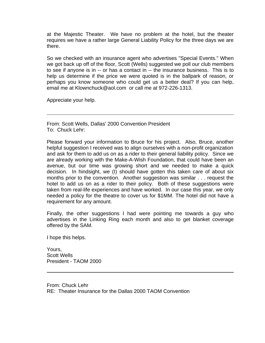at the Majestic Theater. We have no problem at the hotel, but the theater requires we have a rather large General Liability Policy for the three days we are there.

So we checked with an insurance agent who advertises "Special Events." When we got back up off of the floor, Scott (Wells) suggested we poll our club members to see if anyone is in -- or has a contact in -- the insurance business. This is to help us determine if the price we were quoted is in the ballpark of reason, or perhaps you know someone who could get us a better deal? If you can help, email me at Klownchuck@aol.com or call me at 972-226-1313.

Appreciate your help.

From: Scott Wells, Dallas' 2000 Convention President To: Chuck Lehr:

Please forward your information to Bruce for his project. Also, Bruce, another helpful suggestion I received was to align ourselves with a non-profit organization and ask for them to add us on as a rider to their general liability policy. Since we are already working with the Make-A-Wish Foundation, that could have been an avenue, but our time was growing short and we needed to make a quick decision. In hindsight, we (I) should have gotten this taken care of about six months prior to the convention. Another suggestion was similar . . . request the hotel to add us on as a rider to their policy. Both of these suggestions were taken from real-life experiences and have worked. In our case this year, we only needed a policy for the theatre to cover us for \$1MM. The hotel did not have a requirement for any amount.

Finally, the other suggestions I had were pointing me towards a guy who advertises in the Linking Ring each month and also to get blanket coverage offered by the SAM.

I hope this helps.

Yours, Scott Wells President - TAOM 2000

From: Chuck Lehr RE: Theater Insurance for the Dallas 2000 TAOM Convention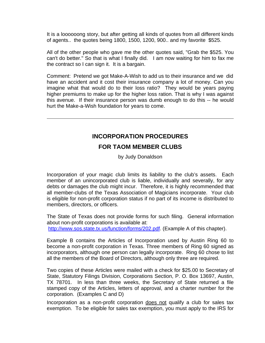It is a loooooong story, but after getting all kinds of quotes from all different kinds of agents.. the quotes being 1800, 1500, 1200, 900.. and my favorite \$525.

All of the other people who gave me the other quotes said, "Grab the \$525. You can't do better." So that is what I finally did. I am now waiting for him to fax me the contract so I can sign it. It is a bargain.

Comment: Pretend we got Make-A-Wish to add us to their insurance and we did have an accident and it cost their insurance company a lot of money. Can you imagine what that would do to their loss ratio? They would be years paying higher premiums to make up for the higher loss ration. That is why I was against this avenue. If their insurance person was dumb enough to do this -- he would hurt the Make-a-Wish foundation for years to come.

## **INCORPORATION PROCEDURES**

### **FOR TAOM MEMBER CLUBS**

by Judy Donaldson

Incorporation of your magic club limits its liability to the club's assets. Each member of an unincorporated club is liable, individually and severally, for any debts or damages the club might incur. Therefore, it is highly recommended that all member-clubs of the Texas Association of Magicians incorporate. Your club is eligible for non-profit corporation status if no part of its income is distributed to members, directors, or officers.

The State of Texas does not provide forms for such filing. General information about non-profit corporations is available at: [http://www.sos.state.tx.us/function/forms/202.pdf.](http://www.sos.state.tx.us/function/forms/202.pdf) (Example A of this chapter).

Example B contains the Articles of Incorporation used by Austin Ring 60 to become a non-profit corporation in Texas. Three members of Ring 60 signed as incorporators, although one person can legally incorporate. Ring 60 chose to list all the members of the Board of Directors, although only three are required.

Two copies of these Articles were mailed with a check for \$25.00 to Secretary of State, Statutory Filings Division, Corporations Section, P. O. Box 13697, Austin, TX 78701. In less than three weeks, the Secretary of State returned a file stamped copy of the Articles, letters of approval, and a charter number for the corporation. (Examples C and D)

Incorporation as a non-profit corporation does not qualify a club for sales tax exemption. To be eligible for sales tax exemption, you must apply to the IRS for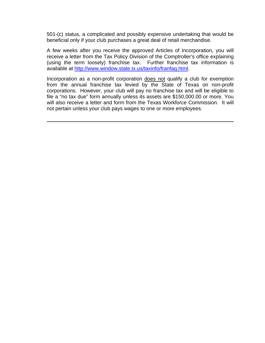501-(c) status, a complicated and possibly expensive undertaking that would be beneficial only if your club purchases a great deal of retail merchandise.

A few weeks after you receive the approved Articles of Incorporation, you will receive a letter from the Tax Policy Division of the Comptroller's office explaining (using the term loosely) franchise tax. Further franchise tax information is available at [http://www.window.state.tx.us/taxinfo/franfaq.html.](http://www.window.state.tx.us/taxinfo/franfaq.html)

Incorporation as a non-profit corporation does not qualify a club for exemption from the annual franchise tax levied by the State of Texas on non-profit corporations. However, your club will pay no franchise tax and will be eligible to file a "no tax due" form annually unless its assets are \$150,000.00 or more. You will also receive a letter and form from the Texas Workforce Commission. It will not pertain unless your club pays wages to one or more employees.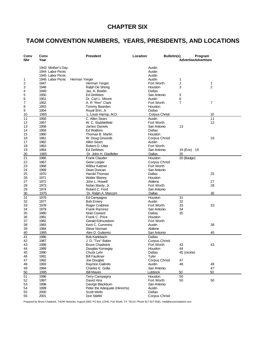# **CHAPTER SIX**

# **TAOM CONVENTION NUMBERS, YEARS, PRESIDENTS, AND LOCATIONS**

| Conv<br>Nbr | Conv<br>Year      | <b>President</b>                      | Location                  | <b>Bulletin(s)</b> | Program<br><b>AdvertiseAdvertises</b> |                |
|-------------|-------------------|---------------------------------------|---------------------------|--------------------|---------------------------------------|----------------|
|             | 1943 Mother's Day |                                       | Austin                    |                    |                                       |                |
|             | 1944 Labor Picnic |                                       | Austin                    |                    |                                       |                |
|             | 1945 Labor Picnic |                                       | Austin                    |                    |                                       |                |
| 1           | 1946 Labor Picnic | Herman Yerger                         | Austin                    |                    | 1                                     |                |
| 2           | 1947              | Herman Yerger                         | Fort Worth                |                    | 2                                     | 1              |
| 3           | 1948              | Ralph De Shong                        | Houston                   |                    | 3                                     | $\overline{2}$ |
| 4           | 1949              | Jas. A. Bowlin                        | Dallas                    |                    |                                       |                |
| 5           | 1950              | <b>Ed DeWees</b>                      | San Antonio               |                    | 5                                     |                |
| 6<br>7      | 1951<br>1952      | Dr. Carl L. Moore<br>A. R "Ren" Clark | Austin<br>Fort Worth      |                    | 6<br>7                                | 7              |
| 8           | 1953              | Tommy Bearden                         | Houston                   |                    |                                       |                |
| 9           | 1954              | Royal Brin, Jr.                       | Dallas                    |                    |                                       |                |
| 10          | 1955              | L. Louis Harrop, M.D.                 | Corpus Christi            |                    |                                       | 10             |
| 11          | 1956              | C. Allen Sears                        | Austin                    |                    |                                       | 11             |
| 12          | 1957              | W. C. Stubblefield                    | Fort Worth                |                    |                                       | 12             |
| 13          | 1958              | James Daniels                         | San Antonio               |                    | 13                                    |                |
| 14          | 1959              | <b>Ed Watkins</b>                     | Dallas                    |                    |                                       |                |
| 15          | 1960              | Thomas B. Martin                      | Houston                   |                    |                                       |                |
| 16          | 1961              | W. Doug Grounds                       | Corpus Christi            |                    |                                       | 16             |
| 17          | 1962              | <b>Allen Sears</b>                    | Austin                    |                    |                                       |                |
| 18          | 1963              | Robert O. Utter<br>Ed DeWees          | Fort Worth<br>San Antonio |                    | 19 (Env) 19                           |                |
| 19<br>20    | 1964<br>1965      | Dr. John H. Gladfelter                | Dallas                    |                    | 20                                    |                |
| 21          | 1966              | <b>Frank Clauder</b>                  | Houston                   |                    | 20 (Badge)                            |                |
| 22          | 1967              | Gene Looper                           | Corpus Christi            |                    |                                       |                |
| 23          | 1968              | <b>Wilbur Kattner</b>                 | Fort Worth                |                    |                                       |                |
| 24          | 1969              | Dean Duncan                           | San Antonio               |                    |                                       |                |
| 25          | 1970              | Harold Thomas                         | Dallas                    |                    |                                       | 25             |
| 26          | 1971              | <b>Walter Blaney</b>                  | Houston                   |                    |                                       |                |
| 27          | 1972              | John L. Howell                        | Abilene                   |                    |                                       | 27             |
| 28          | 1973              | Nolan Manly, Jr.                      | Fort Worth                |                    |                                       | 28             |
| 29          | 1974              | Robert C. Ford                        | San Antonio               |                    |                                       |                |
| 30          | 1975              | Dr. Ralph A. Marcom                   | Dallas                    |                    |                                       | 30             |
| 31          | 1976              | Ed Campagna                           | Houston                   |                    | 31                                    |                |
| 32<br>33    | 1977<br>1978      | <b>Bob Emery</b><br>Roger Crabtree    | Austin<br>Fort Worth      |                    | 32<br>33                              | 33             |
| 34          | 1979              | <b>Frank Ramirez</b>                  | San Antonio               |                    | 34                                    |                |
| 35          | 1980              | <b>Noel Coward</b>                    | Dallas                    |                    | 35                                    |                |
| 36          | 1981              | Frank C. Price                        | Houston                   |                    |                                       |                |
| 37          | 1982              | Gerald Edmundson                      | Fort Worth                |                    |                                       |                |
| 38          | 1983              | Kent C. Cummins                       | Austin                    |                    |                                       | 38             |
| 39          | 1984              | <b>Steve Norman</b>                   | Abilene                   |                    |                                       |                |
| 40          | 1985              | Alex D. Gutierrez                     | San Antonio               |                    |                                       | 40             |
| 41          | 1986              | <b>Bob Karlebach</b>                  | <b>Dallas</b>             |                    |                                       |                |
| 42          | 1987              | J. D. "Tex" Babin                     | Corpus Christi            |                    |                                       |                |
| 43          | 1988              | <b>Bruce Chadwick</b>                 | Fort Worth                |                    | 43                                    | 43             |
| 44          | 1989              | Douglas Kornegay                      | Houston                   |                    | 44                                    |                |
| 45<br>46    | 1990<br>1991      | Chuck Lehr<br><b>Bill Faulkner</b>    | Dallas<br>Tyler           |                    | 45 (nickle)                           |                |
| 47          | 1992              | Joe Douglas                           | Corpus Christi            |                    | 47                                    |                |
| 48          | 1993              | Raymon Galindo                        | Austin                    |                    | 48                                    | 48             |
| 49          | 1994              | Charles E. Golla                      | San Antonio               |                    |                                       | 47             |
| 50          | 1995              | <b>Bill Mayes</b>                     | Lubbock                   |                    | 50                                    | 50             |
| 51          | 1996              | Terry Campagna                        | Houston                   |                    | 50                                    |                |
| 52          | 1997              | David Hira                            | Fort Worth                |                    | 50                                    | 50             |
| 53          | 1998              | George Blackburn                      | San Antonio               |                    |                                       |                |
| 54          | 1999              | Peter the Adequate (Hinrichs)         | Austin                    |                    |                                       |                |
| 55          | 2000              | <b>Scott Wells</b>                    | Dallas                    |                    |                                       |                |
| 56          | 2001              | Don Stiefel                           | Corpus Christi            |                    |                                       |                |

Prepared by Bruce Chadwick, TAOM Historian, August 2000, PO Box 12345, Fort Worth, TX 76110, Phone 817-927-0581, mail@brucechadwick.com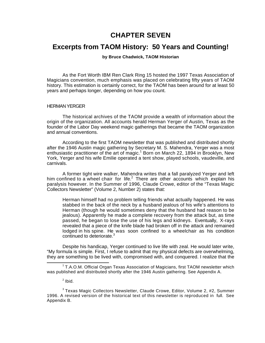# **CHAPTER SEVEN**

# **Excerpts from TAOM History: 50 Years and Counting!**

## **by Bruce Chadwick, TAOM Historian**

As the Fort Worth IBM Ren Clark Ring 15 hosted the 1997 Texas Association of Magicians convention, much emphasis was placed on celebrating fifty years of TAOM history. This estimation is certainly correct, for the TAOM has been around for at least 50 years and perhaps longer, depending on how you count.

#### HERMAN YERGER

The historical archives of the TAOM provide a wealth of information about the origin of the organization. All accounts herald Herman Yerger of Austin, Texas as the founder of the Labor Day weekend magic gatherings that became the TAOM organization and annual conventions.

According to the first TAOM newsletter that was published and distributed shortly after the 1946 Austin magic gathering by Secretary M. S. Mahendra, Yerger was a most enthusiastic practitioner of the art of magic.<sup>1</sup> Born on March 22, 1894 in Brooklyn, New York, Yerger and his wife Emilie operated a tent show, played schools, vaudeville, and carnivals.

A former tight wire walker, Mahendra writes that a fall paralyzed Yerger and left him confined to a wheel chair for life.<sup>2</sup> There are other accounts which explain his paralysis however. In the Summer of 1996, Claude Crowe, editor of the "Texas Magic Collectors Newsletter" (Volume 2, Number 2) states that:

Herman himself had no problem telling friends what actually happened. He was stabbed in the back of the neck by a husband jealous of his wife's attentions to Herman (though he would sometimes deny that the husband had reason to be jealous). Apparently he made a complete recovery from the attack but, as time passed, he began to lose the use of his legs and kidneys. Eventually, X-rays revealed that a piece of the knife blade had broken off in the attack and remained lodged in his spine. He was soon confined to a wheelchair as his condition continued to deteriorate.<sup>3</sup>

Despite his handicap, Yerger continued to live life with zeal. He would later write, "My formula is simple. First, I refuse to admit that my physical defects are overwhelming, they are something to be lived with, compromised with, and conquered. I realize that the

<sup>&</sup>lt;sup>1</sup> T.A.O.M. Official Organ Texas Association of Magicians, first TAOM newsletter which was published and distributed shortly after the 1946 Austin gathering. See Appendix A.

 $2$  Ibid.

 $^3$ Texas Magic Collectors Newsletter, Claude Crowe, Editor, Volume 2, #2, Summer 1996. A revised version of the historical text of this newsletter is reproduced in full. See Appendix B.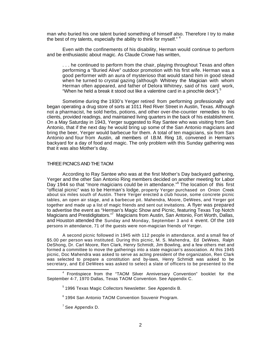man who buried his one talent buried something of himself also. Therefore I try to make the best of my talents, especially the ability to think for myself."  $4$ 

Even with the confinements of his disability, Herman would continue to perform and be enthusiastic about magic. As Claude Crowe has written,

. . . he continued to perform from the chair, playing throughout Texas and often performing a "Buried Alive" outdoor promotion with his first wife. Herman was a good performer with an aura of mysterioso that would stand him in good stead when he turned to crystal gazing (although Whitney the Magician with whom Herman often appeared, and father of Delora Whitney, said of his card work, "When he held a break it stood out like a valentine card in a pinochle deck").<sup>5</sup>

Sometime during the 1930's Yerger retired from performing professionally and began operating a drug store of sorts at 1011 Red River Street in Austin, Texas. Although not a pharmacist, he sold herbs, potions, and other over-the-counter remedies to his clients, provided readings, and maintained living quarters in the back of his establishment. On a May Saturday in 1943, Yerger suggested to Ray Santee who was visiting from San Antonio, that if the next day he would bring up some of the San Antonio magicians and bring the beer, Yerger would barbecue for them. A total of ten magicians, six from San Antonio and four from Austin, all members of I.B.M. Ring 18, convened in Herman's backyard for a day of food and magic. The only problem with this Sunday gathering was that it was also Mother's day.

#### THREE PICNICS AND THE TAOM

According to Ray Santee who was at the first Mother's Day backyard gathering, Yerger and the other San Antonio Ring members decided on another meeting for Labor Day 1944 so that "more magicians could be in attendance."<sup>6</sup> The location of this first "official picnic" was to be Herman's lodge, property Yerger purchased on Onion Creek about six miles south of Austin. There Yerger erected a club house, some concrete picnic tables, an open air stage, and a barbecue pit. Mahendra, Moore, DeWees, and Yerger got together and made up a list of magic friends and sent out invitations. A flyer was prepared to advertise the event as "Herman's Magic Show and Picnic, featuring Texas Top Notch Magicians and Prestidigitators."<sup>7</sup> Magicians from Austin, San Antonio, Fort Worth, Dallas, and Houston attended the Sunday and Monday, September 3 and 4 event. Of the 169 persons in attendance, 71 of the guests were non-magician friends of Yerger.

A second picnic followed in 1945 with 112 people in attendance, and a small fee of \$5.00 per person was instituted. During this picnic, M. S. Mahendra, Ed DeWees, Ralph DeShong, Dr. Carl Moore, Ren Clark, Henry Schmidt, Jim Bowling, and a few others met and formed a committee to move the gatherings into a state magician's association. At this 1945 picnic, Doc Mahendra was asked to serve as acting president of the organization, Ren Clark was selected to prepare a constitution and by-laws, Henry Schmidt was asked to be secretary, and Ed DeWees was asked to select a slate of officers to be presented to the

<sup>&</sup>lt;sup>4</sup> Frontispiece from the "TAOM Silver Anniversary Convention" booklet for the September 4-7, 1970 Dallas, Texas TAOM Convention. See Appendix C.

<sup>&</sup>lt;sup>5</sup> 1996 Texas Magic Collectors Newsletter. See Appendix B.

<sup>&</sup>lt;sup>6</sup> 1994 San Antonio TAOM Convention Souvenir Program.

 $7$  See Appendix D.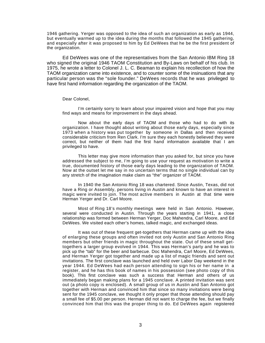1946 gathering. Yerger was opposed to the idea of such an organization as early as 1944, but eventually warmed up to the idea during the months that followed the 1945 gathering, and especially after it was proposed to him by Ed DeWees that he be the first president of the organization.

Ed DeWees was one of the representatives from the San Antonio IBM Ring 18 who signed the original 1946 TAOM Constitution and By-Laws on behalf of his club. In 1975, he wrote a letter to Colonel J. L. C. Beaman to explain his recollection of how the TAOM organization came into existence, and to counter some of the insinuations that any particular person was the "sole founder." DeWees records that he was privileged to have first hand information regarding the organization of the TAOM.

Dear Colonel,

I'm certainly sorry to learn about your impaired vision and hope that you may find ways and means for improvement in the days ahead.

Now about the early days of TAOM and those who had to do with its organization. I have thought about writing about those early days, especially since 1973 when a history was put together by someone in Dallas and then received considerable criticism from Ren Clark. I'm sure they each honestly believed they were correct, but neither of them had the first hand information available that I am privileged to have.

This letter may give more information than you asked for, but since you have addressed the subject to me, I'm going to use your request as motivation to write a true, documented history of those early days leading to the organization of TAOM. Now at the outset let me say in no uncertain terms that no single individual can by any stretch of the imagination make claim as "the" organizer of TAOM.

In 1940 the San Antonio Ring 18 was chartered. Since Austin, Texas, did not have a Ring or Assembly, persons living in Austin and known to have an interest in magic were invited to join. The most active members in Austin at that time were Herman Yerger and Dr. Carl Moore.

Most of Ring 18's monthly meetings were held in San Antonio. However, several were conducted in Austin. Through the years starting in 1941, a close relationship was formed between Herman Yerger, Doc Mahendra, Carl Moore, and Ed DeWees. We visited each other's homes, talked magic, and exchanged ideas.

It was out of these frequent get-togethers that Herman came up with the idea of enlarging these groups and often invited not only Austin and San Antonio Ring members but other friends in magic throughout the state. Out of these small gettogethers a larger group evolved in 1944. This was Herman's party and he was to pick up the "tab" for the beer and barbecue. Doc Mahendra, Carl Moore, Ed DeWees, and Herman Yerger got together and made up a list of magic friends and sent out invitations. The first conclave was launched and held over Labor Day weekend in the year 1944. Ed DeWees had each person attending to sign his or her name in a register, and he has this book of names in his possession (see photo copy of this book). This first conclave was such a success that Herman and others of us immediately began making plans for a 1945 conclave. A printed invitation was sent out (a photo copy is enclosed). A small group of us in Austin and San Antonio got together with Herman and convinced him that since so many invitations were being sent for the 1945 conclave, we thought it only proper that those attending should pay a small fee of \$5.00 per person. Herman did not want to charge the fee, but we finally convinced him that this was the proper thing to do. Ed DeWees again registered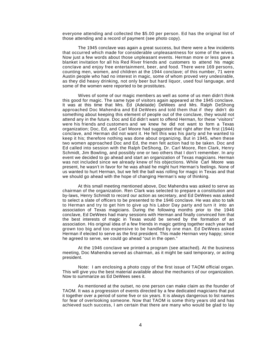everyone attending and collected the \$5.00 per person. Ed has the original list of those attending and a record of payment (see photo copy).

The 1945 conclave was again a great success, but there were a few incidents that occurred which made for considerable unpleasantness for some of the wives. Now just a few words about those unpleasant events. Herman more or less gave a blanket invitation for all his Red River friends and customers to attend his magic conclave and enjoy free entertainment, beer, and food. There were 169 persons, counting men, women, and children at the 1944 conclave; of this number, 71 were Austin people who had no interest in magic, some of whom proved very undesirable, as they did heavy drinking, not only beer but hard liquor, used foul language, and some of the women were reported to be prostitutes.

Wives of some of our magic members as well as some of us men didn't think this good for magic. The same type of visitors again appeared at the 1945 conclave. It was at this time that Mrs. Ed (Adelaide) DeWees and Mrs. Ralph DeShong approached Doc Mahendra and Ed DeWees and told them that if they didn't do something about keeping this element of people out of the conclave, they would not attend any in the future. Doc and Ed didn't want to offend Herman, for these "visitors" were his friends and customers and we knew he did not want to form a Texas organization; Doc, Ed, and Carl Moore had suggested that right after the first (1944) conclave, and Herman did not want it. He felt this was his party and he wanted to keep it his; therefore nothing was done about organizing. But in 1945, when these two women approached Doc and Ed, the men felt action had to be taken. Doc and Ed called into session with the Ralph DeShong, Dr. Carl Moore, Ren Clark, Henry Schmidt, Jim Bowling, and possibly one or two others that I don't remember. In any event we decided to go ahead and start an organization of Texas magicians. Herman was not included since we already knew of his objections. While Carl Moore was present, he wasn't in favor for he was afraid he might hurt Herman's feelings. None of us wanted to hurt Herman, but we felt the ball was rolling for magic in Texas and that we should go ahead with the hope of changing Herman's way of thinking.

At this small meeting mentioned above, Doc Mahendra was asked to serve as chairman of the organization. Ren Clark was selected to prepare a constitution and by-laws, Henry Schmidt to record our action as secretary, and Ed DeWees was asked to select a slate of officers to be presented to the 1946 conclave. He was also to talk to Herman and try to get him to give up his Labor Day party and turn it into an association of Texas magicians. During the following months prior to the 1946 conclave, Ed DeWees had many sessions with Herman and finally convinced him that the best interests of magic in Texas would be served by the formation of an association. His original idea of a few friends in magic getting together each year had grown too big and too expensive to be handled by one man. Ed DeWees asked Herman if elected to serve as the first president. This made Herman very happy; since he agreed to serve, we could go ahead "out in the open."

At the 1946 conclave we printed a program (see attached). At the business meeting, Doc Mahendra served as chairman, as it might be said temporary, or acting president.

Note: I am enclosing a photo copy of the first issue of TAOM official organ. This will give you the best material available about the mechanics of our organization. Now to summarize as Ed DeWees sees it.

As mentioned at the outset, no one person can make claim as the founder of TAOM. It was a progression of events directed by a few dedicated magicians that put it together over a period of some five or six years. It is always dangerous to list names for fear of overlooking someone. Now that TAOM is some thirty years old and has achieved such success, I am certain that there are many who would be glad to lay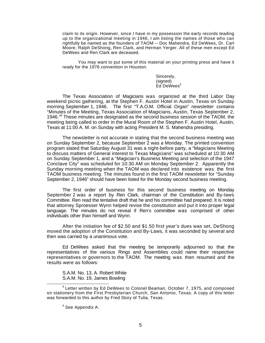claim to its origin. However, since I have in my possession the early records leading up to the organizational meeting in 1946, I am listing the names of those who can rightfully be named as the founders of TAOM -- Doc Mahendra, Ed DeWees, Dr. Carl Moore, Ralph DeShong, Ren Clark, and Herman Yerger. All of these men except Ed DeWees and Ren Clark are deceased.

You may want to put some of this material on your printing press and have it ready for the 1976 convention in Houston.

> Sincerely, (signed) Ed DeWees<sup>8</sup>

The Texas Association of Magicians was organized at the third Labor Day weekend picnic gathering, at the Stephen F. Austin Hotel in Austin, Texas on Sunday morning September 1, 1946. The first "T.A.O.M. Official Organ" newsletter contains "Minutes of the Meeting, Texas Association of Magicians, Austin, Texas September 2, 1946."<sup>9</sup> These minutes are designated as the second business session of the TAOM, the meeting being called to order in the Mural Room of the Stephen F. Austin Hotel, Austin, Texas at 11:00 A. M. on Sunday with acting President M. S. Mahendra presiding.

The newsletter is not accurate in stating that the second business meeting was on Sunday September 2, because September 2 was a Monday. The printed convention program stated that Saturday August 31 was a night-before party, a "Magicians Meeting to discuss matters of General interest to Texas Magicians" was scheduled at 10:30 AM on Sunday September 1, and a "Magician's Business Meeting and selection of the 1947 Conclave City" was scheduled for 10:30 AM on Monday September 2. Apparently the Sunday morning meeting when the TAOM was declared into existence was the first TAOM business meeting. The minutes found in the first TAOM newsletter for "Sunday September 2, 1946" should have been listed for the Monday second business meeting.

The first order of business for this second business meeting on Monday September 2 was a report by Ren Clark, chairman of the Constitution and By-laws Committee. Ren read the tentative draft that he and his committee had prepared. It is noted that attorney Sproesser Wynn helped revise the constitution and put it into proper legal language. The minutes do not reveal if Ren's committee was comprised of other individuals other than himself and Wynn.

After the initiation fee of \$2.50 and \$1.50 first year's dues was set, DeShong moved the adoption of the Constitution and By-Laws, it was seconded by several and then was carried by a unanimous vote.

Ed DeWees asked that the meeting be temporarily adjourned so that the representatives of the various Rings and Assemblies could name their respective representatives or governors to the TAOM. The meeting was then resumed and the results were as follows:

S.A.M. No. 13, A. Robert White S.A.M. No. 19, James Bowling

<sup>&</sup>lt;sup>8</sup> Letter written by Ed DeWees to Colonel Beaman, October 7, 1975, and composed on stationery from the First Presbyterian Church, San Antonio, Texas. A copy of this letter was forwarded to this author by Fred Story of Tulia, Texas.

<sup>&</sup>lt;sup>9</sup> See Appendix A.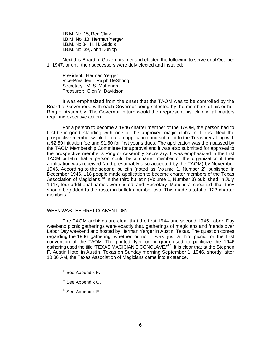I.B.M. No. 15, Ren Clark I.B.M. No. 18, Herman Yerger I.B.M. No 34, H. H. Gaddis I.B.M. No. 39, John Dunlop

Next this Board of Governors met and elected the following to serve until October 1, 1947, or until their successors were duly elected and installed:

President: Herman Yerger Vice-President: Ralph DeShong Secretary: M. S. Mahendra Treasurer: Glen Y. Davidson

It was emphasized from the onset that the TAOM was to be controlled by the Board of Governors, with each Governor being selected by the members of his or her Ring or Assembly. The Governor in turn would then represent his club in all matters requiring executive action.

For a person to become a 1946 charter member of the TAOM, the person had to first be in good standing with one of the approved magic clubs in Texas. Next the prospective member would fill out an application and submit it to the Treasurer along with a \$2.50 initiation fee and \$1.50 for first year's dues. The application was then passed by the TAOM Membership Committee for approval and it was also submitted for approval to the prospective member's Ring or Assembly Secretary. It was emphasized in the first TAOM bulletin that a person could be a charter member of the organization if their application was received (and presumably also accepted by the TAOM) by November 1946. According to the second bulletin (noted as Volume 1, Number 2) published in December 1946, 118 people made application to become charter members of the Texas Association of Magicians.<sup>10</sup> In the third bulletin (Volume 1, Number 3) published in July 1947, four additional names were listed and Secretary Mahendra specified that they should be added to the roster in bulletin number two. This made a total of 123 charter members.<sup>11</sup>

### WHEN WAS THE FIRST CONVENTION?

The TAOM archives are clear that the first 1944 and second 1945 Labor Day weekend picnic gatherings were exactly that, gatherings of magicians and friends over Labor Day weekend and hosted by Herman Yerger in Austin, Texas. The question comes regarding the 1946 gathering, whether or not it was just a third picnic, or the first convention of the TAOM. The printed flyer or program used to publicize the 1946 gathering used the title "TEXAS MAGICIAN'S CONCLAVE."<sup>12</sup> It is clear that at the Stephen F. Austin Hotel in Austin, Texas on Sunday morning September 1, 1946, shortly after 10:30 AM, the Texas Association of Magicians came into existence.

<sup>&</sup>lt;sup>10</sup> See Appendix F.

<sup>&</sup>lt;sup>11</sup> See Appendix G.

 $12$  See Appendix E.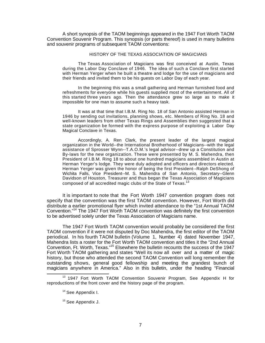A short synopsis of the TAOM beginnings appeared in the 1947 Fort Worth TAOM Convention Souvenir Program. This synopsis (or parts thereof) is used in many bulletins and souvenir programs of subsequent TAOM conventions:

#### HISTORY OF THE TEXAS ASSOCIATION OF MAGICIANS

The Texas Association of Magicians was first conceived at Austin, Texas during the Labor Day Conclave of 1946. The idea of such a Conclave first started with Herman Yerger when he built a theatre and lodge for the use of magicians and their friends and invited them to be his guests on Labor Day of each year.

In the beginning this was a small gathering and Herman furnished food and refreshments for everyone while his guests supplied most of the entertainment. All of this started three years ago. Then the attendance grew so large as to make it impossible for one man to assume such a heavy task.

It was at that time that I.B.M. Ring No. 18 of San Antonio assisted Herman in 1946 by sending out invitations, planning shows, etc. Members of Ring No. 18 and well-known leaders from other Texas Rings and Assemblies then suggested that a state organization be formed with the express purpose of exploiting a Labor Day Magical Conclave in Texas.

Accordingly, A. Ren Clark, the present leader of the largest magical organization in the World--the International Brotherhood of Magicians--with the legal assistance of Sprosser Wynn--T.A.O.M.'s legal advisor--drew up a Constitution and By-laws for the new organization. These were presented by M. S. Mahendra, then President of I.B.M. Ring 18 to about one hundred magicians assembled in Austin at Herman Yerger's lodge. They were duly adopted and officers and directors elected. Herman Yerger was given the honor of being the first President--Ralph DeShong of Wichita Falls, Vice President--M. S. Mahendra of San Antonio, Secretary--Glenn Davidson of Houston, Treasurer and thus began the Texas Association of Magicians composed of all accredited magic clubs of the State of Texas.<sup>13</sup>

It is important to note that the Fort Worth 1947 convention program does not specify that the convention was the first TAOM convention. However, Fort Worth did distribute a earlier promotional flyer which invited attendance to the "1st Annual TAOM Convention."<sup>14</sup> The 1947 Fort Worth TAOM convention was definitely the first convention to be advertised solely under the Texas Association of Magicians name.

The 1947 Fort Worth TAOM convention would probably be considered the first TAOM convention if it were not disputed by Doc Mahendra, the first editor of the TAOM periodical. In his fourth TAOM bulletin (Volume 1, Number 4) dated November 1947, Mahendra lists a roster for the Fort Worth TAOM convention and titles it the "2nd Annual Convention, Ft. Worth, Texas."<sup>15</sup> Elsewhere the bulletin recounts the success of the 1947 Fort Worth TAOM gathering and states "Well its now all over and a matter of magic history, but those who attended the second TAOM Convention will long remember the outstanding shows, general good fellowship and meeting the grandest bunch of magicians anywhere in America." Also in this bulletin, under the heading "Financial

<sup>&</sup>lt;sup>13</sup> 1947 Fort Worth TAOM Convention Souvenir Program, See Appendix H for reproductions of the front cover and the history page of the program.

<sup>&</sup>lt;sup>14</sup> See Appendix I.

<sup>&</sup>lt;sup>15</sup> See Appendix J.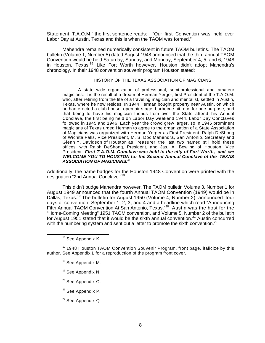Statement, T.A.O.M," the first sentence reads: "Our first Convention was held over Labor Day at Austin, Texas and this is when the TAOM was formed."

Mahendra remained numerically consistent in future TAOM bulletins. The TAOM bulletin (Volume 1, Number 5) dated August 1948 announced that the third annual TAOM Convention would be held Saturday, Sunday, and Monday, September 4, 5, and 6, 1948 in Houston, Texas.<sup>16</sup> Like Fort Worth however, Houston didn't adopt Mahendra's chronology. In their 1948 convention souvenir program Houston stated:

### HISTORY OF THE TEXAS ASSOCIATION OF MAGICIANS

A state wide organization of professional, semi-professional and amateur magicians. It is the result of a dream of Herman Yerger, first President of the T.A.O.M. who, after retiring from the life of a traveling magician and mentalist, settled in Austin, Texas, where he now resides. In 1944 Herman bought property near Austin, on which he had erected a club house, open air stage, barbecue pit, etc. for one purpose, and that being to have his magician friends from over the State attend his Annual Conclave, the first being held on Labor Day weekend 1944. Labor Day Conclaves followed in 1945 and 1946. Each year the crowd grew larger, so in 1946 prominent magicians of Texas urged Herman to agree to the organization of a State Association of Magicians was organized with Herman Yerger as First President, Ralph DeShong of Wichita Falls, Vice President, M. S. Doc Mahendra, San Antonio, Secretary and Glenn Y. Davidson of Houston as Treasurer, the last two named still hold these offices, with Ralph DeShong, President, and Jas. A. Bowling of Houston, Vice President. *First T.A.O.M. Conclave was held in the city of Fort Worth, and we WELCOME YOU TO HOUSTON for the Second Annual Conclave of the TEXAS ASSOCIATION OF MAGICIANS.<sup>17</sup>*

Additionally, the name badges for the Houston 1948 Convention were printed with the designation "2nd Annual Conclave."<sup>18</sup>

This didn't budge Mahendra however. The TAOM bulletin Volume 3, Number 1 for August 1949 announced that the fourth Annual TAOM Convention (1949) would be in Dallas, Texas.<sup>19</sup> The bulletin for August 1950 (Volume 4, Number 2) announced four days of convention, September 1,  $\tilde{z}$ , 3, and 4 and a headline which read "Announcing" Fifth Annual TAOM Convention At San Antonio, Texas."<sup>20</sup> Austin was the host for the "Home-Coming Meeting" 1951 TAOM convention, and Volume 5, Number 2 of the bulletin for August 1951 stated that it would be the sixth annual convention.<sup>21</sup> Austin concurred with the numbering system and sent out a letter to promote the sixth convention.<sup>22</sup>

- <sup>18</sup> See Appendix M.
- <sup>19</sup> See Appendix N.
- <sup>20</sup> See Appendix O.
- <sup>21</sup> See Appendix P.
- <sup>22</sup> See Appendix Q

<sup>&</sup>lt;sup>16</sup> See Appendix K.

<sup>&</sup>lt;sup>17</sup> 1948 Houston TAOM Convention Souvenir Program, front page, italicize by this author. See Appendix L for a reproduction of the program front cover.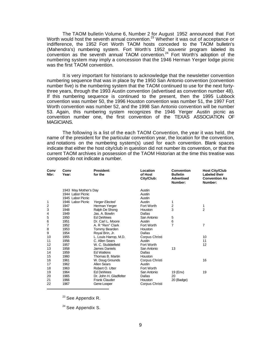The TAOM bulletin Volume 6, Number 2 for August 1952 announced that Fort Worth would host the seventh annual convention.<sup>23</sup> Whether it was out of acceptance or indifference, the 1952 Fort Worth TAOM hosts conceded to the TAOM bulletin's (Mahendra's) numbering system. Fort Worth's 1952 souvenir program labeled its convention as the seventh annual TAOM convention.<sup>24</sup> Fort Worth's adoption of the numbering system may imply a concession that the 1946 Herman Yerger lodge picnic was the first TAOM convention.

It is very important for historians to acknowledge that the newsletter convention numbering sequence that was in place by the 1950 San Antonio convention (convention number five) is the numbering system that the TAOM continued to use for the next fortythree years, through the 1993 Austin convention (advertised as convention number 48). If this numbering sequence is continued to the present, then the 1995 Lubbock convention was number 50, the 1996 Houston convention was number 51, the 1997 Fort Worth convention was number 52, and the 1998 San Antonio convention will be number 53. Again, this numbering system recognizes the 1946 Yerger Austin picnic as convention number one, the first convention of the TEXAS ASSOCIATION OF MAGICIANS.

The following is a list of the each TAOM Convention, the year it was held, the name of the president for the particular convention year, the location for the convention, and notations on the numbering system(s) used for each convention. Blank spaces indicate that either the host city/club in question did not number its convention, or that the current TAOM archives in possession of the TAOM Historian at the time this treatise was composed do not indicate a number.

| Conv<br>Nbr: | Conv<br>Year:                              | President:<br>for the  | Location<br>of Host<br>City/Club: | Convention<br><b>Bulletin</b><br><b>Advertised</b><br>Number: | <b>Host City/Club</b><br>Labeled their<br><b>Convention As</b><br>Number: |
|--------------|--------------------------------------------|------------------------|-----------------------------------|---------------------------------------------------------------|---------------------------------------------------------------------------|
|              | 1943 May Mother's Day<br>1944 Labor Picnic |                        | Austin                            |                                                               |                                                                           |
|              |                                            |                        | Austin                            |                                                               |                                                                           |
|              | 1945 Labor Picnic                          |                        | Austin                            |                                                               |                                                                           |
| 1            | 1946 Labor Picnic                          | <b>Yerger Elected</b>  | Austin                            | 1                                                             |                                                                           |
| 2            | 1947                                       | Herman Yerger          | Fort Worth                        | 2                                                             | 1                                                                         |
| 3            | 1948                                       | Ralph De Shong         | Houston                           | 3                                                             | $\overline{2}$                                                            |
| 4            | 1949                                       | Jas. A. Bowlin         | Dallas                            |                                                               |                                                                           |
| 5            | 1950                                       | <b>Ed DeWees</b>       | San Antonio                       | 5                                                             |                                                                           |
| 6            | 1951                                       | Dr. Carl L. Moore      | Austin                            | 6                                                             |                                                                           |
| 7            | 1952                                       | A. R "Ren" Clark       | Fort Worth                        | 7                                                             | 7                                                                         |
| 8            | 1953                                       | Tommy Bearden          | Houston                           |                                                               |                                                                           |
| 9            | 1954                                       | Royal Brin, Jr.        | Dallas                            |                                                               |                                                                           |
| 10           | 1955                                       | L. Louis Harrop, M.D.  | Corpus Christi                    |                                                               | 10                                                                        |
| 11           | 1956                                       | C. Allen Sears         | Austin                            |                                                               | 11                                                                        |
| 12           | 1957                                       | W. C. Stubblefield     | Fort Worth                        |                                                               | 12                                                                        |
| 13           | 1958                                       | James Daniels          | San Antonio                       | 13                                                            |                                                                           |
| 14           | 1959                                       | <b>Ed Watkins</b>      | Dallas                            |                                                               |                                                                           |
| 15           | 1960                                       | Thomas B. Martin       | Houston                           |                                                               |                                                                           |
| 16           | 1961                                       | W. Doug Grounds        | Corpus Christi                    |                                                               | 16                                                                        |
| 17           | 1962                                       | Allen Sears            | Austin                            |                                                               |                                                                           |
| 18           | 1963                                       | Robert O. Utter        | Fort Worth                        |                                                               |                                                                           |
| 19           | 1964                                       | <b>Ed DeWees</b>       | San Antonio                       | 19 (Env)                                                      | 19                                                                        |
| 20           | 1965                                       | Dr. John H. Gladfelter | Dallas                            | 20                                                            |                                                                           |
| 21           | 1966                                       | <b>Frank Clauder</b>   | Houston                           | 20 (Badge)                                                    |                                                                           |
| 22           | 1967                                       | Gene Looper            | Corpus Christi                    |                                                               |                                                                           |

<sup>23</sup> See Appendix R.

<sup>24</sup> See Appendix S.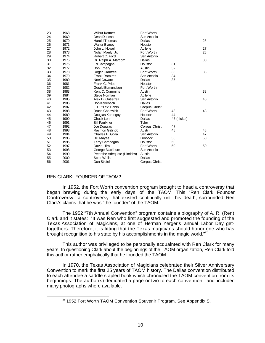| 23 | 1968 | <b>Wilbur Kattner</b>         | Fort Worth     |             |    |
|----|------|-------------------------------|----------------|-------------|----|
| 24 | 1969 | Dean Duncan                   | San Antonio    |             |    |
| 25 | 1970 | <b>Harold Thomas</b>          | Dallas         |             | 25 |
| 26 | 1971 | <b>Walter Blaney</b>          | Houston        |             |    |
| 27 | 1972 | John L. Howell                | Abilene        |             | 27 |
| 28 | 1973 | Nolan Manly, Jr.              | Fort Worth     |             | 28 |
| 29 | 1974 | Robert C. Ford                | San Antonio    |             |    |
| 30 | 1975 | Dr. Ralph A. Marcom           | Dallas         |             | 30 |
| 31 | 1976 | Ed Campagna                   | Houston        | 31          |    |
| 32 | 1977 | <b>Bob Emery</b>              | Austin         | 32          |    |
| 33 | 1978 | Roger Crabtree                | Fort Worth     | 33          | 33 |
| 34 | 1979 | <b>Frank Ramirez</b>          | San Antonio    | 34          |    |
| 35 | 1980 | <b>Noel Coward</b>            | Dallas         | 35          |    |
| 36 | 1981 | Frank C. Price                | Houston        |             |    |
| 37 | 1982 | Gerald Edmundson              | Fort Worth     |             |    |
| 38 | 1983 | Kent C. Cummins               | Austin         |             | 38 |
| 39 | 1984 | <b>Steve Norman</b>           | Abilene        |             |    |
| 40 | 1985 | Alex D. Gutierrez             | San Antonio    |             | 40 |
| 41 | 1986 | <b>Bob Karlebach</b>          | Dallas         |             |    |
| 42 | 1987 | J. D. "Tex" Babin             | Corpus Christi |             |    |
| 43 | 1988 | <b>Bruce Chadwick</b>         | Fort Worth     | 43          | 43 |
| 44 | 1989 | Douglas Kornegay              | Houston        | 44          |    |
| 45 | 1990 | Chuck Lehr                    | Dallas         | 45 (nickel) |    |
| 46 | 1991 | <b>Bill Faulkner</b>          | Tyler          |             |    |
| 47 | 1992 | Joe Douglas                   | Corpus Christi | 47          |    |
| 48 | 1993 | Raymon Galindo                | Austin         | 48          | 48 |
| 49 | 1994 | Charles E. Golla              | San Antonio    |             | 47 |
| 50 | 1995 | <b>Bill Mayes</b>             | <b>Lubbock</b> | 50          | 50 |
| 51 | 1996 | Terry Campagna                | Houston        | 50          |    |
| 52 | 1997 | David Hira                    | Fort Worth     | 50          | 50 |
| 53 | 1998 | George Blackburn              | San Antonio    |             |    |
| 54 | 1999 | Peter the Adequate (Hinrichs) | Austin         |             |    |
| 55 | 2000 | <b>Scott Wells</b>            | Dallas         |             |    |
| 56 | 2001 | Don Stiefel                   | Corpus Christi |             |    |

# REN CLARK: FOUNDER OF TAOM?

l

In 1952, the Fort Worth convention program brought to head a controversy that began brewing during the early days of the TAOM. This "Ren Clark Founder Controversy," a controversy that existed continually until his death, surrounded Ren Clark's claims that he was "the founder" of the TAOM.

The 1952 "7th Annual Convention" program contains a biography of A. R. (Ren) Clark and it states: "It was Ren who first suggested and promoted the founding of the Texas Association of Magicians, at one of Herman Yerger's annual Labor Day gettogethers. Therefore, it is fitting that the Texas magicians should honor one who has brought recognition to his state by his accomplishments in the magic world."<sup>25</sup>

This author was privileged to be personally acquainted with Ren Clark for many years. In questioning Clark about the beginnings of the TAOM organization, Ren Clark told this author rather emphatically that he founded the TAOM.

In 1970, the Texas Association of Magicians celebrated their Silver Anniversary Convention to mark the first 25 years of TAOM history. The Dallas convention distributed to each attendee a saddle stapled book which chronicled the TAOM convention from its beginnings. The author(s) dedicated a page or two to each convention, and included many photographs where available.

<sup>&</sup>lt;sup>25</sup> 1952 Fort Worth TAOM Convention Souvenir Program. See Appendix S.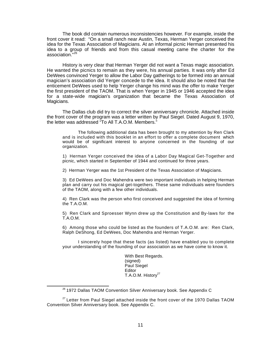The book did contain numerous inconsistencies however. For example, inside the front cover it read: "On a small ranch near Austin, Texas, Herman Yerger conceived the idea for the Texas Association of Magicians. At an informal picnic Herman presented his idea to a group of friends and from this casual meeting came the charter for the association."<sup>26</sup>

History is very clear that Herman Yerger did not want a Texas magic association. He wanted the picnics to remain as they were, his annual parties. It was only after Ed DeWees convinced Yerger to allow the Labor Day gatherings to be formed into an annual magician's association did Yerger concede to the idea. It should also be noted that the enticement DeWees used to help Yerger change his mind was the offer to make Yerger the first president of the TAOM. That is when Yerger in 1945 or 1946 accepted the idea for a state-wide magician's organization that became the Texas Association of Magicians.

The Dallas club did try to correct the silver anniversary chronicle. Attached inside the front cover of the program was a letter written by Paul Siegel. Dated August 9, 1970, the letter was addressed "To All T.A.O.M. Members."

The following additional data has been brought to my attention by Ren Clark and is included with this booklet in an effort to offer a complete document which would be of significant interest to anyone concerned in the founding of our organization.

1) Herman Yerger conceived the idea of a Labor Day Magical Get-Together and picnic, which started in September of 1944 and continued for three years.

2) Herman Yerger was the 1st President of the Texas Association of Magicians.

3) Ed DeWees and Doc Mahendra were two important individuals in helping Herman plan and carry out his magical get-togethers. These same individuals were founders of the TAOM, along with a few other individuals.

4) Ren Clark was the person who first conceived and suggested the idea of forming the T.A.O.M.

5) Ren Clark and Sproesser Wynn drew up the Constitution and By-laws for the T.A.O.M.

6) Among those who could be listed as the founders of T.A.O.M. are: Ren Clark, Ralph DeShong, Ed DeWees, Doc Mahendra and Herman Yerger.

I sincerely hope that these facts (as listed) have enabled you to complete your understanding of the founding of our association as we have come to know it.

> With Best Regards. (signed) Paul Siegel Editor T.A.O.M. History<sup>27</sup>

 $27$  Letter from Paul Siegel attached inside the front cover of the 1970 Dallas TAOM Convention Silver Anniversary book. See Appendix C.

<sup>&</sup>lt;sup>26</sup> 1972 Dallas TAOM Convention Silver Anniversary book. See Appendix C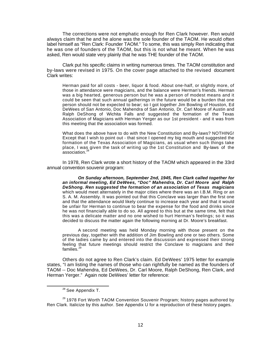The corrections were not emphatic enough for Ren Clark however. Ren would always claim that he and he alone was the sole founder of the TAOM. He would often label himself as "Ren Clark: Founder TAOM." To some, this was simply Ren indicating that he was one of founders of the TAOM, but this is not what he meant. When he was asked, Ren would state very plainly that he was THE founder of the TAOM.

Clark put his specific claims in writing numerous times. The TAOM constitution and by-laws were revised in 1975. On the cover page attached to the revised document Clark writes:

Herman paid for all costs - beer, liquor & food. About one-half, or slightly more, of those in attendance were magicians, and the balance were Herman's friends. Herman was a big hearted, generous person but he was a person of modest means and it could be seen that such annual gatherings in the future would be a burden that one person should not be expected to bear; so I got together Jim Bowling of Houston, Ed DeWees of San Antonio, Doc Mahendra of San Antonio, Dr. Carl Moore of Austin and Ralph DeShong of Wichita Falls and suggested the formation of the Texas Association of Magicians with Herman Yerger as our 1st president - and it was from this meeting that the association was formed.

What does the above have to do with the New Constitution and By-laws? NOTHING! Except that I wish to point out - that since I opened my big mouth and suggested the formation of the Texas Association of Magicians, as usual when such things take place, I was given the task of writing up the 1st Constitution and By-laws of the association.<sup>2</sup>

In 1978, Ren Clark wrote a short history of the TAOM which appeared in the 33rd annual convention souvenir program:

*On Sunday afternoon, September 2nd, 1945, Ren Clark called together for an informal meeting, Ed DeWees, "Doc" Mahendra, Dr. Carl Moore and Ralph DeShong. Ren suggested the formation of an association of Texas magicians* which would meet alternately in the major cities where there was an I.B.M. Ring or an S. A. M. Assembly. It was pointed out that this Conclave was larger than the first one and that the attendance would likely continue to increase each year and that it would be unfair for Herman to continue to bear the expense for the food and drinks since he was not financially able to do so. All agreed to this but at the same time, felt that this was a delicate matter and no one wished to hurt Herman's feelings; so it was decided to discuss the matter again the following morning at Dr. Moore's breakfast.

A second meeting was held Monday morning with those present on the previous day, together with the addition of Jim Bowling and one or two others. Some of the ladies came by and entered into the discussion and expressed their strong feeling that future meetings should restrict the Conclave to magicians and their families.<sup>29</sup>

Others do not agree to Ren Clark's claim. Ed DeWees' 1975 letter for example states, "I am listing the names of those who can rightfully be named as the founders of TAOM -- Doc Mahendra, Ed DeWees, Dr. Carl Moore, Ralph DeShong, Ren Clark, and Herman Yerger." Again note DeWees' letter for reference:

<sup>&</sup>lt;sup>28</sup> See Appendix T.

<sup>&</sup>lt;sup>29</sup> 1978 Fort Worth TAOM Convention Souvenir Program; history pages authored by Ren Clark. Italicize by this author. See Appendix U for a reproduction of these history pages.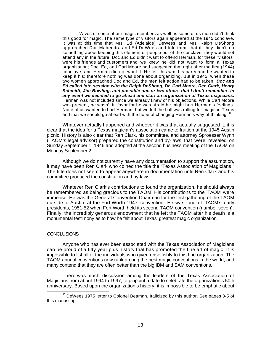Wives of some of our magic members as well as some of us men didn't think this good for magic. The same type of visitors again appeared at the 1945 conclave. It was at this time that Mrs. Ed (Adelaide) DeWees and Mrs. Ralph DeShong approached Doc Mahendra and Ed DeWees and told them that if they didn't do something about keeping this element of people out of the conclave, they would not attend any in the future. Doc and Ed didn't want to offend Herman, for these "visitors" were his friends and customers and we knew he did not want to form a Texas organization; Doc, Ed, and Carl Moore had suggested that right after the first (1944) conclave, and Herman did not want it. He felt this was his party and he wanted to keep it his; therefore nothing was done about organizing. But in 1945, when these two women approached Doc and Ed, the men felt action had to be taken. *Doc and Ed called into session with the Ralph DeShong, Dr. Carl Moore, Ren Clark, Henry Schmidt, Jim Bowling, and possible one or two others that I don't remember. In any event we decided to go ahead and start an organization of Texas magicians.* Herman was not included since we already knew of his objections. While Carl Moore was present, he wasn't in favor for he was afraid he might hurt Herman's feelings. None of us wanted to hurt Herman, but we felt the ball was rolling for magic in Texas and that we should go ahead with the hope of changing Herman's way of thinking. $30$ 

Whatever actually happened and whoever it was that actually suggested it, it is clear that the idea for a Texas magician's association came to fruition at the 1945 Austin picnic. History is also clear that Ren Clark, his committee, and attorney Sproesser Wynn (TAOM's legal advisor) prepared the constitution and by-laws that were revealed on Sunday September 1, 1946 and adopted at the second business meeting of the TAOM on Monday September 2.

Although we do not currently have any documentation to support the assumption, it may have been Ren Clark who coined the title the "Texas Association of Magicians." The title does not seem to appear anywhere in documentation until Ren Clark and his committee produced the constitution and by-laws.

Whatever Ren Clark's contributions to found the organization, he should always be remembered as being gracious to the TAOM. His contributions to the TAOM were immense. He was the General Convention Chairman for the first gathering of the TAOM outside of Austin, at the Fort Worth 1947 convention. He was one of TAOM's early presidents, 1951-52 when Fort Worth held its second TAOM convention (number seven). Finally, the incredibly generous endowment that he left the TAOM after his death is a monumental testimony as to how he felt about Texas' greatest magic organization.

### **CONCLUSIONS**

l

Anyone who has ever been associated with the Texas Association of Magicians can be proud of a fifty year plus history that has promoted the fine art of magic. It is impossible to list all of the individuals who given unselfishly to this fine organization. The TAOM annual conventions now rank among the best magic conventions in the world, and many contend that they are often better than the big IBM and SAM conventions.

There was much discussion among the leaders of the Texas Association of Magicians from about 1994 to 1997, to pinpoint a date to celebrate the organization's 50th anniversary. Based upon the organization's history, it is impossible to be emphatic about

 $30$  DeWees 1975 letter to Colonel Beaman. Italicized by this author. See pages 3-5 of this manuscript.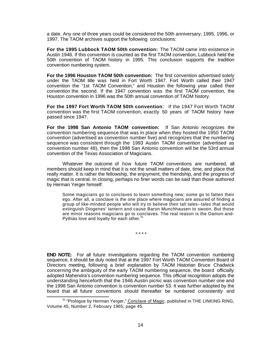a date. Any one of three years could be considered the 50th anniversary; 1995, 1996, or 1997. The TAOM archives support the following conclusions:

**For the 1995 Lubbock TAOM 50th convention:** The TAOM came into existence in Austin 1946. If this convention is counted as the first TAOM convention, Lubbock held the 50th convention of TAOM history in 1995. This conclusion supports the tradition convention numbering system.

**For the 1996 Houston TAOM 50th convention:** The first convention advertised solely under the TAOM title was held in Fort Worth 1947. Fort Worth called their 1947 convention the "1st TAOM Convention," and Houston the following year called their convention the second. If the 1947 convention was the first TAOM convention, the Houston convention in 1996 was the 50th annual convention of TAOM history.

**For the 1997 Fort Worth TAOM 50th convention**: If the 1947 Fort Worth TAOM convention was the first TAOM convention, exactly 50 years of TAOM history have passed since 1947.

**For the 1998 San Antonio TAOM convention:** If San Antonio recognizes the convention numbering sequence that was in place when they hosted the 1950 TAOM convention (advertised as convention number five) and recognizes that the numbering sequence was consistent through the 1993 Austin TAOM convention (advertised as convention number 48), then the 1998 San Antonio convention will be the 53rd annual convention of the Texas Association of Magicians.

Whatever the outcome of how future TAOM conventions are numbered, all members should keep in mind that it is not the small matters of date, time, and place that really matter. It is rather the fellowship, the enjoyment, the friendship, and the progress of magic that is central. In closing, perhaps no finer words can be said than those authored by Herman Yerger himself:

Some magicians go to conclaves to learn something new; some go to fatten their ego. After all, a conclave is the one place where magicians are assured of finding a group of like-minded people who will try to believe their tall tales--tales that would extinguish Diogenes' lantern and cause Baron Munchhausen to swoon. But those are minor reasons magicians go to conclaves. The real reason is the Damon-and-Pythias love and loyalty for each other.<sup>31</sup>

\* \* \* \*

**END NOTE:** For all future investigations regarding the TAOM convention numbering sequence, it should be duly noted that at the 1997 Fort Worth TAOM Convention Board of Directors meeting, following a brief explanation by TAOM Historian Bruce Chadwick concerning the ambiguity of the early TAOM numbering sequence, the board officially adopted Mahendra's convention numbering sequence. This official recognition adopts the understanding henceforth that the 1946 Austin picnic was convention number one and the 1998 San Antonio convention is convention number 53. It was further adopted by the board that all future conventions should thereafter be numbered consistently and

l <sup>31</sup> "Prologue by Herman Yerger," Conclave of Magic, published in THE LINKING RING, Volume 45, Number 2, February 1965, page 45.